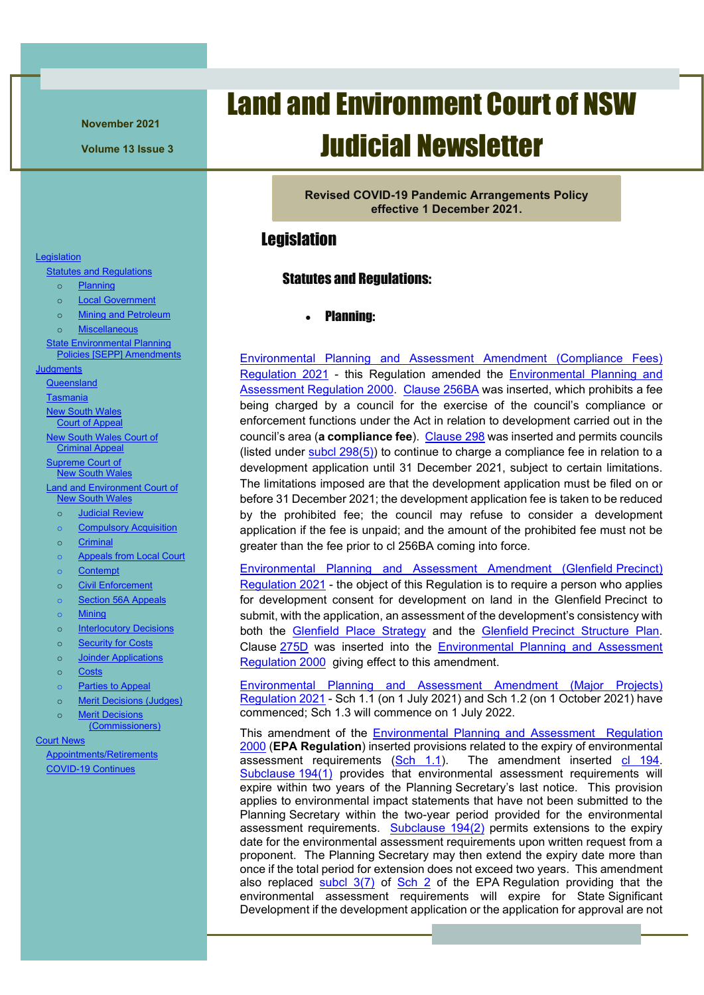**November 2021**

**Volume 13 Issue 3**

# Land and Environment Court of NSW Judicial Newsletter

**Revised COVID-19 Pandemic Arrangements Policy effective 1 December 2021.**

### <span id="page-0-1"></span><span id="page-0-0"></span>**Legislation**

#### Statutes and Regulations:

• Planning:

<span id="page-0-2"></span>[Environmental Planning and Assessment Amendment \(Compliance Fees\)](http://legislation.nsw.gov.au/view/pdf/asmade/sl-2021-383)  [Regulation 2021](http://legislation.nsw.gov.au/view/pdf/asmade/sl-2021-383) - this Regulation amended the [Environmental Planning and](https://legislation.nsw.gov.au/view/html/inforce/current/sl-2000-0557)  [Assessment Regulation 2000.](https://legislation.nsw.gov.au/view/html/inforce/current/sl-2000-0557) [Clause](https://legislation.nsw.gov.au/view/html/inforce/current/sl-2000-0557#sec.256BA) 256BA was inserted, which prohibits a fee being charged by a council for the exercise of the council's compliance or enforcement functions under the Act in relation to development carried out in the council's area (**a compliance fee**). [Clause](https://legislation.nsw.gov.au/view/html/inforce/current/sl-2000-0557#sec.298) 298 was inserted and permits councils (listed under [subcl 298\(5\)\)](https://legislation.nsw.gov.au/view/html/inforce/current/sl-2000-0557#sec.298) to continue to charge a compliance fee in relation to a development application until 31 December 2021, subject to certain limitations. The limitations imposed are that the development application must be filed on or before 31 December 2021; the development application fee is taken to be reduced by the prohibited fee; the council may refuse to consider a development application if the fee is unpaid; and the amount of the prohibited fee must not be greater than the fee prior to cl 256BA coming into force.

[Environmental Planning and Assessment Amendment \(Glenfield](http://legislation.nsw.gov.au/view/pdf/asmade/sl-2021-384) Precinct) [Regulation 2021](http://legislation.nsw.gov.au/view/pdf/asmade/sl-2021-384) - the object of this Regulation is to require a person who applies for development consent for development on land in the Glenfield Precinct to submit, with the application, an assessment of the development's consistency with both the [Glenfield Place Strategy](https://shared-drupal-s3fs.s3.ap-southeast-2.amazonaws.com/master-test/fapub_pdf/Final+Glenfield+Place+Strategy.pdf) and the Glenfield Precinct [Structure Plan.](https://shared-drupal-s3fs.s3.ap-southeast-2.amazonaws.com/master-test/fapub_pdf/Glenfield+Structure+Plan.pdf) Clause [275D](https://legislation.nsw.gov.au/view/html/inforce/current/sl-2000-0557#sec.275D) was inserted into the [Environmental Planning and Assessment](https://legislation.nsw.gov.au/view/html/inforce/current/sl-2000-0557)  [Regulation 2000](https://legislation.nsw.gov.au/view/html/inforce/current/sl-2000-0557) giving effect to this amendment.

[Environmental Planning and Assessment Amendment \(Major Projects\)](https://legislation.nsw.gov.au/view/pdf/asmade/sl-2021-356)  [Regulation 2021](https://legislation.nsw.gov.au/view/pdf/asmade/sl-2021-356) - Sch 1.1 (on 1 July 2021) and Sch 1.2 (on 1 October 2021) have commenced; Sch 1.3 will commence on 1 July 2022.

This amendment of the [Environmental Planning and Assessment Regulation](https://legislation.nsw.gov.au/view/html/inforce/current/sl-2000-0557)  [2000](https://legislation.nsw.gov.au/view/html/inforce/current/sl-2000-0557) (**EPA Regulation**) inserted provisions related to the expiry of environmental assessment requirements  $(Sch 1.1)$ . The amendment inserted  $cl 194$ . [Subclause](https://legislation.nsw.gov.au/view/html/inforce/current/sl-2000-0557#sec.194) 194(1) provides that environmental assessment requirements will expire within two years of the Planning Secretary's last notice. This provision applies to environmental impact statements that have not been submitted to the Planning Secretary within the two-year period provided for the environmental assessment requirements. [Subclause 194\(2\)](https://legislation.nsw.gov.au/view/html/inforce/current/sl-2000-0557#sec.194) permits extensions to the expiry date for the environmental assessment requirements upon written request from a proponent. The Planning Secretary may then extend the expiry date more than once if the total period for extension does not exceed two years. This amendment also replaced  $\frac{\text{subcl}}{3(7)}$  of  $\frac{\text{Sch}}{2}$  of the EPA Regulation providing that the environmental assessment requirements will expire for State Significant Development if the development application or the application for approval are not

#### **[Legislation](#page-0-0)**

[Statutes and Regulations](#page-0-1)

- o [Planning](#page-0-2)
- o [Local Government](#page-2-0)
- o [Mining and Petroleum](#page-2-1) o [Miscellaneous](#page-3-0)

[State Environmental Planning](#page-4-0) 

[Policies \[SEPP\] Amendments](#page-4-0)

**Judgments** 

**[Queensland](#page-4-1)** 

**[Tasmania](#page-5-0)** 

New South [Wales](#page-6-0) Court of [Appeal](#page-6-0)

New South Wales [Court of](#page-15-0) 

[Criminal Appeal](#page-15-0) **[Supreme](#page-18-0) Court of** 

New South [Wales](#page-18-0)

[Land and Environment](#page-20-0) Court of **New South [Wales](#page-20-0)** 

o [Judicial Review](#page-20-1)

o [Compulsory Acquisition](#page-24-0)

o [Criminal](#page-29-0)

- o [Appeals from Local](#page-32-0) Court
- o [Contempt](#page-33-0)
- o [Civil Enforcement](#page-33-1)
- o [Section 56A Appeals](#page-36-0)
- o [Mining](#page-38-0)
- o [Interlocutory Decisions](#page-39-0)
- o [Security for Costs](#page-40-0)
- o [Joinder Applications](#page-41-0)
- o [Costs](#page-42-0)
- o [Parties to Appeal](#page-42-1)
- o [Merit Decisions \(Judges\)](#page-43-0)
- o [Merit Decisions](#page-44-0)
- [\(Commissioners\)](#page-44-0)

[Court News](#page-47-0)

[Appointments/Retirements](#page-47-1) [COVID-19 Continues](#page-47-2)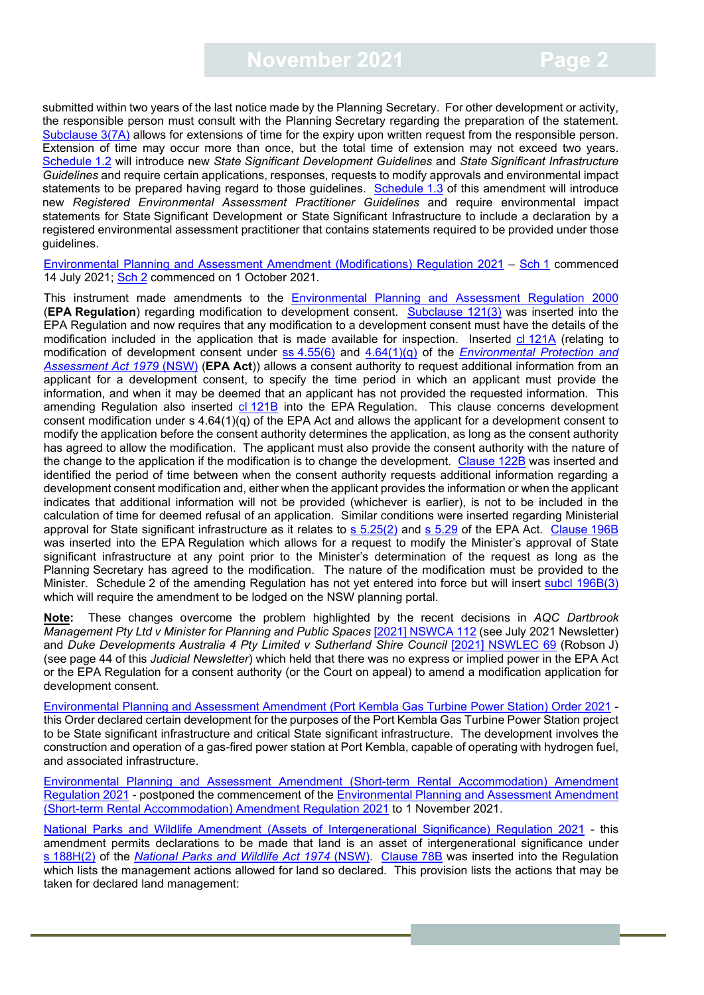submitted within two years of the last notice made by the Planning Secretary. For other development or activity, the responsible person must consult with the Planning Secretary regarding the preparation of the statement. [Subclause](https://legislation.nsw.gov.au/view/whole/html/inforce/current/sl-2000-0557#sch.2-sec.3) 3(7A) allows for extensions of time for the expiry upon written request from the responsible person. Extension of time may occur more than once, but the total time of extension may not exceed two years. [Schedule](https://legislation.nsw.gov.au/view/pdf/asmade/sl-2021-356) 1.2 will introduce new *State Significant Development Guidelines* and *State Significant Infrastructure Guidelines* and require certain applications, responses, requests to modify approvals and environmental impact statements to be prepared having regard to those guidelines. [Schedule](https://legislation.nsw.gov.au/view/pdf/asmade/sl-2021-356) 1.3 of this amendment will introduce new *Registered Environmental Assessment Practitioner Guidelines* and require environmental impact statements for State Significant Development or State Significant Infrastructure to include a declaration by a registered environmental assessment practitioner that contains statements required to be provided under those guidelines.

[Environmental Planning and Assessment Amendment \(Modifications\) Regulation 2021](https://legislation.nsw.gov.au/view/pdf/asmade/sl-2021-377) – [Sch](https://legislation.nsw.gov.au/view/pdf/asmade/sl-2021-377) 1 commenced 14 July 2021; [Sch](https://legislation.nsw.gov.au/view/pdf/asmade/sl-2021-377) 2 commenced on 1 October 2021.

This instrument made amendments to the [Environmental Planning and Assessment Regulation 2000](https://legislation.nsw.gov.au/view/whole/html/inforce/current/sl-2000-0557) (**EPA Regulation**) regarding modification to development consent. [Subclause 121\(3\)](https://legislation.nsw.gov.au/view/whole/html/inforce/current/sl-2000-0557#sec.121) was inserted into the EPA Regulation and now requires that any modification to a development consent must have the details of the modification included in the application that is made available for inspection. Inserted cl [121A](https://legislation.nsw.gov.au/view/whole/html/inforce/current/sl-2000-0557#sec.121A) (relating to modification of development consent under ss [4.55\(6\)](https://legislation.nsw.gov.au/view/html/inforce/current/act-1979-203#sec.4.55) and [4.64\(1\)\(q\)](https://legislation.nsw.gov.au/view/html/inforce/current/act-1979-203#sec.4.64) of the *[Environmental Protection and](https://legislation.nsw.gov.au/view/html/inforce/current/act-1979-203#statusinformation)  [Assessment Act 1979](https://legislation.nsw.gov.au/view/html/inforce/current/act-1979-203#statusinformation)* (NSW) (**EPA Act**)) allows a consent authority to request additional information from an applicant for a development consent, to specify the time period in which an applicant must provide the information, and when it may be deemed that an applicant has not provided the requested information. This amending Regulation also inserted cl [121B](https://legislation.nsw.gov.au/view/whole/html/inforce/current/sl-2000-0557#sec.121B) into the EPA Regulation. This clause concerns development consent modification under s 4.64(1)(q) of the EPA Act and allows the applicant for a development consent to modify the application before the consent authority determines the application, as long as the consent authority has agreed to allow the modification. The applicant must also provide the consent authority with the nature of the change to the application if the modification is to change the development. [Clause](https://legislation.nsw.gov.au/view/whole/html/inforce/current/sl-2000-0557#sec.122B) 122B was inserted and identified the period of time between when the consent authority requests additional information regarding a development consent modification and, either when the applicant provides the information or when the applicant indicates that additional information will not be provided (whichever is earlier), is not to be included in the calculation of time for deemed refusal of an application. Similar conditions were inserted regarding Ministerial approval for State significant infrastructure as it relates to [s 5.25\(2\)](https://legislation.nsw.gov.au/view/html/inforce/current/act-1979-203#sec.5.25) and [s 5.29](https://legislation.nsw.gov.au/view/html/inforce/current/act-1979-203#sec.5.29) of the EPA Act. [Clause](https://legislation.nsw.gov.au/view/whole/html/inforce/current/sl-2000-0557#sec.196B) 196B was inserted into the EPA Regulation which allows for a request to modify the Minister's approval of State significant infrastructure at any point prior to the Minister's determination of the request as long as the Planning Secretary has agreed to the modification. The nature of the modification must be provided to the Minister. [Schedule](https://legislation.nsw.gov.au/view/pdf/asmade/sl-2021-377) 2 of the amending Regulation has not yet entered into force but will insert [subcl 196B\(3\)](https://legislation.nsw.gov.au/view/pdf/asmade/sl-2021-377) which will require the amendment to be lodged on the NSW planning portal.

**Note:** These changes overcome the problem highlighted by the recent decisions in *AQC Dartbrook Management Pty Ltd v Minister for Planning and Public Spaces* [\[2021\] NSWCA 112](https://www.caselaw.nsw.gov.au/decision/179b05c338541a18ac64911d) (see July 2021 Newsletter) and *Duke Developments Australia 4 Pty Limited v Sutherland Shire Council* [\[2021\] NSWLEC 69](https://www.caselaw.nsw.gov.au/decision/17a64a998a130bb9699c7bf1) (Robson J) (see page 44 of this *Judicial Newsletter*) which held that there was no express or implied power in the EPA Act or the EPA Regulation for a consent authority (or the Court on appeal) to amend a modification application for development consent.

[Environmental Planning and Assessment Amendment \(Port Kembla Gas Turbine Power Station\) Order 2021](http://legislation.nsw.gov.au/view/pdf/asmade/sl-2021-480) this Order declared certain development for the purposes of the Port Kembla Gas Turbine Power Station project to be State significant infrastructure and critical State significant infrastructure. The development involves the construction and operation of a gas-fired power station at Port Kembla, capable of operating with hydrogen fuel, and associated infrastructure.

[Environmental Planning and Assessment Amendment \(Short-term Rental Accommodation\) Amendment](http://legislation.nsw.gov.au/view/pdf/asmade/sl-2021-413)  [Regulation 2021](http://legislation.nsw.gov.au/view/pdf/asmade/sl-2021-413) - postponed the commencement of the [Environmental Planning and Assessment Amendment](http://legislation.nsw.gov.au/view/pdf/asmade/sl-2021-413)  [\(Short-term Rental Accommodation\) Amendment Regulation 2021](http://legislation.nsw.gov.au/view/pdf/asmade/sl-2021-413) to 1 November 2021.

[National Parks and Wildlife Amendment \(Assets of Intergenerational Significance\) Regulation 2021](https://legislation.nsw.gov.au/view/pdf/asmade/sl-2021-406) - this amendment permits declarations to be made that land is an asset of intergenerational significance under s [188H\(2\)](https://legislation.nsw.gov.au/view/html/inforce/current/act-1974-080#sec.188H) of the *[National Parks and Wildlife Act 1974](https://legislation.nsw.gov.au/view/html/inforce/current/act-1974-080)* (NSW). [Clause](https://legislation.nsw.gov.au/view/html/inforce/current/sl-2019-0408#sec.78B) 78B was inserted into the Regulation which lists the management actions allowed for land so declared. This provision lists the actions that may be taken for declared land management: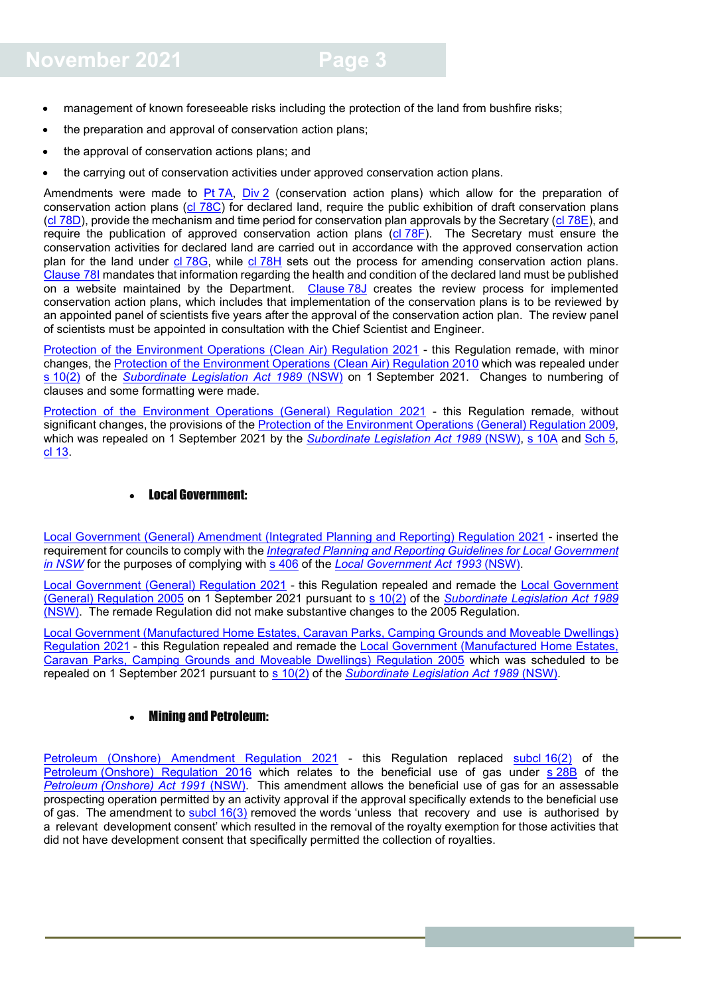- management of known foreseeable risks including the protection of the land from bushfire risks;
- the preparation and approval of conservation action plans;
- the approval of conservation actions plans; and
- the carrying out of conservation activities under approved conservation action plans.

Amendments were made to Pt [7A,](https://legislation.nsw.gov.au/view/html/inforce/current/sl-2019-0408#pt.7A) [Div](https://legislation.nsw.gov.au/view/html/inforce/current/sl-2019-0408#pt.7A-div.2) 2 (conservation action plans) which allow for the preparation of conservation action plans [\(cl 78C\)](https://legislation.nsw.gov.au/view/html/inforce/current/sl-2019-0408#sec.78C) for declared land, require the public exhibition of draft conservation plans (cl [78D\)](https://legislation.nsw.gov.au/view/html/inforce/current/sl-2019-0408#sec.78D), provide the mechanism and time period for conservation plan approvals by the Secretary (cl [78E\)](https://legislation.nsw.gov.au/view/html/inforce/current/sl-2019-0408#sec.78E), and require the publication of approved conservation action plans (cl [78F\)](https://legislation.nsw.gov.au/view/html/inforce/current/sl-2019-0408#sec.78E). The Secretary must ensure the conservation activities for declared land are carried out in accordance with the approved conservation action plan for the land under cl [78G,](https://legislation.nsw.gov.au/view/html/inforce/current/sl-2019-0408#sec.78G) while cl [78H](https://legislation.nsw.gov.au/view/html/inforce/current/sl-2019-0408#sec.78H) sets out the process for amending conservation action plans. [Clause](https://legislation.nsw.gov.au/view/html/inforce/current/sl-2019-0408#sec.78I) 78I mandates that information regarding the health and condition of the declared land must be published on a website maintained by the Department. [Clause](https://legislation.nsw.gov.au/view/html/inforce/current/sl-2019-0408#sec.78G) 78J creates the review process for implemented conservation action plans, which includes that implementation of the conservation plans is to be reviewed by an appointed panel of scientists five years after the approval of the conservation action plan. The review panel of scientists must be appointed in consultation with the Chief Scientist and Engineer.

[Protection of the Environment Operations \(Clean Air\) Regulation 2021](https://legislation.nsw.gov.au/view/pdf/asmade/sl-2021-485) - this Regulation remade, with minor changes, the [Protection of the Environment Operations \(Clean Air\) Regulation 2010](https://legislation.nsw.gov.au/view/html/repealed/current/sl-2010-0428) which was repealed under s [10\(2\)](https://legislation.nsw.gov.au/view/html/inforce/current/act-1989-146#sec.10) of the *[Subordinate Legislation Act 1989](https://legislation.nsw.gov.au/view/html/inforce/current/act-1989-146)* (NSW) on 1 September 2021. Changes to numbering of clauses and some formatting were made.

[Protection of the Environment Operations \(General\) Regulation 2021](https://legislation.nsw.gov.au/view/pdf/asmade/sl-2021-486) - this Regulation remade, without significant changes, the provisions of the [Protection of the Environment Operations \(General\) Regulation 2009,](https://legislation.nsw.gov.au/view/html/repealed/current/sl-2009-0211) which was repealed on 1 September 2021 by the *[Subordinate Legislation Act 1989](https://legislation.nsw.gov.au/view/html/inforce/current/act-1989-146)* (NSW), s [10A](https://legislation.nsw.gov.au/view/html/inforce/current/act-1989-146#sec.10A) and [Sch](https://legislation.nsw.gov.au/view/html/inforce/current/act-1989-146#sch.5) 5, cl [13.](https://legislation.nsw.gov.au/view/html/inforce/current/act-1989-146#sch.5-sec.13)

#### • Local Government:

<span id="page-2-0"></span>[Local Government \(General\) Amendment \(Integrated Planning and Reporting\) Regulation 2021](http://legislation.nsw.gov.au/view/pdf/asmade/sl-2021-459) - inserted the requirement for councils to comply with the *[Integrated Planning and Reporting Guidelines for Local Government](https://www.olg.nsw.gov.au/wp-content/uploads/Integrated-Planning-and-Reporting-Guidelines-March-2013.pdf)  [in NSW](https://www.olg.nsw.gov.au/wp-content/uploads/Integrated-Planning-and-Reporting-Guidelines-March-2013.pdf)* for the purposes of complying with [s 406](https://legislation.nsw.gov.au/view/html/inforce/current/act-1993-030#sec.406) of the *[Local Government Act 1993](https://legislation.nsw.gov.au/view/html/inforce/current/act-1993-030)* (NSW).

[Local Government \(General\) Regulation 2021](https://legislation.nsw.gov.au/view/pdf/asmade/sl-2021-460) - this Regulation repealed and remade the [Local Government](https://legislation.nsw.gov.au/view/html/repealed/current/sl-2005-0487)  [\(General\) Regulation 2005](https://legislation.nsw.gov.au/view/html/repealed/current/sl-2005-0487) on 1 September 2021 pursuant to s [10\(2\)](https://legislation.nsw.gov.au/view/html/inforce/current/act-1989-146#sec.10) of the *[Subordinate Legislation Act 1989](https://legislation.nsw.gov.au/view/html/inforce/current/act-1989-146)* [\(NSW\).](https://legislation.nsw.gov.au/view/html/inforce/current/act-1989-146) The remade Regulation did not make substantive changes to the 2005 Regulation.

[Local Government \(Manufactured Home Estates, Caravan Parks, Camping Grounds and Moveable Dwellings\)](http://legislation.nsw.gov.au/view/pdf/asmade/sl-2021-461)  [Regulation 2021](http://legislation.nsw.gov.au/view/pdf/asmade/sl-2021-461) - this Regulation repealed and remade the [Local Government \(Manufactured Home Estates,](https://legislation.nsw.gov.au/view/html/repealed/current/sl-2005-0486)  [Caravan Parks, Camping Grounds and Moveable Dwellings\) Regulation 2005](https://legislation.nsw.gov.au/view/html/repealed/current/sl-2005-0486) which was scheduled to be repealed on 1 September 2021 pursuant to s [10\(2\)](https://legislation.nsw.gov.au/view/html/inforce/current/act-1989-146#sec.10) of the *[Subordinate Legislation Act 1989](https://legislation.nsw.gov.au/view/html/inforce/current/act-1989-146)* (NSW).

#### • Mining and Petroleum:

<span id="page-2-1"></span>[Petroleum \(Onshore\) Amendment Regulation 2021](http://legislation.nsw.gov.au/view/pdf/asmade/sl-2021-526) - this Regulation replaced [subcl](https://legislation.nsw.gov.au/view/html/inforce/current/sl-2016-0500#sec.16) 16(2) of the Petroleum [\(Onshore\) Regulation 2016](https://legislation.nsw.gov.au/view/html/inforce/current/sl-2016-0500#statusinformation) which relates to the beneficial use of gas under s [28B](https://legislation.nsw.gov.au/view/html/inforce/current/act-1991-084#sec.28B) of the *Petroleum [\(Onshore\) Act 1991](https://legislation.nsw.gov.au/view/html/inforce/current/act-1991-084#statusinformation)* (NSW). This amendment allows the beneficial use of gas for an assessable prospecting operation permitted by an activity approval if the approval specifically extends to the beneficial use of gas. The amendment to [subcl](https://legislation.nsw.gov.au/view/html/inforce/current/sl-2016-0500#sec.16) 16(3) removed the words 'unless that recovery and use is authorised by a relevant development consent' which resulted in the removal of the royalty exemption for those activities that did not have development consent that specifically permitted the collection of royalties.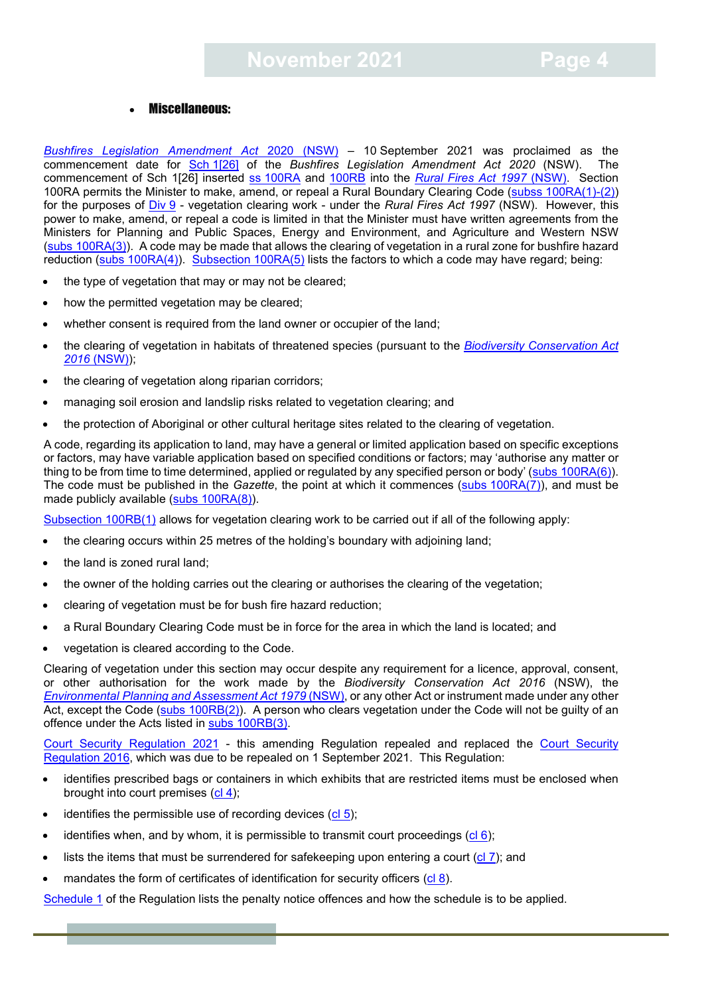#### • Miscellaneous:

<span id="page-3-0"></span>*[Bushfires Legislation Amendment Act](https://legislation.nsw.gov.au/view/pdf/asmade/sl-2021-523)* 2020 (NSW) – 10 September 2021 was proclaimed as the commencement date for Sch [1\[26\]](https://legislation.nsw.gov.au/view/pdf/asmade/sl-2021-523) of the *Bushfires Legislation Amendment Act 2020* (NSW). The commencement of Sch 1[26] inserted ss [100RA](https://legislation.nsw.gov.au/view/html/inforce/current/act-1997-065#sec.100RA) and [100RB](https://legislation.nsw.gov.au/view/html/inforce/current/act-1997-065#sec.100RB) into the *[Rural Fires Act 1997](https://legislation.nsw.gov.au/view/html/inforce/current/act-1997-065)* (NSW). Section 100RA permits the Minister to make, amend, or repeal a Rural Boundary Clearing Code (subss [100RA\(1\)-\(2\)\)](https://legislation.nsw.gov.au/view/html/inforce/current/act-1997-065#sec.100RA) for the purposes of [Div](https://legislation.nsw.gov.au/view/html/inforce/current/act-1997-065#pt.4-div.9) 9 - vegetation clearing work - under the *Rural Fires Act 1997* (NSW). However, this power to make, amend, or repeal a code is limited in that the Minister must have written agreements from the Ministers for Planning and Public Spaces, Energy and Environment, and Agriculture and Western NSW (subs [100RA\(3\)\)](https://legislation.nsw.gov.au/view/html/inforce/current/act-1997-065#sec.100RA). A code may be made that allows the clearing of vegetation in a rural zone for bushfire hazard reduction [\(subs 100RA\(4\)\)](https://legislation.nsw.gov.au/view/html/inforce/current/act-1997-065#sec.100RA). [Subsection](https://legislation.nsw.gov.au/view/html/inforce/current/act-1997-065#sec.100RA) 100RA(5) lists the factors to which a code may have regard; being:

- the type of vegetation that may or may not be cleared;
- how the permitted vegetation may be cleared;
- whether consent is required from the land owner or occupier of the land;
- the clearing of vegetation in habitats of threatened species (pursuant to the *[Biodiversity Conservation Act](https://legislation.nsw.gov.au/view/html/inforce/current/act-2016-063)  [2016](https://legislation.nsw.gov.au/view/html/inforce/current/act-2016-063)* (NSW));
- the clearing of vegetation along riparian corridors;
- managing soil erosion and landslip risks related to vegetation clearing; and
- the protection of Aboriginal or other cultural heritage sites related to the clearing of vegetation.

A code, regarding its application to land, may have a general or limited application based on specific exceptions or factors, may have variable application based on specified conditions or factors; may 'authorise any matter or thing to be from time to time determined, applied or regulated by any specified person or body' (subs [100RA\(6\)\)](https://legislation.nsw.gov.au/view/html/inforce/current/act-1997-065#sec.100RA). The code must be published in the *Gazette*, the point at which it commences (subs [100RA\(7\)\)](https://legislation.nsw.gov.au/view/html/inforce/current/act-1997-065#sec.100RA), and must be made publicly available (subs [100RA\(8\)\)](https://legislation.nsw.gov.au/view/html/inforce/current/act-1997-065#sec.100RA).

[Subsection](https://legislation.nsw.gov.au/view/html/inforce/current/act-1997-065#sec.100RB) 100RB(1) allows for vegetation clearing work to be carried out if all of the following apply:

- the clearing occurs within 25 metres of the holding's boundary with adjoining land;
- the land is zoned rural land:
- the owner of the holding carries out the clearing or authorises the clearing of the vegetation;
- clearing of vegetation must be for bush fire hazard reduction;
- a Rural Boundary Clearing Code must be in force for the area in which the land is located; and
- vegetation is cleared according to the Code.

Clearing of vegetation under this section may occur despite any requirement for a licence, approval, consent, or other authorisation for the work made by the *Biodiversity Conservation Act 2016* (NSW), the *Environmental [Planning and Assessment Act 1979](https://legislation.nsw.gov.au/view/html/inforce/current/act-1979-203#statusinformation)* (NSW), or any other Act or instrument made under any other Act, except the Code (subs [100RB\(2\)\)](https://legislation.nsw.gov.au/view/html/inforce/current/act-1997-065#sec.100RB). A person who clears vegetation under the Code will not be guilty of an offence under the Acts listed in subs [100RB\(3\).](https://legislation.nsw.gov.au/view/html/inforce/current/act-1997-065#sec.100RB)

[Court Security Regulation 2021](http://legislation.nsw.gov.au/view/pdf/asmade/sl-2021-457) - this amending Regulation repealed and replaced the [Court Security](https://legislation.nsw.gov.au/view/html/repealed/current/sl-2016-0541)  [Regulation 2016,](https://legislation.nsw.gov.au/view/html/repealed/current/sl-2016-0541) which was due to be repealed on 1 September 2021. This Regulation:

- identifies prescribed bags or containers in which exhibits that are restricted items must be enclosed when brought into court premises  $\left(\frac{c_1}{4}\right)$ ;
- identifies the permissible use of recording devices  $(cl 5)$  $(cl 5)$ ;
- identifies when, and by whom, it is permissible to transmit court proceedings  $(cl 6)$  $(cl 6)$ ;
- lists the items that must be surrendered for safekeeping upon entering a court [\(cl](https://legislation.nsw.gov.au/view/html/inforce/current/sl-2021-0457#sec.7)  $\overline{7}$ ); and
- mandates the form of certificates of identification for security officers  $(cl 8)$  $(cl 8)$ .

[Schedule](https://legislation.nsw.gov.au/view/html/inforce/current/sl-2021-0457#sch.1) 1 of the Regulation lists the penalty notice offences and how the schedule is to be applied.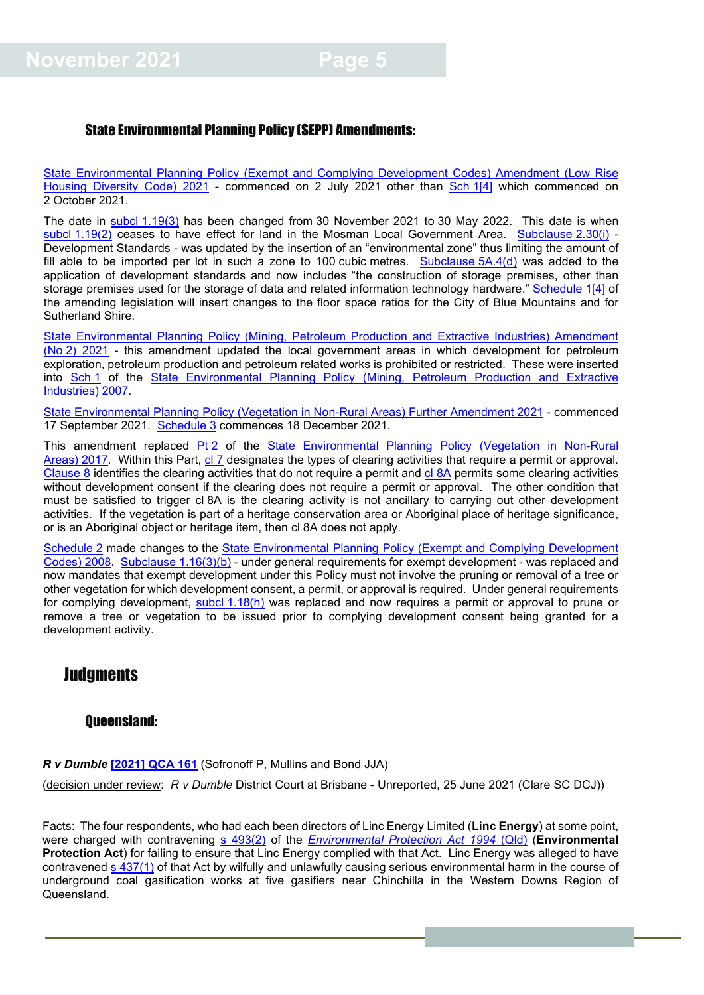#### <span id="page-4-0"></span>State Environmental Planning Policy (SEPP) Amendments:

[State Environmental Planning Policy \(Exempt and Complying Development Codes\) Amendment \(Low Rise](http://legislation.nsw.gov.au/view/pdf/asmade/epi-2021-366)  [Housing Diversity Code\) 2021](http://legislation.nsw.gov.au/view/pdf/asmade/epi-2021-366) - commenced on 2 July 2021 other than [Sch](https://legislation.nsw.gov.au/view/pdf/asmade/epi-2021-366) 1[4] which commenced on 2 October 2021.

The date in subcl [1.19\(3\)](https://legislation.nsw.gov.au/view/html/inforce/current/epi-2008-0572#sec.1.19) has been changed from 30 November 2021 to 30 May 2022. This date is when subcl [1.19\(2\)](https://legislation.nsw.gov.au/view/html/inforce/current/epi-2008-0572#sec.1.19) ceases to have effect for land in the Mosman Local Government Area. [Subclause](https://legislation.nsw.gov.au/view/html/inforce/current/epi-2008-0572#sec.2.30) 2.30(i) -Development Standards - was updated by the insertion of an "environmental zone" thus limiting the amount of fill able to be imported per lot in such a zone to 100 cubic metres. [Subclause](https://legislation.nsw.gov.au/view/html/inforce/current/epi-2008-0572#sec.5A.4)  $5A.4(d)$  was added to the application of development standards and now includes "the construction of storage premises, other than storage premises used for the storage of data and related information technology hardware." [Schedule](http://legislation.nsw.gov.au/view/pdf/asmade/epi-2021-366) 1[4] of the amending legislation will insert changes to the floor space ratios for the City of Blue Mountains and for Sutherland Shire.

[State Environmental Planning Policy \(Mining, Petroleum Production and Extractive Industries\) Amendment](http://legislation.nsw.gov.au/view/pdf/asmade/epi-2021-544)  (No [2\) 2021](http://legislation.nsw.gov.au/view/pdf/asmade/epi-2021-544) - this amendment updated the local government areas in which development for petroleum exploration, petroleum production and petroleum related works is prohibited or restricted. These were inserted into [Sch](https://legislation.nsw.gov.au/view/html/inforce/current/epi-2007-0065#sch.1) 1 of the [State Environmental Planning Policy \(Mining, Petroleum Production and Extractive](https://legislation.nsw.gov.au/view/html/inforce/current/epi-2007-0065)  [Industries\)](https://legislation.nsw.gov.au/view/html/inforce/current/epi-2007-0065) 2007.

[State Environmental Planning Policy \(Vegetation in Non-Rural Areas\) Further Amendment 2021](http://legislation.nsw.gov.au/view/pdf/asmade/epi-2021-545) - commenced 17 September 2021. [Schedule](https://legislation.nsw.gov.au/view/pdf/asmade/epi-2021-545) 3 commences 18 December 2021.

This amendment replaced [Pt](https://legislation.nsw.gov.au/view/html/inforce/current/epi-2017-0454#pt.2) 2 of the State Environmental Planning Policy (Vegetation in Non-Rural [Areas\)](https://legislation.nsw.gov.au/view/html/inforce/current/epi-2017-0454) 2017. Within this Part, [cl](https://legislation.nsw.gov.au/view/whole/html/inforce/current/epi-2017-0454#sec.7) 7 designates the types of clearing activities that require a permit or approval. [Clause](https://legislation.nsw.gov.au/view/whole/html/inforce/current/epi-2017-0454#sec.8) 8 identifies the clearing activities that do not require a permit and cl [8A](https://legislation.nsw.gov.au/view/whole/html/inforce/current/epi-2017-0454#sec.8A) permits some clearing activities without development consent if the clearing does not require a permit or approval. The other condition that must be satisfied to trigger cl 8A is the clearing activity is not ancillary to carrying out other development activities. If the vegetation is part of a heritage conservation area or Aboriginal place of heritage significance, or is an Aboriginal object or heritage item, then cl 8A does not apply.

[Schedule](http://legislation.nsw.gov.au/view/pdf/asmade/epi-2021-545) 2 made changes to the [State Environmental Planning Policy \(Exempt and Complying Development](https://legislation.nsw.gov.au/view/html/inforce/current/epi-2008-0572)  [Codes\) 2008.](https://legislation.nsw.gov.au/view/html/inforce/current/epi-2008-0572) [Subclause](https://legislation.nsw.gov.au/view/html/inforce/current/epi-2008-0572#sec.1.16) 1.16(3)(b) - under general requirements for exempt development - was replaced and now mandates that exempt development under this Policy must not involve the pruning or removal of a tree or other vegetation for which development consent, a permit, or approval is required. Under general requirements for complying development, subcl [1.18\(h\)](https://legislation.nsw.gov.au/view/html/inforce/current/epi-2008-0572#sec.1.18) was replaced and now requires a permit or approval to prune or remove a tree or vegetation to be issued prior to complying development consent being granted for a development activity.

### **Judgments**

#### <span id="page-4-1"></span>Queensland:

#### *R v Dumble* **[\[2021\] QCA 161](https://www.sclqld.org.au/caselaw/QCA/2021/161)** (Sofronoff P, Mullins and Bond JJA)

(decision under review: *R v Dumble* District Court at Brisbane - Unreported, 25 June 2021 (Clare SC DCJ))

Facts: The four respondents, who had each been directors of Linc Energy Limited (**Linc Energy**) at some point, were charged with contravening [s 493\(2\)](https://www.legislation.qld.gov.au/view/html/inforce/current/act-1994-062#sec.493) of the *[Environmental Protection Act](https://www.legislation.qld.gov.au/view/html/inforce/current/act-1994-062) 1994* (Qld)</u> (**Environmental Protection Act**) for failing to ensure that Linc Energy complied with that Act. Linc Energy was alleged to have contravened [s 437\(1\)](https://www.legislation.qld.gov.au/view/html/inforce/current/act-1994-062#sec.437) of that Act by wilfully and unlawfully causing serious environmental harm in the course of underground coal gasification works at five gasifiers near Chinchilla in the Western Downs Region of Queensland.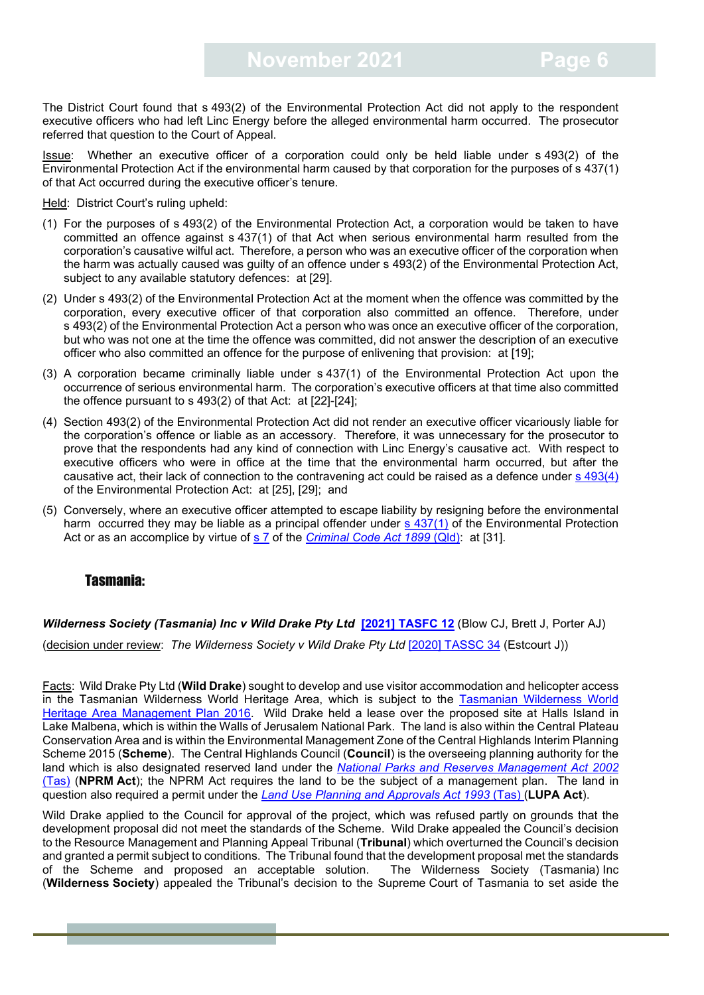The District Court found that s 493(2) of the Environmental Protection Act did not apply to the respondent executive officers who had left Linc Energy before the alleged environmental harm occurred. The prosecutor referred that question to the Court of Appeal.

Issue: Whether an executive officer of a corporation could only be held liable under s 493(2) of the Environmental Protection Act if the environmental harm caused by that corporation for the purposes of s 437(1) of that Act occurred during the executive officer's tenure.

Held: District Court's ruling upheld:

- (1) For the purposes of s 493(2) of the Environmental Protection Act, a corporation would be taken to have committed an offence against s 437(1) of that Act when serious environmental harm resulted from the corporation's causative wilful act. Therefore, a person who was an executive officer of the corporation when the harm was actually caused was guilty of an offence under s 493(2) of the Environmental Protection Act, subject to any available statutory defences: at [29].
- (2) Under s 493(2) of the Environmental Protection Act at the moment when the offence was committed by the corporation, every executive officer of that corporation also committed an offence. Therefore, under s 493(2) of the Environmental Protection Act a person who was once an executive officer of the corporation, but who was not one at the time the offence was committed, did not answer the description of an executive officer who also committed an offence for the purpose of enlivening that provision: at [19];
- (3) A corporation became criminally liable under s 437(1) of the Environmental Protection Act upon the occurrence of serious environmental harm. The corporation's executive officers at that time also committed the offence pursuant to s 493(2) of that Act: at [22]-[24];
- (4) Section 493(2) of the Environmental Protection Act did not render an executive officer vicariously liable for the corporation's offence or liable as an accessory. Therefore, it was unnecessary for the prosecutor to prove that the respondents had any kind of connection with Linc Energy's causative act. With respect to executive officers who were in office at the time that the environmental harm occurred, but after the causative act, their lack of connection to the contravening act could be raised as a defence under [s 493\(4\)](https://www.legislation.qld.gov.au/view/html/inforce/current/act-1994-062#sec.493) of the Environmental Protection Act: at [25], [29]; and
- (5) Conversely, where an executive officer attempted to escape liability by resigning before the environmental harm occurred they may be liable as a principal offender under [s 437\(1\)](https://www.legislation.qld.gov.au/view/html/inforce/current/act-1994-062#sec.437) of the Environmental Protection Act or as an accomplice by virtue of [s 7](https://www.legislation.qld.gov.au/view/html/inforce/current/act-1899-009#sec.7) of the *[Criminal Code Act 1899](https://www.legislation.qld.gov.au/view/html/inforce/current/act-1899-009)* (Qld): at [31].

#### <span id="page-5-0"></span>Tasmania:

*Wilderness Society (Tasmania) Inc v Wild Drake Pty Ltd* [\[2021\] TASFC 12](https://www.caselaw.nsw.gov.au/search/advanced) (Blow CJ, Brett J, Porter AJ)

(decision under review: *The Wilderness Society v Wild Drake Pty Ltd* [\[2020\] TASSC 34](https://www.caselaw.nsw.gov.au/search/advanced) (Estcourt J))

Facts: Wild Drake Pty Ltd (**Wild Drake**) sought to develop and use visitor accommodation and helicopter access in the Tasmanian Wilderness World Heritage Area, which is subject to the [Tasmanian Wilderness World](https://dpipwe.tas.gov.au/Documents/TWWHA_Management_Plan_2016.pdf)  [Heritage Area Management Plan 2016.](https://dpipwe.tas.gov.au/Documents/TWWHA_Management_Plan_2016.pdf) Wild Drake held a lease over the proposed site at Halls Island in Lake Malbena, which is within the Walls of Jerusalem National Park. The land is also within the Central Plateau Conservation Area and is within the Environmental Management Zone of the Central Highlands Interim Planning Scheme 2015 (**Scheme**). The Central Highlands Council (**Council**) is the overseeing planning authority for the land which is also designated reserved land under the *[National Parks and Reserves Management Act 2002](https://www.legislation.tas.gov.au/view/html/inforce/current/act-2002-062)*  [\(Tas\)](https://www.legislation.tas.gov.au/view/html/inforce/current/act-2002-062) (**NPRM Act**); the NPRM Act requires the land to be the subject of a management plan. The land in question also required a permit under the *[Land Use Planning and Approvals Act 1993](https://www.legislation.tas.gov.au/view/html/inforce/current/act-1993-070)* (Tas) (**LUPA Act**).

Wild Drake applied to the Council for approval of the project, which was refused partly on grounds that the development proposal did not meet the standards of the Scheme. Wild Drake appealed the Council's decision to the Resource Management and Planning Appeal Tribunal (**Tribunal**) which overturned the Council's decision and granted a permit subject to conditions. The Tribunal found that the development proposal met the standards<br>of the Scheme and proposed an acceptable solution. The Wilderness Society (Tasmania) Inc of the Scheme and proposed an acceptable solution. (**Wilderness Society**) appealed the Tribunal's decision to the Supreme Court of Tasmania to set aside the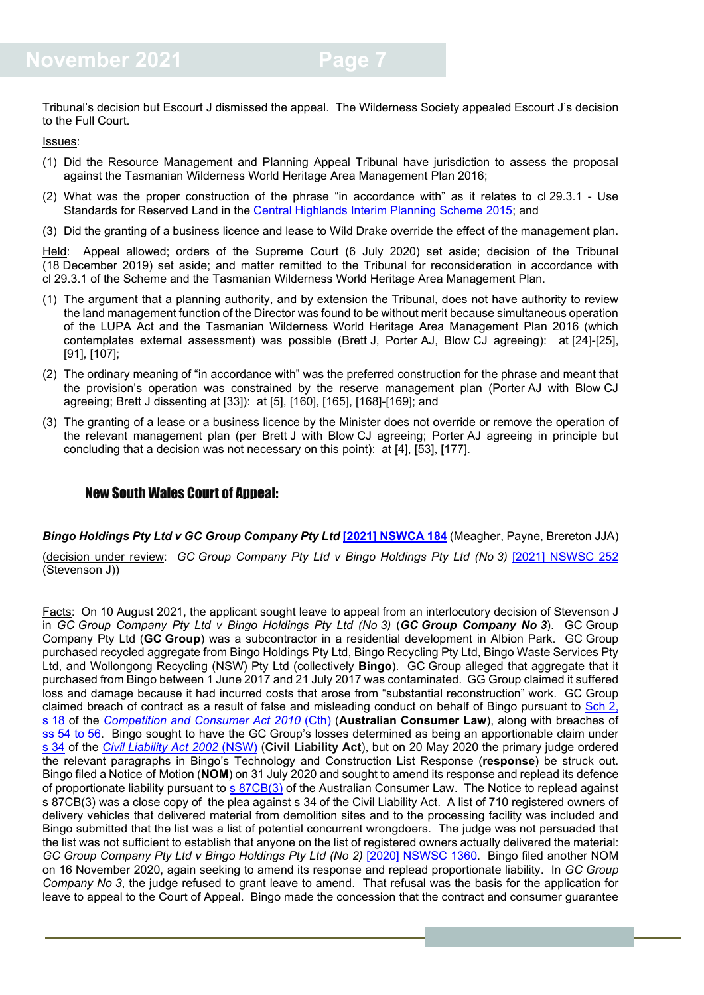Tribunal's decision but Escourt J dismissed the appeal. The Wilderness Society appealed Escourt J's decision to the Full Court.

Issues:

- (1) Did the Resource Management and Planning Appeal Tribunal have jurisdiction to assess the proposal against the Tasmanian Wilderness World Heritage Area Management Plan 2016;
- (2) What was the proper construction of the phrase "in accordance with" as it relates to cl 29.3.1 Use Standards for Reserved Land in the [Central Highlands Interim Planning Scheme 2015;](https://centralhighlands.tas.gov.au/central-highlands-interim-planning-scheme-2015/) and
- (3) Did the granting of a business licence and lease to Wild Drake override the effect of the management plan.

Held: Appeal allowed; orders of the Supreme Court (6 July 2020) set aside; decision of the Tribunal (18 December 2019) set aside; and matter remitted to the Tribunal for reconsideration in accordance with cl 29.3.1 of the Scheme and the Tasmanian Wilderness World Heritage Area Management Plan.

- (1) The argument that a planning authority, and by extension the Tribunal, does not have authority to review the land management function of the Director was found to be without merit because simultaneous operation of the LUPA Act and the Tasmanian Wilderness World Heritage Area Management Plan 2016 (which contemplates external assessment) was possible (Brett J, Porter AJ, Blow CJ agreeing): at [24]-[25], [91], [107];
- (2) The ordinary meaning of "in accordance with" was the preferred construction for the phrase and meant that the provision's operation was constrained by the reserve management plan (Porter AJ with Blow CJ agreeing; Brett J dissenting at [33]): at [5], [160], [165], [168]-[169]; and
- (3) The granting of a lease or a business licence by the Minister does not override or remove the operation of the relevant management plan (per Brett J with Blow CJ agreeing; Porter AJ agreeing in principle but concluding that a decision was not necessary on this point): at [4], [53], [177].

#### <span id="page-6-0"></span>New South Wales Court of Appeal:

*Bingo Holdings Pty Ltd v GC Group Company Pty Ltd* **[\[2021\] NSWCA](https://www.caselaw.nsw.gov.au/decision/17b61475d7f8f13ca5863dd5) 184** (Meagher, Payne, Brereton JJA) (decision under review: *GC Group Company Pty Ltd v Bingo Holdings Pty Ltd (No 3)* [\[2021\] NSWSC](https://www.caselaw.nsw.gov.au/decision/1784374db6084b3e92dd49be) 252 (Stevenson J))

Facts: On 10 August 2021, the applicant sought leave to appeal from an interlocutory decision of Stevenson J in *GC Group Company Pty Ltd v Bingo Holdings Pty Ltd (No 3)* (*GC Group Company No 3*). GC Group Company Pty Ltd (**GC Group**) was a subcontractor in a residential development in Albion Park. GC Group purchased recycled aggregate from Bingo Holdings Pty Ltd, Bingo Recycling Pty Ltd, Bingo Waste Services Pty Ltd, and Wollongong Recycling (NSW) Pty Ltd (collectively **Bingo**). GC Group alleged that aggregate that it purchased from Bingo between 1 June 2017 and 21 July 2017 was contaminated. GG Group claimed it suffered loss and damage because it had incurred costs that arose from "substantial reconstruction" work. GC Group claimed breach of contract as a result of false and misleading conduct on behalf of Bingo pursuant to [Sch](http://classic.austlii.edu.au/au/legis/cth/consol_act/caca2010265/sch2.html) 2, s [18](http://classic.austlii.edu.au/au/legis/cth/consol_act/caca2010265/sch2.html) of the *[Competition and Consumer Act 2010](https://www.legislation.gov.au/Details/C2018C00437/Html/Volume_3#_Toc529456037)* (Cth) (**Australian Consumer Law**), along with breaches of ss 54 to [56.](http://classic.austlii.edu.au/au/legis/cth/consol_act/caca2010265/sch2.html) Bingo sought to have the GC Group's losses determined as being an apportionable claim under s [34](https://legislation.nsw.gov.au/view/html/inforce/current/act-2002-022#sec.34) of the *Civil [Liability Act 2002](https://legislation.nsw.gov.au/view/html/inforce/current/act-2002-022#sec.34)* (NSW) (**Civil Liability Act**), but on 20 May 2020 the primary judge ordered the relevant paragraphs in Bingo's Technology and Construction List Response (**response**) be struck out. Bingo filed a Notice of Motion (**NOM**) on 31 July 2020 and sought to amend its response and replead its defence of proportionate liability pursuant to s [87CB\(3\)](https://www.legislation.gov.au/Details/C2018C00437/Html/Volume_1#_Toc529449916) of the Australian Consumer Law. The Notice to replead against s 87CB(3) was a close copy of the plea against s 34 of the Civil Liability Act. A list of 710 registered owners of delivery vehicles that delivered material from demolition sites and to the processing facility was included and Bingo submitted that the list was a list of potential concurrent wrongdoers. The judge was not persuaded that the list was not sufficient to establish that anyone on the list of registered owners actually delivered the material: *GC Group Company Pty Ltd v Bingo Holdings Pty Ltd (No 2)* [\[2020\] NSWSC 1360.](https://www.caselaw.nsw.gov.au/decision/174fc32ac0b9728764251bd4) Bingo filed another NOM on 16 November 2020, again seeking to amend its response and replead proportionate liability. In *GC Group Company No 3*, the judge refused to grant leave to amend. That refusal was the basis for the application for leave to appeal to the Court of Appeal. Bingo made the concession that the contract and consumer guarantee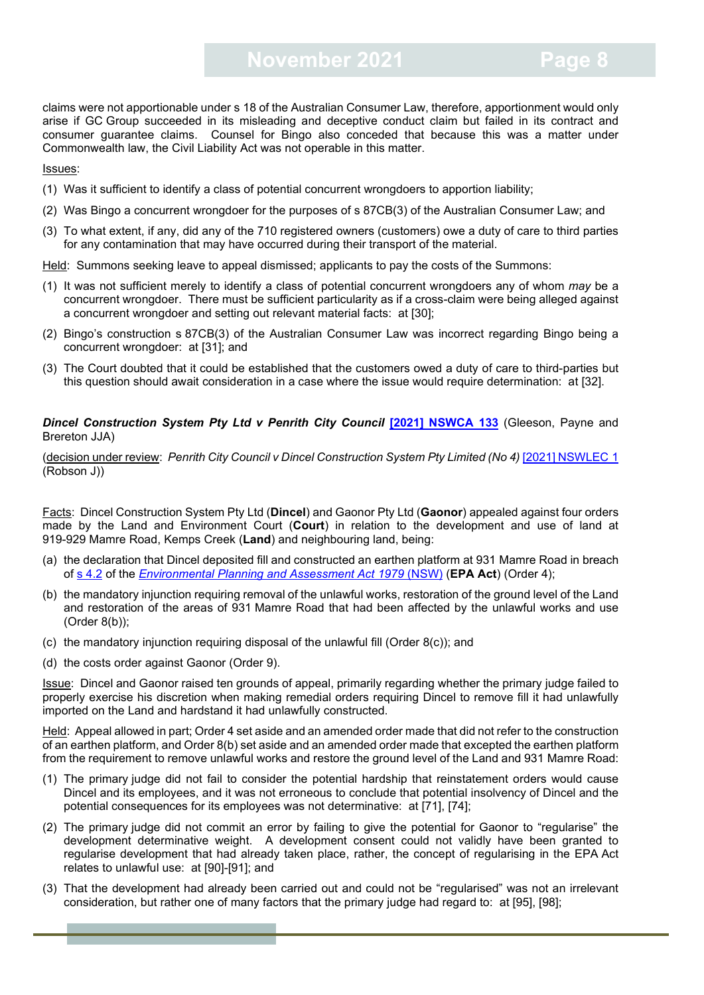claims were not apportionable under s 18 of the Australian Consumer Law, therefore, apportionment would only arise if GC Group succeeded in its misleading and deceptive conduct claim but failed in its contract and consumer guarantee claims. Counsel for Bingo also conceded that because this was a matter under Commonwealth law, the Civil Liability Act was not operable in this matter.

Issues:

- (1) Was it sufficient to identify a class of potential concurrent wrongdoers to apportion liability;
- (2) Was Bingo a concurrent wrongdoer for the purposes of s 87CB(3) of the Australian Consumer Law; and
- (3) To what extent, if any, did any of the 710 registered owners (customers) owe a duty of care to third parties for any contamination that may have occurred during their transport of the material.
- Held: Summons seeking leave to appeal dismissed; applicants to pay the costs of the Summons:
- (1) It was not sufficient merely to identify a class of potential concurrent wrongdoers any of whom *may* be a concurrent wrongdoer. There must be sufficient particularity as if a cross-claim were being alleged against a concurrent wrongdoer and setting out relevant material facts: at [30];
- (2) Bingo's construction s 87CB(3) of the Australian Consumer Law was incorrect regarding Bingo being a concurrent wrongdoer: at [31]; and
- (3) The Court doubted that it could be established that the customers owed a duty of care to third-parties but this question should await consideration in a case where the issue would require determination: at [32].

#### *Dincel Construction System Pty Ltd v Penrith City Council* **[\[2021\] NSWCA 133](https://www.caselaw.nsw.gov.au/decision/17a5f13f22c8ff9a6cb3e79f)** (Gleeson, Payne and Brereton JJA)

(decision under review: *Penrith City Council v Dincel Construction System Pty Limited (No 4)* [\[2021\] NSWLEC](https://www.caselaw.nsw.gov.au/decision/176ca760136c3c5d2362004c) 1 (Robson J))

Facts: Dincel Construction System Pty Ltd (**Dincel**) and Gaonor Pty Ltd (**Gaonor**) appealed against four orders made by the Land and Environment Court (**Court**) in relation to the development and use of land at 919-929 Mamre Road, Kemps Creek (**Land**) and neighbouring land, being:

- (a) the declaration that Dincel deposited fill and constructed an earthen platform at 931 Mamre Road in breach of s [4.2](https://legislation.nsw.gov.au/view/html/inforce/current/act-1979-203#sec.4.2) of the *[Environmental Planning and Assessment Act 1979](https://legislation.nsw.gov.au/view/html/inforce/current/act-1979-203#statusinformation)* (NSW) (**EPA Act**) (Order 4);
- (b) the mandatory injunction requiring removal of the unlawful works, restoration of the ground level of the Land and restoration of the areas of 931 Mamre Road that had been affected by the unlawful works and use (Order 8(b));
- (c) the mandatory injunction requiring disposal of the unlawful fill (Order  $8(c)$ ); and
- (d) the costs order against Gaonor (Order 9).

Issue: Dincel and Gaonor raised ten grounds of appeal, primarily regarding whether the primary judge failed to properly exercise his discretion when making remedial orders requiring Dincel to remove fill it had unlawfully imported on the Land and hardstand it had unlawfully constructed.

Held: Appeal allowed in part; Order 4 set aside and an amended order made that did not refer to the construction of an earthen platform, and Order 8(b) set aside and an amended order made that excepted the earthen platform from the requirement to remove unlawful works and restore the ground level of the Land and 931 Mamre Road:

- (1) The primary judge did not fail to consider the potential hardship that reinstatement orders would cause Dincel and its employees, and it was not erroneous to conclude that potential insolvency of Dincel and the potential consequences for its employees was not determinative: at [71], [74];
- (2) The primary judge did not commit an error by failing to give the potential for Gaonor to "regularise" the development determinative weight. A development consent could not validly have been granted to regularise development that had already taken place, rather, the concept of regularising in the EPA Act relates to unlawful use: at [90]-[91]; and
- (3) That the development had already been carried out and could not be "regularised" was not an irrelevant consideration, but rather one of many factors that the primary judge had regard to: at [95], [98];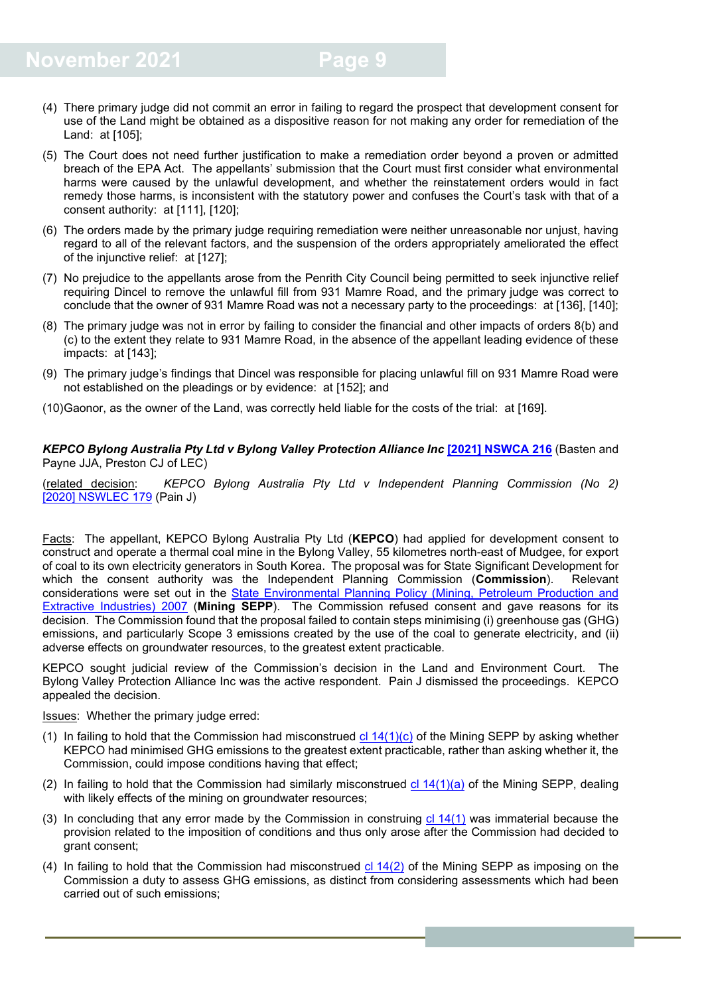- (4) There primary judge did not commit an error in failing to regard the prospect that development consent for use of the Land might be obtained as a dispositive reason for not making any order for remediation of the Land: at [105];
- (5) The Court does not need further justification to make a remediation order beyond a proven or admitted breach of the EPA Act. The appellants' submission that the Court must first consider what environmental harms were caused by the unlawful development, and whether the reinstatement orders would in fact remedy those harms, is inconsistent with the statutory power and confuses the Court's task with that of a consent authority: at [111], [120];
- (6) The orders made by the primary judge requiring remediation were neither unreasonable nor unjust, having regard to all of the relevant factors, and the suspension of the orders appropriately ameliorated the effect of the injunctive relief: at [127];
- (7) No prejudice to the appellants arose from the Penrith City Council being permitted to seek injunctive relief requiring Dincel to remove the unlawful fill from 931 Mamre Road, and the primary judge was correct to conclude that the owner of 931 Mamre Road was not a necessary party to the proceedings: at [136], [140];
- (8) The primary judge was not in error by failing to consider the financial and other impacts of orders 8(b) and (c) to the extent they relate to 931 Mamre Road, in the absence of the appellant leading evidence of these impacts: at [143];
- (9) The primary judge's findings that Dincel was responsible for placing unlawful fill on 931 Mamre Road were not established on the pleadings or by evidence: at [152]; and
- (10)Gaonor, as the owner of the Land, was correctly held liable for the costs of the trial: at [169].

*KEPCO Bylong Australia Pty Ltd v Bylong Valley Protection Alliance Inc* **[\[2021\] NSWCA 216](https://www.caselaw.nsw.gov.au/decision/17bdc46c60261455a452edea)** (Basten and Payne JJA, Preston CJ of LEC)

(related decision: *KEPCO Bylong Australia Pty Ltd v Independent Planning Commission (No 2)* [2020] [NSWLEC 179](https://www.caselaw.nsw.gov.au/decision/1766eae28a4f17b378e1aaa2) (Pain J)

Facts: The appellant, KEPCO Bylong Australia Pty Ltd (**KEPCO**) had applied for development consent to construct and operate a thermal coal mine in the Bylong Valley, 55 kilometres north-east of Mudgee, for export of coal to its own electricity generators in South Korea. The proposal was for State Significant Development for which the consent authority was the Independent Planning Commission (**Commission**). Relevant considerations were set out in the [State Environmental Planning Policy \(Mining, Petroleum Production and](https://legislation.nsw.gov.au/view/html/inforce/current/epi-2007-0065)  [Extractive Industries\) 2007](https://legislation.nsw.gov.au/view/html/inforce/current/epi-2007-0065) (**Mining SEPP**). The Commission refused consent and gave reasons for its decision. The Commission found that the proposal failed to contain steps minimising (i) greenhouse gas (GHG) emissions, and particularly Scope 3 emissions created by the use of the coal to generate electricity, and (ii) adverse effects on groundwater resources, to the greatest extent practicable.

KEPCO sought judicial review of the Commission's decision in the Land and Environment Court. The Bylong Valley Protection Alliance Inc was the active respondent. Pain J dismissed the proceedings. KEPCO appealed the decision.

**Issues:** Whether the primary judge erred:

- (1) In failing to hold that the Commission had misconstrued  $cl 14(1)(c)$  $cl 14(1)(c)$  of the Mining SEPP by asking whether KEPCO had minimised GHG emissions to the greatest extent practicable, rather than asking whether it, the Commission, could impose conditions having that effect;
- (2) In failing to hold that the Commission had similarly misconstrued cl  $14(1)(a)$  of the Mining SEPP, dealing with likely effects of the mining on groundwater resources;
- (3) In concluding that any error made by the Commission in construing  $cl 14(1)$  $cl 14(1)$  was immaterial because the provision related to the imposition of conditions and thus only arose after the Commission had decided to grant consent;
- (4) In failing to hold that the Commission had misconstrued  $cl 14(2)$  $cl 14(2)$  of the Mining SEPP as imposing on the Commission a duty to assess GHG emissions, as distinct from considering assessments which had been carried out of such emissions;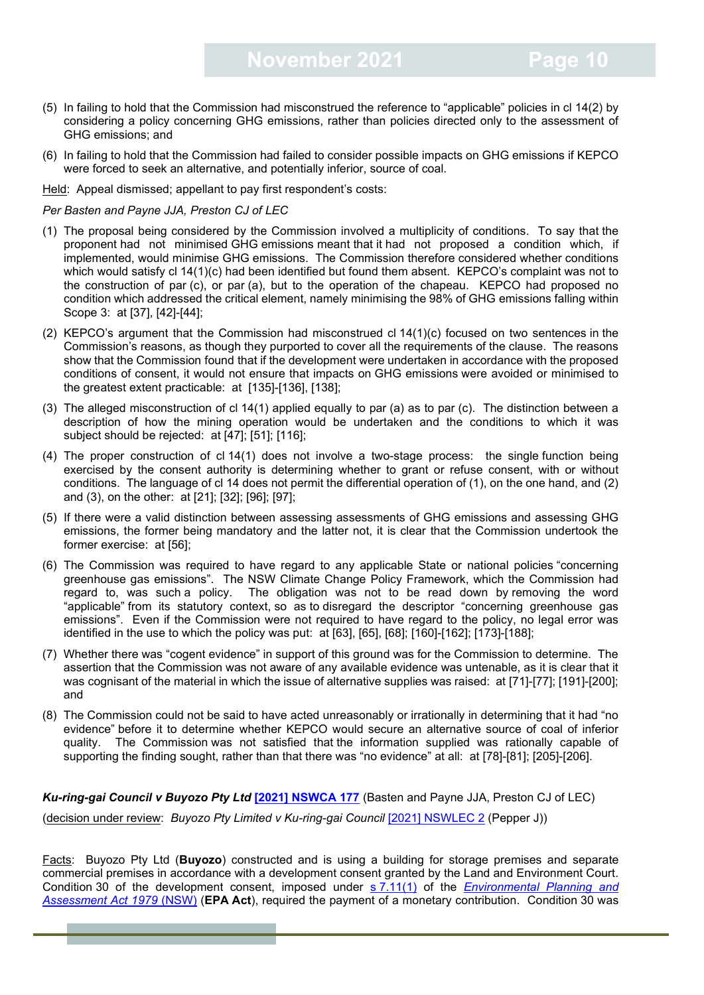- (5) In failing to hold that the Commission had misconstrued the reference to "applicable" policies in cl 14(2) by considering a policy concerning GHG emissions, rather than policies directed only to the assessment of GHG emissions; and
- (6) In failing to hold that the Commission had failed to consider possible impacts on GHG emissions if KEPCO were forced to seek an alternative, and potentially inferior, source of coal.

Held: Appeal dismissed; appellant to pay first respondent's costs:

#### *Per Basten and Payne JJA, Preston CJ of LEC*

- (1) The proposal being considered by the Commission involved a multiplicity of conditions. To say that the proponent had not minimised GHG emissions meant that it had not proposed a condition which, if implemented, would minimise GHG emissions. The Commission therefore considered whether conditions which would satisfy cl 14(1)(c) had been identified but found them absent. KEPCO's complaint was not to the construction of par (c), or par (a), but to the operation of the chapeau. KEPCO had proposed no condition which addressed the critical element, namely minimising the 98% of GHG emissions falling within Scope 3: at [37], [42]-[44];
- (2) KEPCO's argument that the Commission had misconstrued cl 14(1)(c) focused on two sentences in the Commission's reasons, as though they purported to cover all the requirements of the clause. The reasons show that the Commission found that if the development were undertaken in accordance with the proposed conditions of consent, it would not ensure that impacts on GHG emissions were avoided or minimised to the greatest extent practicable: at [135]-[136], [138];
- (3) The alleged misconstruction of cl 14(1) applied equally to par (a) as to par (c). The distinction between a description of how the mining operation would be undertaken and the conditions to which it was subject should be rejected: at [47]; [51]; [116];
- (4) The proper construction of cl 14(1) does not involve a two-stage process: the single function being exercised by the consent authority is determining whether to grant or refuse consent, with or without conditions. The language of cl 14 does not permit the differential operation of (1), on the one hand, and (2) and (3), on the other: at [21]; [32]; [96]; [97];
- (5) If there were a valid distinction between assessing assessments of GHG emissions and assessing GHG emissions, the former being mandatory and the latter not, it is clear that the Commission undertook the former exercise: at [56];
- (6) The Commission was required to have regard to any applicable State or national policies "concerning greenhouse gas emissions". The NSW Climate Change Policy Framework, which the Commission had regard to, was such a policy. The obligation was not to be read down by removing the word "applicable" from its statutory context, so as to disregard the descriptor "concerning greenhouse gas emissions". Even if the Commission were not required to have regard to the policy, no legal error was identified in the use to which the policy was put: at [63], [65], [68]; [160]-[162]; [173]-[188];
- (7) Whether there was "cogent evidence" in support of this ground was for the Commission to determine. The assertion that the Commission was not aware of any available evidence was untenable, as it is clear that it was cognisant of the material in which the issue of alternative supplies was raised: at [71]-[77]; [191]-[200]; and
- (8) The Commission could not be said to have acted unreasonably or irrationally in determining that it had "no evidence" before it to determine whether KEPCO would secure an alternative source of coal of inferior quality. The Commission was not satisfied that the information supplied was rationally capable of supporting the finding sought, rather than that there was "no evidence" at all: at [78]-[81]; [205]-[206].

*Ku-ring-gai Council v Buyozo Pty Ltd* **[\[2021\] NSWCA 177](https://www.caselaw.nsw.gov.au/decision/17b37b251e6ded781166557f)** (Basten and Payne JJA, Preston CJ of LEC) (decision under review: *Buyozo Pty Limited v Ku-ring-gai Council* [\[2021\] NSWLEC 2](https://www.caselaw.nsw.gov.au/decision/176d541f92f43476adb109e8) (Pepper J))

Facts: Buyozo Pty Ltd (**Buyozo**) constructed and is using a building for storage premises and separate commercial premises in accordance with a development consent granted by the Land and Environment Court. Condition 30 of the development consent, imposed under s [7.11\(1\)](https://legislation.nsw.gov.au/view/html/inforce/current/act-1979-203#sec.7.11) of the *[Environmental Planning and](https://legislation.nsw.gov.au/view/html/inforce/current/act-1979-203)  [Assessment Act 1979](https://legislation.nsw.gov.au/view/html/inforce/current/act-1979-203)* (NSW) (**EPA Act**), required the payment of a monetary contribution. Condition 30 was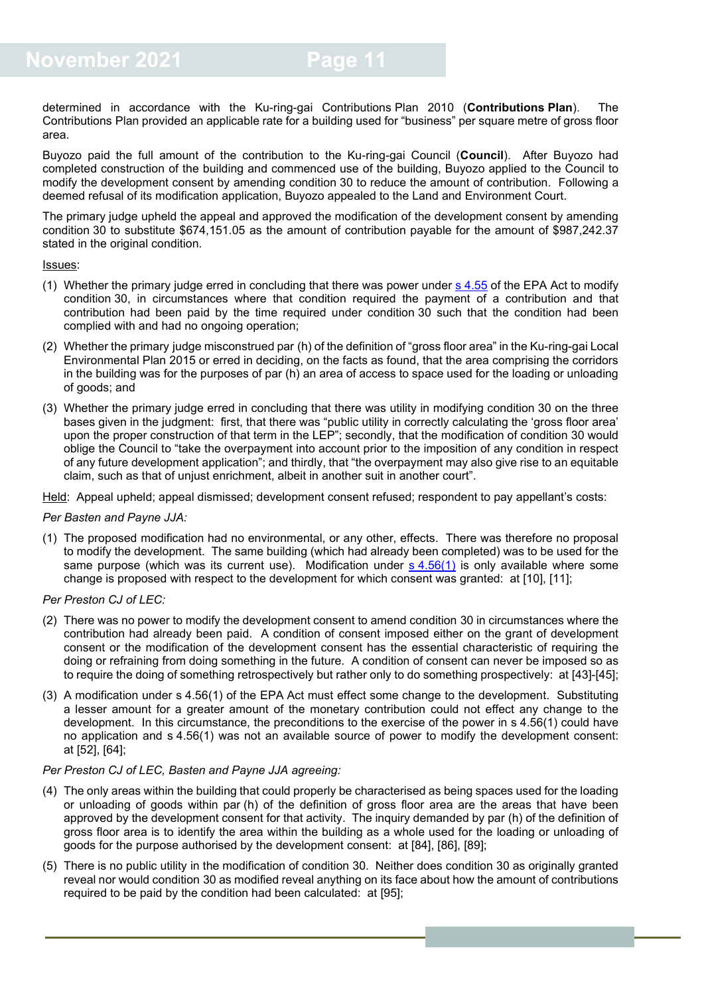determined in accordance with the Ku-ring-gai Contributions Plan 2010 (**Contributions Plan**). The Contributions Plan provided an applicable rate for a building used for "business" per square metre of gross floor area.

Buyozo paid the full amount of the contribution to the Ku-ring-gai Council (**Council**). After Buyozo had completed construction of the building and commenced use of the building, Buyozo applied to the Council to modify the development consent by amending condition 30 to reduce the amount of contribution. Following a deemed refusal of its modification application, Buyozo appealed to the Land and Environment Court.

The primary judge upheld the appeal and approved the modification of the development consent by amending condition 30 to substitute \$674,151.05 as the amount of contribution payable for the amount of \$987,242.37 stated in the original condition.

Issues:

- (1) Whether the primary judge erred in concluding that there was power under  $s$  [4.55](https://legislation.nsw.gov.au/view/html/inforce/current/act-1979-203#sec.4.55) of the EPA Act to modify condition 30, in circumstances where that condition required the payment of a contribution and that contribution had been paid by the time required under condition 30 such that the condition had been complied with and had no ongoing operation;
- (2) Whether the primary judge misconstrued par (h) of the definition of "gross floor area" in the Ku-ring-gai Local Environmental Plan 2015 or erred in deciding, on the facts as found, that the area comprising the corridors in the building was for the purposes of par (h) an area of access to space used for the loading or unloading of goods; and
- (3) Whether the primary judge erred in concluding that there was utility in modifying condition 30 on the three bases given in the judgment: first, that there was "public utility in correctly calculating the 'gross floor area' upon the proper construction of that term in the LEP"; secondly, that the modification of condition 30 would oblige the Council to "take the overpayment into account prior to the imposition of any condition in respect of any future development application"; and thirdly, that "the overpayment may also give rise to an equitable claim, such as that of unjust enrichment, albeit in another suit in another court".

Held: Appeal upheld; appeal dismissed; development consent refused; respondent to pay appellant's costs:

#### *Per Basten and Payne JJA:*

- (1) The proposed modification had no environmental, or any other, effects. There was therefore no proposal to modify the development. The same building (which had already been completed) was to be used for the same purpose (which was its current use). Modification under  $s$  [4.56\(1\)](https://legislation.nsw.gov.au/view/html/inforce/current/act-1979-203#sec.4.56) is only available where some change is proposed with respect to the development for which consent was granted: at [10], [11];
- *Per Preston CJ of LEC:*
- (2) There was no power to modify the development consent to amend condition 30 in circumstances where the contribution had already been paid. A condition of consent imposed either on the grant of development consent or the modification of the development consent has the essential characteristic of requiring the doing or refraining from doing something in the future. A condition of consent can never be imposed so as to require the doing of something retrospectively but rather only to do something prospectively: at [43]-[45];
- (3) A modification under s 4.56(1) of the EPA Act must effect some change to the development. Substituting a lesser amount for a greater amount of the monetary contribution could not effect any change to the development. In this circumstance, the preconditions to the exercise of the power in s 4.56(1) could have no application and s 4.56(1) was not an available source of power to modify the development consent: at [52], [64];

#### *Per Preston CJ of LEC, Basten and Payne JJA agreeing:*

- (4) The only areas within the building that could properly be characterised as being spaces used for the loading or unloading of goods within par (h) of the definition of gross floor area are the areas that have been approved by the development consent for that activity. The inquiry demanded by par (h) of the definition of gross floor area is to identify the area within the building as a whole used for the loading or unloading of goods for the purpose authorised by the development consent: at [84], [86], [89];
- (5) There is no public utility in the modification of condition 30. Neither does condition 30 as originally granted reveal nor would condition 30 as modified reveal anything on its face about how the amount of contributions required to be paid by the condition had been calculated: at [95];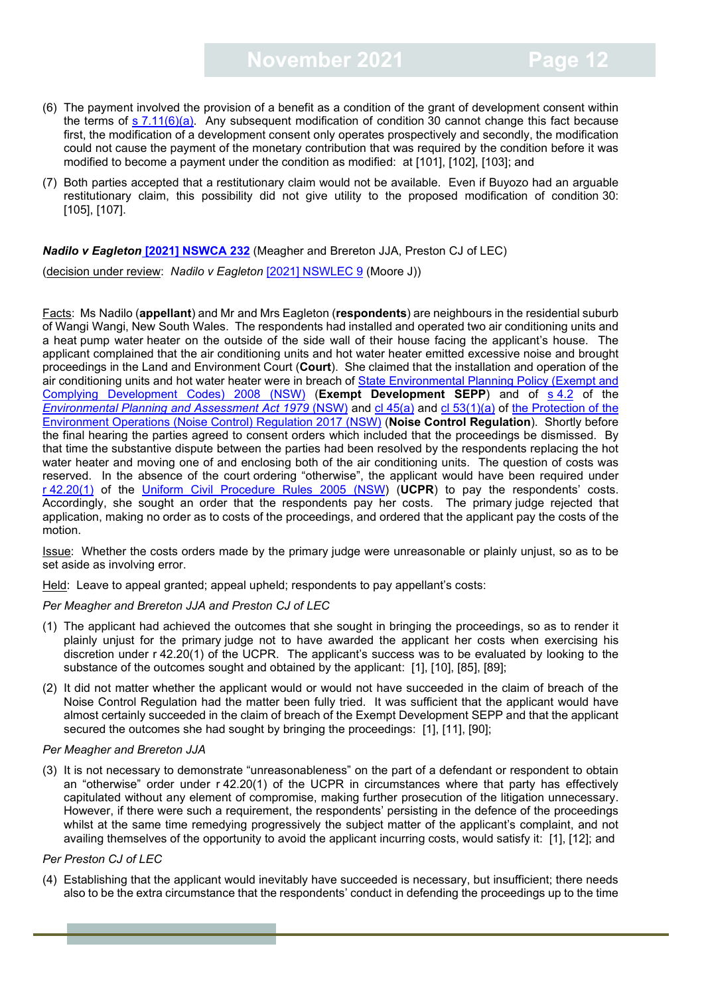- (6) The payment involved the provision of a benefit as a condition of the grant of development consent within the terms of  $s$  [7.11\(6\)\(a\).](https://legislation.nsw.gov.au/view/html/inforce/current/act-1979-203#sec.7.11) Any subsequent modification of condition 30 cannot change this fact because first, the modification of a development consent only operates prospectively and secondly, the modification could not cause the payment of the monetary contribution that was required by the condition before it was modified to become a payment under the condition as modified: at [101], [102], [103]; and
- (7) Both parties accepted that a restitutionary claim would not be available. Even if Buyozo had an arguable restitutionary claim, this possibility did not give utility to the proposed modification of condition 30: [105], [107].

#### *Nadilo v Eagleton* **[\[2021\] NSWCA 232](https://www.caselaw.nsw.gov.au/decision/17c0bfc64f0e2adef48a34fc)** (Meagher and Brereton JJA, Preston CJ of LEC)

(decision under review: *Nadilo v Eagleton* [\[2021\] NSWLEC 9](https://www.caselaw.nsw.gov.au/decision/177893854565ba837446a851) (Moore J))

Facts: Ms Nadilo (**appellant**) and Mr and Mrs Eagleton (**respondents**) are neighbours in the residential suburb of Wangi Wangi, New South Wales. The respondents had installed and operated two air conditioning units and a heat pump water heater on the outside of the side wall of their house facing the applicant's house. The applicant complained that the air conditioning units and hot water heater emitted excessive noise and brought proceedings in the Land and Environment Court (**Court**). She claimed that the installation and operation of the air conditioning units and hot water heater were in breach of State Environmental Planning Policy (Exempt and [Complying Development Codes\) 2008 \(NSW\)](https://legislation.nsw.gov.au/view/html/inforce/current/epi-2008-0572) (**Exempt Development SEPP**) and of s [4.2](https://legislation.nsw.gov.au/view/html/inforce/current/act-1979-203#sec.4.2) of the *Environmental [Planning and Assessment Act 1979](https://legislation.nsw.gov.au/view/html/inforce/current/act-1979-203)* (NSW) and cl [45\(a\)](https://legislation.nsw.gov.au/view/html/inforce/current/sl-2017-0449#sec.45) and cl [53\(1\)\(a\)](https://legislation.nsw.gov.au/view/html/inforce/current/sl-2017-0449#sec.53) of [the Protection of the](https://legislation.nsw.gov.au/view/html/inforce/current/sl-2017-0449)  [Environment Operations \(Noise Control\) Regulation 2017](https://legislation.nsw.gov.au/view/html/inforce/current/sl-2017-0449) (NSW) (**Noise Control Regulation**). Shortly before the final hearing the parties agreed to consent orders which included that the proceedings be dismissed. By that time the substantive dispute between the parties had been resolved by the respondents replacing the hot water heater and moving one of and enclosing both of the air conditioning units. The question of costs was reserved. In the absence of the court ordering "otherwise", the applicant would have been required under r [42.20\(1\)](https://legislation.nsw.gov.au/view/html/inforce/current/sl-2005-0418#sec.42.20) of the [Uniform Civil Procedure Rules 2005](https://legislation.nsw.gov.au/view/html/inforce/current/sl-2005-0418) (NSW) (**UCPR**) to pay the respondents' costs. Accordingly, she sought an order that the respondents pay her costs. The primary judge rejected that application, making no order as to costs of the proceedings, and ordered that the applicant pay the costs of the motion.

Issue: Whether the costs orders made by the primary judge were unreasonable or plainly unjust, so as to be set aside as involving error.

Held: Leave to appeal granted; appeal upheld; respondents to pay appellant's costs:

#### *Per Meagher and Brereton JJA and Preston CJ of LEC*

- (1) The applicant had achieved the outcomes that she sought in bringing the proceedings, so as to render it plainly unjust for the primary judge not to have awarded the applicant her costs when exercising his discretion under r 42.20(1) of the UCPR. The applicant's success was to be evaluated by looking to the substance of the outcomes sought and obtained by the applicant: [1], [10], [85], [89];
- (2) It did not matter whether the applicant would or would not have succeeded in the claim of breach of the Noise Control Regulation had the matter been fully tried. It was sufficient that the applicant would have almost certainly succeeded in the claim of breach of the Exempt Development SEPP and that the applicant secured the outcomes she had sought by bringing the proceedings: [1], [11], [90];

#### *Per Meagher and Brereton JJA*

(3) It is not necessary to demonstrate "unreasonableness" on the part of a defendant or respondent to obtain an "otherwise" order under r 42.20(1) of the UCPR in circumstances where that party has effectively capitulated without any element of compromise, making further prosecution of the litigation unnecessary. However, if there were such a requirement, the respondents' persisting in the defence of the proceedings whilst at the same time remedying progressively the subject matter of the applicant's complaint, and not availing themselves of the opportunity to avoid the applicant incurring costs, would satisfy it: [1], [12]; and

#### *Per Preston CJ of LEC*

(4) Establishing that the applicant would inevitably have succeeded is necessary, but insufficient; there needs also to be the extra circumstance that the respondents' conduct in defending the proceedings up to the time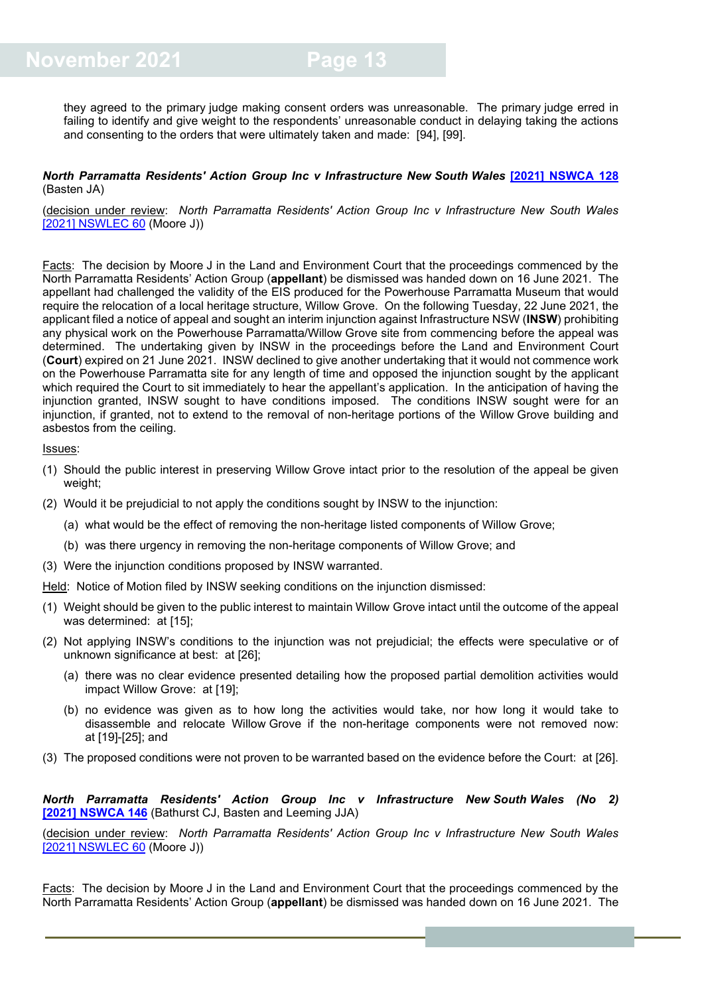they agreed to the primary judge making consent orders was unreasonable. The primary judge erred in failing to identify and give weight to the respondents' unreasonable conduct in delaying taking the actions and consenting to the orders that were ultimately taken and made: [94], [99].

#### *North Parramatta Residents' Action Group Inc v Infrastructure New South Wales* **[\[2021\] NSWCA 128](https://www.caselaw.nsw.gov.au/search/advanced)** (Basten JA)

(decision under review: *North Parramatta Residents' Action Group Inc v Infrastructure New South Wales* [2021] [NSWLEC 60](https://www.caselaw.nsw.gov.au/search/advanced) (Moore J))

Facts: The decision by Moore J in the Land and Environment Court that the proceedings commenced by the North Parramatta Residents' Action Group (**appellant**) be dismissed was handed down on 16 June 2021. The appellant had challenged the validity of the EIS produced for the Powerhouse Parramatta Museum that would require the relocation of a local heritage structure, Willow Grove. On the following Tuesday, 22 June 2021, the applicant filed a notice of appeal and sought an interim injunction against Infrastructure NSW (**INSW**) prohibiting any physical work on the Powerhouse Parramatta/Willow Grove site from commencing before the appeal was determined. The undertaking given by INSW in the proceedings before the Land and Environment Court (**Court**) expired on 21 June 2021. INSW declined to give another undertaking that it would not commence work on the Powerhouse Parramatta site for any length of time and opposed the injunction sought by the applicant which required the Court to sit immediately to hear the appellant's application. In the anticipation of having the injunction granted, INSW sought to have conditions imposed. The conditions INSW sought were for an injunction, if granted, not to extend to the removal of non-heritage portions of the Willow Grove building and asbestos from the ceiling.

#### Issues:

- (1) Should the public interest in preserving Willow Grove intact prior to the resolution of the appeal be given weight;
- (2) Would it be prejudicial to not apply the conditions sought by INSW to the injunction:
	- (a) what would be the effect of removing the non-heritage listed components of Willow Grove;
	- (b) was there urgency in removing the non-heritage components of Willow Grove; and
- (3) Were the injunction conditions proposed by INSW warranted.

Held: Notice of Motion filed by INSW seeking conditions on the injunction dismissed:

- (1) Weight should be given to the public interest to maintain Willow Grove intact until the outcome of the appeal was determined: at [15]:
- (2) Not applying INSW's conditions to the injunction was not prejudicial; the effects were speculative or of unknown significance at best: at [26];
	- (a) there was no clear evidence presented detailing how the proposed partial demolition activities would impact Willow Grove: at [19];
	- (b) no evidence was given as to how long the activities would take, nor how long it would take to disassemble and relocate Willow Grove if the non-heritage components were not removed now: at [19]-[25]; and
- (3) The proposed conditions were not proven to be warranted based on the evidence before the Court: at [26].

#### *North Parramatta Residents' Action Group Inc v Infrastructure New South Wales (No 2)* **[2021] [NSWCA](https://www.caselaw.nsw.gov.au/decision/17aa80bb727fda27e3d761f0) 146** (Bathurst CJ, Basten and Leeming JJA)

(decision under review: *North Parramatta Residents' Action Group Inc v Infrastructure New South Wales* [2021] [NSWLEC 60](https://www.caselaw.nsw.gov.au/search/advanced) (Moore J))

Facts: The decision by Moore J in the Land and Environment Court that the proceedings commenced by the North Parramatta Residents' Action Group (**appellant**) be dismissed was handed down on 16 June 2021. The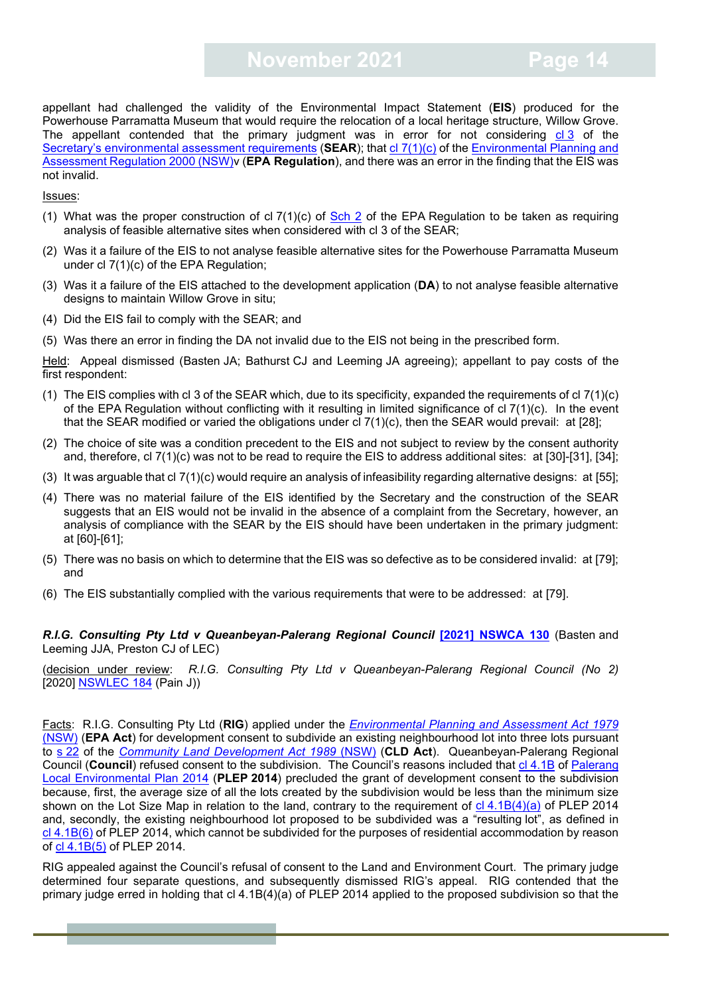## **November 2021 Page 14**

appellant had challenged the validity of the Environmental Impact Statement (**EIS**) produced for the Powerhouse Parramatta Museum that would require the relocation of a local heritage structure, Willow Grove. The appellant contended that the primary judgment was in error for not considering  $c13$  of the Secretary's [environmental assessment requirements](https://majorprojects.planningportal.nsw.gov.au/prweb/PRRestService/mp/01/getContent?AttachRef=SSD-10416%2120200210T041251.723%20GMT) (SEAR); that cl [7\(1\)\(c\)](https://legislation.nsw.gov.au/view/html/inforce/current/sl-2000-0557#sch.2-sec.7) of the Environmental Planning and [Assessment Regulation 2000 \(NSW\)v](https://legislation.nsw.gov.au/view/html/inforce/current/sl-2000-0557) (**EPA Regulation**), and there was an error in the finding that the EIS was not invalid.

Issues:

- (1) What was the proper construction of cl  $7(1)(c)$  of [Sch 2](https://legislation.nsw.gov.au/view/html/inforce/current/sl-2000-0557#sch.2-sec.7) of the EPA Regulation to be taken as requiring analysis of feasible alternative sites when considered with cl 3 of the SEAR;
- (2) Was it a failure of the EIS to not analyse feasible alternative sites for the Powerhouse Parramatta Museum under cl 7(1)(c) of the EPA Regulation;
- (3) Was it a failure of the EIS attached to the development application (**DA**) to not analyse feasible alternative designs to maintain Willow Grove in situ;
- (4) Did the EIS fail to comply with the SEAR; and
- (5) Was there an error in finding the DA not invalid due to the EIS not being in the prescribed form.

Held: Appeal dismissed (Basten JA; Bathurst CJ and Leeming JA agreeing); appellant to pay costs of the first respondent:

- (1) The EIS complies with cl 3 of the SEAR which, due to its specificity, expanded the requirements of cl  $7(1)(c)$ of the EPA Regulation without conflicting with it resulting in limited significance of cl 7(1)(c). In the event that the SEAR modified or varied the obligations under cl  $7(1)(c)$ , then the SEAR would prevail: at [28];
- (2) The choice of site was a condition precedent to the EIS and not subject to review by the consent authority and, therefore, cl 7(1)(c) was not to be read to require the EIS to address additional sites: at [30]-[31], [34];
- $(3)$  It was arguable that cl  $7(1)(c)$  would require an analysis of infeasibility regarding alternative designs: at [55];
- (4) There was no material failure of the EIS identified by the Secretary and the construction of the SEAR suggests that an EIS would not be invalid in the absence of a complaint from the Secretary, however, an analysis of compliance with the SEAR by the EIS should have been undertaken in the primary judgment: at [60]-[61];
- (5) There was no basis on which to determine that the EIS was so defective as to be considered invalid: at [79]; and
- (6) The EIS substantially complied with the various requirements that were to be addressed: at [79].

#### *R.I.G. Consulting Pty Ltd v Queanbeyan-Palerang Regional Council* **[\[2021\] NSWCA 130](https://www.caselaw.nsw.gov.au/decision/17a55737d29effc69f8caeb5)** (Basten and Leeming JJA, Preston CJ of LEC)

(decision under review: *R.I.G. Consulting Pty Ltd v Queanbeyan-Palerang Regional Council (No 2)*  [2020] [NSWLEC 184](https://www.caselaw.nsw.gov.au/decision/1768944412c2927004b36857) (Pain J))

Facts: R.I.G. Consulting Pty Ltd (**RIG**) applied under the *[Environmental Planning and Assessment Act 1979](https://legislation.nsw.gov.au/view/html/inforce/current/act-1979-203)* (NSW) (**EPA Act**) for development consent to subdivide an existing neighbourhood lot into three lots pursuant to s [22](https://legislation.nsw.gov.au/view/html/repealed/current/act-1989-201#sec.22) of the *[Community Land Development Act 1989](https://legislation.nsw.gov.au/view/html/repealed/current/act-1989-201)* (NSW) (**CLD Act**). Queanbeyan-Palerang Regional Council (**Council**) refused consent to the subdivision. The Council's reasons included that cl [4.1B](https://legislation.nsw.gov.au/view/whole/html/inforce/current/epi-2014-0623#sec.4.1B) of [Palerang](https://legislation.nsw.gov.au/view/whole/html/inforce/current/epi-2014-0623)  [Local Environmental Plan 2014](https://legislation.nsw.gov.au/view/whole/html/inforce/current/epi-2014-0623) (**PLEP 2014**) precluded the grant of development consent to the subdivision because, first, the average size of all the lots created by the subdivision would be less than the minimum size shown on the Lot Size Map in relation to the land, contrary to the requirement of cl [4.1B\(4\)\(a\)](https://legislation.nsw.gov.au/view/whole/html/inforce/current/epi-2014-0623#sec.4.1B) of PLEP 2014 and, secondly, the existing neighbourhood lot proposed to be subdivided was a "resulting lot", as defined in cl [4.1B\(6\)](https://legislation.nsw.gov.au/view/whole/html/inforce/current/epi-2014-0623#sec.4.1B) of PLEP 2014, which cannot be subdivided for the purposes of residential accommodation by reason of cl [4.1B\(5\)](https://legislation.nsw.gov.au/view/whole/html/inforce/current/epi-2014-0623#sec.4.1B) of PLEP 2014.

RIG appealed against the Council's refusal of consent to the Land and Environment Court. The primary judge determined four separate questions, and subsequently dismissed RIG's appeal. RIG contended that the primary judge erred in holding that cl 4.1B(4)(a) of PLEP 2014 applied to the proposed subdivision so that the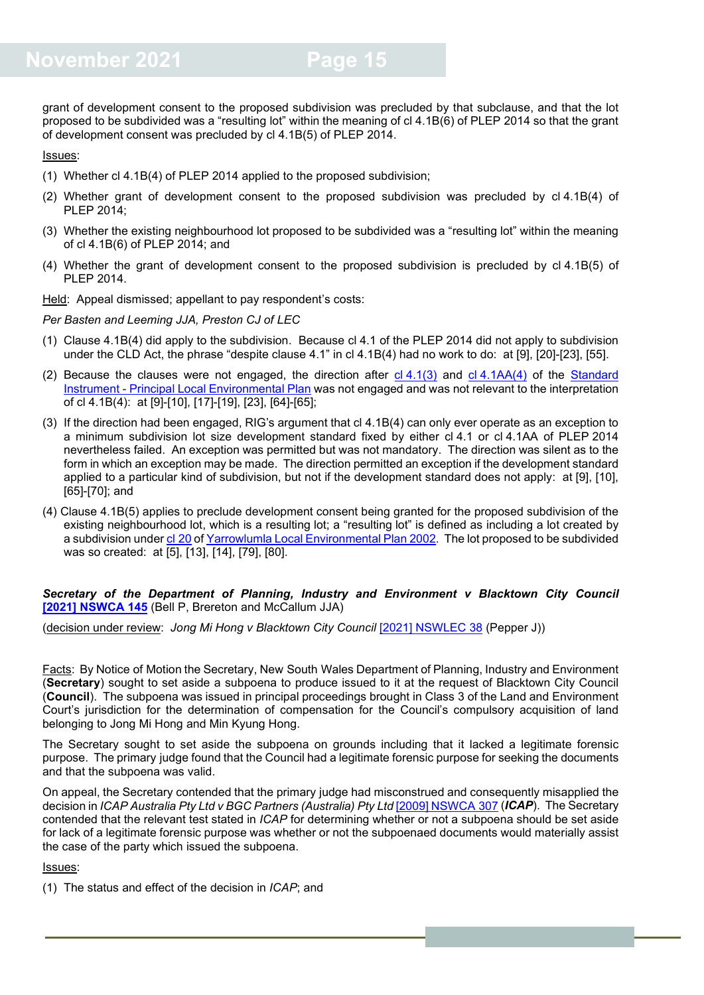grant of development consent to the proposed subdivision was precluded by that subclause, and that the lot proposed to be subdivided was a "resulting lot" within the meaning of cl 4.1B(6) of PLEP 2014 so that the grant of development consent was precluded by cl 4.1B(5) of PLEP 2014.

#### Issues:

- (1) Whether cl 4.1B(4) of PLEP 2014 applied to the proposed subdivision;
- (2) Whether grant of development consent to the proposed subdivision was precluded by cl 4.1B(4) of PLEP 2014;
- (3) Whether the existing neighbourhood lot proposed to be subdivided was a "resulting lot" within the meaning of cl 4.1B(6) of PLEP 2014; and
- (4) Whether the grant of development consent to the proposed subdivision is precluded by cl 4.1B(5) of PLEP 2014.

Held: Appeal dismissed; appellant to pay respondent's costs:

*Per Basten and Leeming JJA, Preston CJ of LEC*

- (1) Clause 4.1B(4) did apply to the subdivision. Because cl 4.1 of the PLEP 2014 did not apply to subdivision under the CLD Act, the phrase "despite clause 4.1" in cl 4.1B(4) had no work to do: at [9], [20]-[23], [55].
- (2) Because the clauses were not engaged, the direction after  $cl 4.1(3)$  $cl 4.1(3)$  and  $cl 4.1AA(4)$  $cl 4.1AA(4)$  of the Standard Instrument - [Principal Local Environmental Plan](https://legislation.nsw.gov.au/view/html/inforce/current/epi-2006-155a) was not engaged and was not relevant to the interpretation of cl 4.1B(4): at [9]-[10], [17]-[19], [23], [64]-[65];
- (3) If the direction had been engaged, RIG's argument that cl 4.1B(4) can only ever operate as an exception to a minimum subdivision lot size development standard fixed by either cl 4.1 or cl 4.1AA of PLEP 2014 nevertheless failed. An exception was permitted but was not mandatory. The direction was silent as to the form in which an exception may be made. The direction permitted an exception if the development standard applied to a particular kind of subdivision, but not if the development standard does not apply: at [9], [10], [65]-[70]; and
- (4) Clause 4.1B(5) applies to preclude development consent being granted for the proposed subdivision of the existing neighbourhood lot, which is a resulting lot; a "resulting lot" is defined as including a lot created by a subdivision under cl [20](https://legislation.nsw.gov.au/view/html/inforce/current/epi-2002-0356#sec.20) o[f Yarrowlumla Local Environmental Plan 2002.](https://legislation.nsw.gov.au/view/html/inforce/current/epi-2002-0356) The lot proposed to be subdivided was so created: at [5], [13], [14], [79], [80].

#### *Secretary of the Department of Planning, Industry and Environment v Blacktown City Council* **[2021] [NSWCA 145](https://www.caselaw.nsw.gov.au/decision/17aa38310f7d562185166edb)** (Bell P, Brereton and McCallum JJA)

(decision under review: *Jong Mi Hong v Blacktown City Council* [\[2021\] NSWLEC 38](https://www.caselaw.nsw.gov.au/decision/17916db7ba01adfc6a4850ea) (Pepper J))

Facts: By Notice of Motion the Secretary, New South Wales Department of Planning, Industry and Environment (**Secretary**) sought to set aside a subpoena to produce issued to it at the request of Blacktown City Council (**Council**). The subpoena was issued in principal proceedings brought in Class 3 of the Land and Environment Court's jurisdiction for the determination of compensation for the Council's compulsory acquisition of land belonging to Jong Mi Hong and Min Kyung Hong.

The Secretary sought to set aside the subpoena on grounds including that it lacked a legitimate forensic purpose. The primary judge found that the Council had a legitimate forensic purpose for seeking the documents and that the subpoena was valid.

On appeal, the Secretary contended that the primary judge had misconstrued and consequently misapplied the decision in *ICAP Australia Pty Ltd v BGC Partners (Australia) Pty Ltd* [\[2009\] NSWCA](https://www.caselaw.nsw.gov.au/decision/549ff9d53004262463c724c3) 307 (*ICAP*). The Secretary contended that the relevant test stated in *ICAP* for determining whether or not a subpoena should be set aside for lack of a legitimate forensic purpose was whether or not the subpoenaed documents would materially assist the case of the party which issued the subpoena.

Issues:

(1) The status and effect of the decision in *ICAP*; and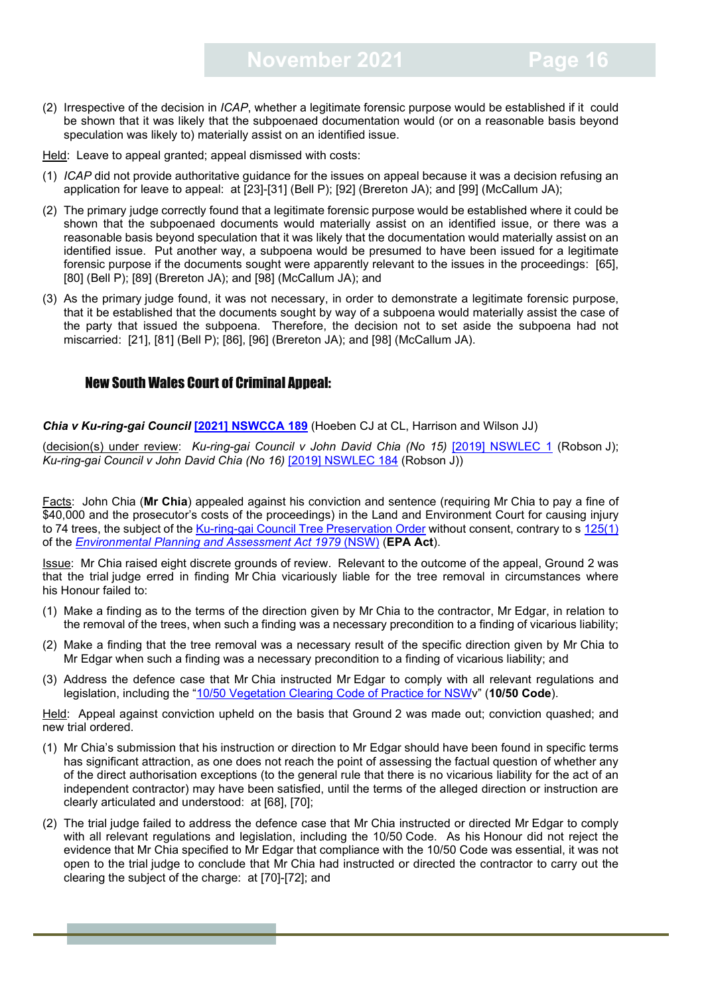(2) Irrespective of the decision in *ICAP*, whether a legitimate forensic purpose would be established if it could be shown that it was likely that the subpoenaed documentation would (or on a reasonable basis beyond speculation was likely to) materially assist on an identified issue.

Held: Leave to appeal granted; appeal dismissed with costs:

- (1) *ICAP* did not provide authoritative guidance for the issues on appeal because it was a decision refusing an application for leave to appeal: at [23]-[31] (Bell P); [92] (Brereton JA); and [99] (McCallum JA);
- (2) The primary judge correctly found that a legitimate forensic purpose would be established where it could be shown that the subpoenaed documents would materially assist on an identified issue, or there was a reasonable basis beyond speculation that it was likely that the documentation would materially assist on an identified issue. Put another way, a subpoena would be presumed to have been issued for a legitimate forensic purpose if the documents sought were apparently relevant to the issues in the proceedings: [65], [80] (Bell P); [89] (Brereton JA); and [98] (McCallum JA); and
- (3) As the primary judge found, it was not necessary, in order to demonstrate a legitimate forensic purpose, that it be established that the documents sought by way of a subpoena would materially assist the case of the party that issued the subpoena. Therefore, the decision not to set aside the subpoena had not miscarried: [21], [81] (Bell P); [86], [96] (Brereton JA); and [98] (McCallum JA).

#### <span id="page-15-0"></span>New South Wales Court of Criminal Appeal:

*Chia v Ku-ring-gai Council* **[\[2021\] NSWCCA 189](https://www.caselaw.nsw.gov.au/decision/17b2895075223c37a6a576a6)** (Hoeben CJ at CL, Harrison and Wilson JJ)

(decision(s) under review: *Ku-ring-gai Council v John David Chia (No 15)* [\[2019\] NSWLEC 1](https://www.caselaw.nsw.gov.au/decision/5c2ef569e4b0b9ab40212c52) (Robson J); *Ku-ring-gai Council v John David Chia (No 16)* [\[2019\] NSWLEC 184](https://www.caselaw.nsw.gov.au/decision/5ddf1b0fe4b0c3247d713718) (Robson J))

Facts: John Chia (**Mr Chia**) appealed against his conviction and sentence (requiring Mr Chia to pay a fine of \$40,000 and the prosecutor's costs of the proceedings) in the Land and Environment Court for causing injury to 74 trees, the subject of the [Ku-ring-gai Council Tree Preservation Order](https://www.treeloppers.net.au/pdf/Kuring-gai%20Council%20-%20TPO%20Tree%20Preservation%20Order.pdf) without consent, contrary to s [125\(1\)](https://legislation.nsw.gov.au/view/html/inforce/2014-09-12/act-1979-203#sec.125) of the *[Environmental Planning and Assessment Act 1979](https://legislation.nsw.gov.au/view/html/inforce/2014-09-12/act-1979-203#statusinformation)* (NSW) (**EPA Act**).

Issue: Mr Chia raised eight discrete grounds of review. Relevant to the outcome of the appeal, Ground 2 was that the trial judge erred in finding Mr Chia vicariously liable for the tree removal in circumstances where his Honour failed to:

- (1) Make a finding as to the terms of the direction given by Mr Chia to the contractor, Mr Edgar, in relation to the removal of the trees, when such a finding was a necessary precondition to a finding of vicarious liability;
- (2) Make a finding that the tree removal was a necessary result of the specific direction given by Mr Chia to Mr Edgar when such a finding was a necessary precondition to a finding of vicarious liability; and
- (3) Address the defence case that Mr Chia instructed Mr Edgar to comply with all relevant regulations and legislation, including the ["10/50 Vegetation Clearing Code of Practice for NSWv](http://classic.austlii.edu.au/au/legis/nsw/consol_act/rfa1997138/s100q.html)" (**10/50 Code**).

Held: Appeal against conviction upheld on the basis that Ground 2 was made out; conviction quashed; and new trial ordered.

- (1) Mr Chia's submission that his instruction or direction to Mr Edgar should have been found in specific terms has significant attraction, as one does not reach the point of assessing the factual question of whether any of the direct authorisation exceptions (to the general rule that there is no vicarious liability for the act of an independent contractor) may have been satisfied, until the terms of the alleged direction or instruction are clearly articulated and understood: at [68], [70];
- (2) The trial judge failed to address the defence case that Mr Chia instructed or directed Mr Edgar to comply with all relevant regulations and legislation, including the 10/50 Code. As his Honour did not reject the evidence that Mr Chia specified to Mr Edgar that compliance with the 10/50 Code was essential, it was not open to the trial judge to conclude that Mr Chia had instructed or directed the contractor to carry out the clearing the subject of the charge: at [70]-[72]; and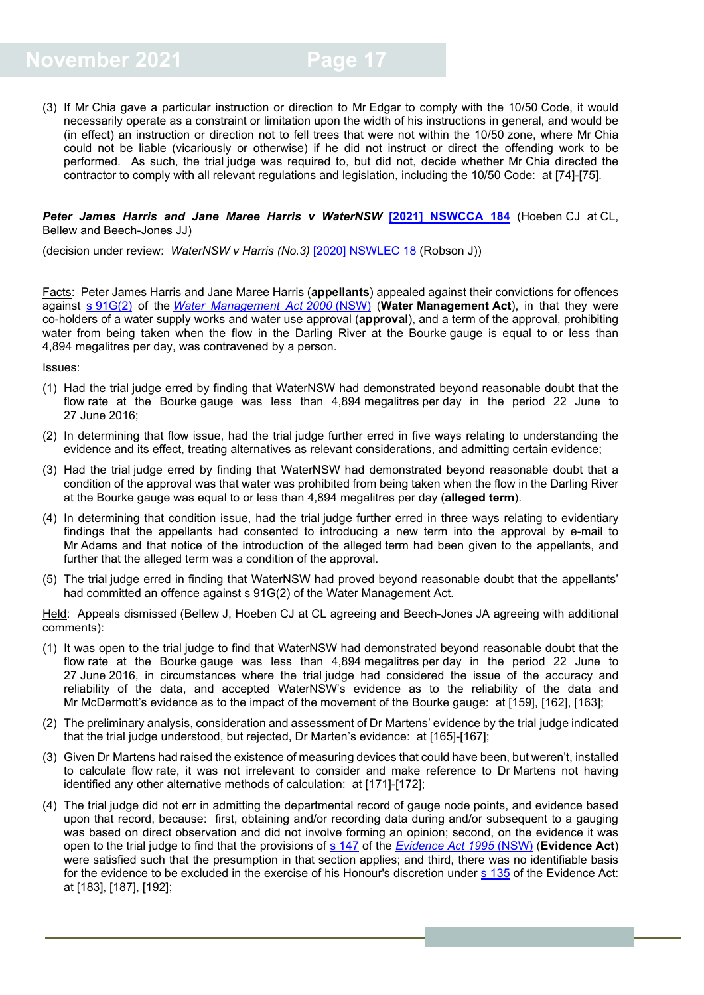(3) If Mr Chia gave a particular instruction or direction to Mr Edgar to comply with the 10/50 Code, it would necessarily operate as a constraint or limitation upon the width of his instructions in general, and would be (in effect) an instruction or direction not to fell trees that were not within the 10/50 zone, where Mr Chia could not be liable (vicariously or otherwise) if he did not instruct or direct the offending work to be performed. As such, the trial judge was required to, but did not, decide whether Mr Chia directed the contractor to comply with all relevant regulations and legislation, including the 10/50 Code: at [74]-[75].

#### *Peter James Harris and Jane Maree Harris v WaterNSW* **[\[2021\] NSWCCA 184](https://www.caselaw.nsw.gov.au/decision/17b13fc6a323c62732397802)** (Hoeben CJ at CL, Bellew and Beech-Jones JJ)

(decision under review: *WaterNSW v Harris (No.3)* [\[2020\] NSWLEC 18](https://www.caselaw.nsw.gov.au/decision/5e7011dfe4b0529762cf04f1) (Robson J))

Facts: Peter James Harris and Jane Maree Harris (**appellants**) appealed against their convictions for offences against s [91G\(2\)](https://legislation.nsw.gov.au/view/html/inforce/current/act-2000-092#sec.91G) of the *[Water Management Act](https://legislation.nsw.gov.au/view/html/inforce/current/act-2000-092#statusinformation) 2000* (NSW) (**Water Management Act**), in that they were co-holders of a water supply works and water use approval (**approval**), and a term of the approval, prohibiting water from being taken when the flow in the Darling River at the Bourke gauge is equal to or less than 4,894 megalitres per day, was contravened by a person.

Issues:

- (1) Had the trial judge erred by finding that WaterNSW had demonstrated beyond reasonable doubt that the flow rate at the Bourke gauge was less than 4,894 megalitres per day in the period 22 June to 27 June 2016;
- (2) In determining that flow issue, had the trial judge further erred in five ways relating to understanding the evidence and its effect, treating alternatives as relevant considerations, and admitting certain evidence;
- (3) Had the trial judge erred by finding that WaterNSW had demonstrated beyond reasonable doubt that a condition of the approval was that water was prohibited from being taken when the flow in the Darling River at the Bourke gauge was equal to or less than 4,894 megalitres per day (**alleged term**).
- (4) In determining that condition issue, had the trial judge further erred in three ways relating to evidentiary findings that the appellants had consented to introducing a new term into the approval by e-mail to Mr Adams and that notice of the introduction of the alleged term had been given to the appellants, and further that the alleged term was a condition of the approval.
- (5) The trial judge erred in finding that WaterNSW had proved beyond reasonable doubt that the appellants' had committed an offence against s 91G(2) of the Water Management Act.

Held: Appeals dismissed (Bellew J, Hoeben CJ at CL agreeing and Beech-Jones JA agreeing with additional comments):

- (1) It was open to the trial judge to find that WaterNSW had demonstrated beyond reasonable doubt that the flow rate at the Bourke gauge was less than 4,894 megalitres per day in the period 22 June to 27 June 2016, in circumstances where the trial judge had considered the issue of the accuracy and reliability of the data, and accepted WaterNSW's evidence as to the reliability of the data and Mr McDermott's evidence as to the impact of the movement of the Bourke gauge: at [159], [162], [163];
- (2) The preliminary analysis, consideration and assessment of Dr Martens' evidence by the trial judge indicated that the trial judge understood, but rejected, Dr Marten's evidence: at [165]-[167];
- (3) Given Dr Martens had raised the existence of measuring devices that could have been, but weren't, installed to calculate flow rate, it was not irrelevant to consider and make reference to Dr Martens not having identified any other alternative methods of calculation: at [171]-[172];
- (4) The trial judge did not err in admitting the departmental record of gauge node points, and evidence based upon that record, because: first, obtaining and/or recording data during and/or subsequent to a gauging was based on direct observation and did not involve forming an opinion; second, on the evidence it was open to the trial judge to find that the provisions of s [147](https://legislation.nsw.gov.au/view/html/inforce/current/act-1995-025#sec.147) of the *[Evidence](https://legislation.nsw.gov.au/view/html/inforce/current/act-1995-025#statusinformation) Act 1995* (NSW) (**Evidence Act**) were satisfied such that the presumption in that section applies; and third, there was no identifiable basis for the evidence to be excluded in the exercise of his Honour's discretion under s [135](https://legislation.nsw.gov.au/view/html/inforce/current/act-1995-025#sec.135) of the Evidence Act: at [183], [187], [192];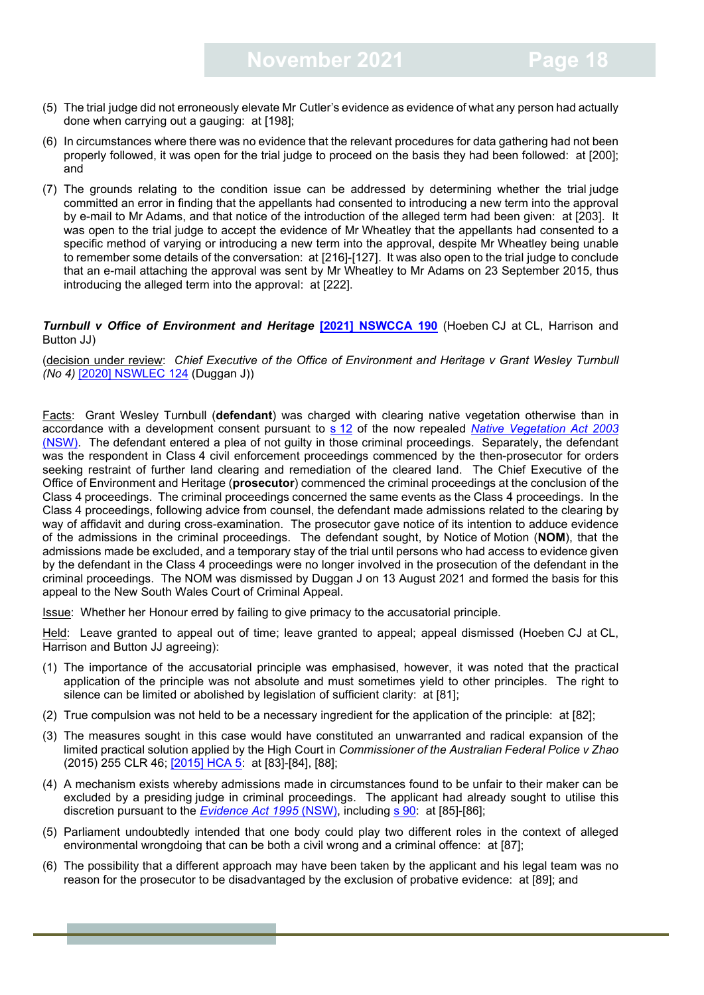- (5) The trial judge did not erroneously elevate Mr Cutler's evidence as evidence of what any person had actually done when carrying out a gauging: at [198];
- (6) In circumstances where there was no evidence that the relevant procedures for data gathering had not been properly followed, it was open for the trial judge to proceed on the basis they had been followed: at [200]; and
- (7) The grounds relating to the condition issue can be addressed by determining whether the trial judge committed an error in finding that the appellants had consented to introducing a new term into the approval by e-mail to Mr Adams, and that notice of the introduction of the alleged term had been given: at [203]. It was open to the trial judge to accept the evidence of Mr Wheatley that the appellants had consented to a specific method of varying or introducing a new term into the approval, despite Mr Wheatley being unable to remember some details of the conversation: at [216]-[127]. It was also open to the trial judge to conclude that an e-mail attaching the approval was sent by Mr Wheatley to Mr Adams on 23 September 2015, thus introducing the alleged term into the approval: at [222].

**Turnbull v Office of Environment and Heritage [\[2021\] NSWCCA 190](https://www.caselaw.nsw.gov.au/decision/17b2d6b409ed5543b9c51fca) (Hoeben CJ at CL, Harrison and** Button JJ)

(decision under review: *Chief Executive of the Office of Environment and Heritage v Grant Wesley Turnbull (No 4)* [\[2020\] NSWLEC 124](https://www.caselaw.nsw.gov.au/decision/1742ea12f2b9a505ca0adc12) (Duggan J))

Facts: Grant Wesley Turnbull (**defendant**) was charged with clearing native vegetation otherwise than in accordance with a development consent pursuant to s [12](https://legislation.nsw.gov.au/view/html/repealed/current/act-2003-103#sec.12) of the now repealed *[Native Vegetation Act 2003](https://legislation.nsw.gov.au/view/html/repealed/current/act-2003-103)* [\(NSW\).](https://legislation.nsw.gov.au/view/html/repealed/current/act-2003-103) The defendant entered a plea of not guilty in those criminal proceedings. Separately, the defendant was the respondent in Class 4 civil enforcement proceedings commenced by the then-prosecutor for orders seeking restraint of further land clearing and remediation of the cleared land. The Chief Executive of the Office of Environment and Heritage (**prosecutor**) commenced the criminal proceedings at the conclusion of the Class 4 proceedings. The criminal proceedings concerned the same events as the Class 4 proceedings. In the Class 4 proceedings, following advice from counsel, the defendant made admissions related to the clearing by way of affidavit and during cross-examination. The prosecutor gave notice of its intention to adduce evidence of the admissions in the criminal proceedings. The defendant sought, by Notice of Motion (**NOM**), that the admissions made be excluded, and a temporary stay of the trial until persons who had access to evidence given by the defendant in the Class 4 proceedings were no longer involved in the prosecution of the defendant in the criminal proceedings. The NOM was dismissed by Duggan J on 13 August 2021 and formed the basis for this appeal to the New South Wales Court of Criminal Appeal.

Issue: Whether her Honour erred by failing to give primacy to the accusatorial principle.

Held: Leave granted to appeal out of time; leave granted to appeal; appeal dismissed (Hoeben CJ at CL, Harrison and Button JJ agreeing):

- (1) The importance of the accusatorial principle was emphasised, however, it was noted that the practical application of the principle was not absolute and must sometimes yield to other principles. The right to silence can be limited or abolished by legislation of sufficient clarity: at [81];
- (2) True compulsion was not held to be a necessary ingredient for the application of the principle: at [82];
- (3) The measures sought in this case would have constituted an unwarranted and radical expansion of the limited practical solution applied by the High Court in *Commissioner of the Australian Federal Police v Zhao*  (2015) 255 CLR 46; [\[2015\] HCA 5:](https://eresources.hcourt.gov.au/downloadPdf/2015/HCA/5) at [83]-[84], [88];
- (4) A mechanism exists whereby admissions made in circumstances found to be unfair to their maker can be excluded by a presiding judge in criminal proceedings. The applicant had already sought to utilise this discretion pursuant to the *[Evidence](https://legislation.nsw.gov.au/view/html/inforce/current/act-1995-025) Act 1995* (NSW), including [s 90:](https://legislation.nsw.gov.au/view/html/inforce/current/act-1995-025#sec.90) at [85]-[86];
- (5) Parliament undoubtedly intended that one body could play two different roles in the context of alleged environmental wrongdoing that can be both a civil wrong and a criminal offence: at [87];
- (6) The possibility that a different approach may have been taken by the applicant and his legal team was no reason for the prosecutor to be disadvantaged by the exclusion of probative evidence: at [89]; and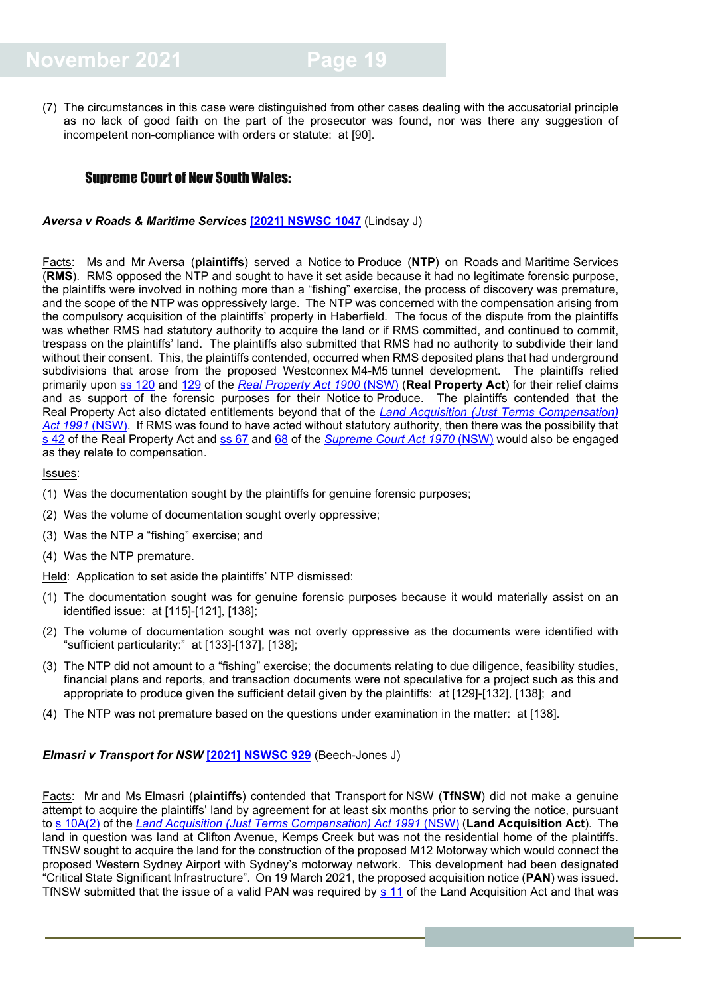(7) The circumstances in this case were distinguished from other cases dealing with the accusatorial principle as no lack of good faith on the part of the prosecutor was found, nor was there any suggestion of incompetent non-compliance with orders or statute: at [90].

#### <span id="page-18-0"></span>Supreme Court of New South Wales:

*Aversa v Roads & Maritime Services* **[\[2021\] NSWSC 1047](https://www.caselaw.nsw.gov.au/decision/17b616ecbc41471e7827ee8d)** (Lindsay J)

Facts: Ms and Mr Aversa (**plaintiffs**) served a Notice to Produce (**NTP**) on Roads and Maritime Services (**RMS**). RMS opposed the NTP and sought to have it set aside because it had no legitimate forensic purpose, the plaintiffs were involved in nothing more than a "fishing" exercise, the process of discovery was premature, and the scope of the NTP was oppressively large. The NTP was concerned with the compensation arising from the compulsory acquisition of the plaintiffs' property in Haberfield. The focus of the dispute from the plaintiffs was whether RMS had statutory authority to acquire the land or if RMS committed, and continued to commit, trespass on the plaintiffs' land. The plaintiffs also submitted that RMS had no authority to subdivide their land without their consent. This, the plaintiffs contended, occurred when RMS deposited plans that had underground subdivisions that arose from the proposed Westconnex M4-M5 tunnel development. The plaintiffs relied primarily upon ss [120](https://legislation.nsw.gov.au/view/html/inforce/current/act-1900-025#sec.120) and [129](https://legislation.nsw.gov.au/view/html/inforce/current/act-1900-025#sec.129) of the *Real [Property](https://legislation.nsw.gov.au/view/html/inforce/current/act-1900-025) Act 1900* (NSW) (**Real Property Act**) for their relief claims and as support of the forensic purposes for their Notice to Produce. The plaintiffs contended that the Real Property Act also dictated entitlements beyond that of the *[Land Acquisition \(Just Terms Compensation\)](https://legislation.nsw.gov.au/view/html/inforce/current/act-1991-022)  [Act 1991](https://legislation.nsw.gov.au/view/html/inforce/current/act-1991-022)* (NSW). If RMS was found to have acted without statutory authority, then there was the possibility that [s 42](https://legislation.nsw.gov.au/view/html/inforce/current/act-1900-025#sec.42) of the Real Property Act and ss [67](https://legislation.nsw.gov.au/view/html/inforce/current/act-1970-052#sec.67) and [68](https://legislation.nsw.gov.au/view/html/inforce/current/act-1970-052#sec.68) of the *[Supreme Court Act 1970](https://legislation.nsw.gov.au/view/html/inforce/current/act-1970-052)* (NSW) would also be engaged as they relate to compensation.

#### Issues:

- (1) Was the documentation sought by the plaintiffs for genuine forensic purposes;
- (2) Was the volume of documentation sought overly oppressive;
- (3) Was the NTP a "fishing" exercise; and
- (4) Was the NTP premature.
- Held: Application to set aside the plaintiffs' NTP dismissed:
- (1) The documentation sought was for genuine forensic purposes because it would materially assist on an identified issue: at [115]-[121], [138];
- (2) The volume of documentation sought was not overly oppressive as the documents were identified with "sufficient particularity:" at [133]-[137], [138];
- (3) The NTP did not amount to a "fishing" exercise; the documents relating to due diligence, feasibility studies, financial plans and reports, and transaction documents were not speculative for a project such as this and appropriate to produce given the sufficient detail given by the plaintiffs: at [129]-[132], [138]; and
- (4) The NTP was not premature based on the questions under examination in the matter: at [138].

#### *Elmasri v Transport for NSW* **[\[2021\] NSWSC 929](https://www.caselaw.nsw.gov.au/decision/17aef65a9b5c2aa47d5fb48b)** (Beech-Jones J)

Facts: Mr and Ms Elmasri (**plaintiffs**) contended that Transport for NSW (**TfNSW**) did not make a genuine attempt to acquire the plaintiffs' land by agreement for at least six months prior to serving the notice, pursuant to [s 10A\(2\)](https://legislation.nsw.gov.au/view/html/inforce/current/act-1991-022#sec.10A) of the *[Land Acquisition \(Just Terms Compensation\) Act 1991](https://legislation.nsw.gov.au/view/html/inforce/current/act-1991-022)* (NSW) (**Land Acquisition Act**). The land in question was land at Clifton Avenue, Kemps Creek but was not the residential home of the plaintiffs. TfNSW sought to acquire the land for the construction of the proposed M12 Motorway which would connect the proposed Western Sydney Airport with Sydney's motorway network. This development had been designated "Critical State Significant Infrastructure". On 19 March 2021, the proposed acquisition notice (**PAN**) was issued. TfNSW submitted that the issue of a valid PAN was required by [s 11](https://legislation.nsw.gov.au/view/html/inforce/current/act-1991-022#sec.11) of the Land Acquisition Act and that was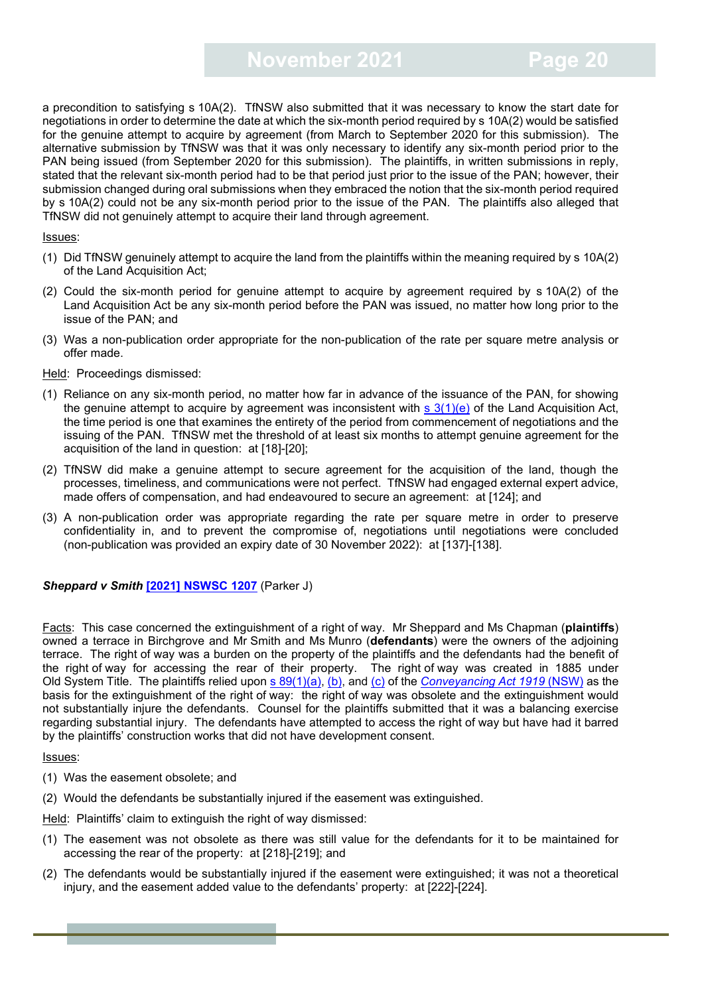a precondition to satisfying s 10A(2). TfNSW also submitted that it was necessary to know the start date for negotiations in order to determine the date at which the six-month period required by s 10A(2) would be satisfied for the genuine attempt to acquire by agreement (from March to September 2020 for this submission). The alternative submission by TfNSW was that it was only necessary to identify any six-month period prior to the PAN being issued (from September 2020 for this submission). The plaintiffs, in written submissions in reply, stated that the relevant six-month period had to be that period just prior to the issue of the PAN; however, their submission changed during oral submissions when they embraced the notion that the six-month period required by s 10A(2) could not be any six-month period prior to the issue of the PAN. The plaintiffs also alleged that TfNSW did not genuinely attempt to acquire their land through agreement.

#### Issues:

- (1) Did TfNSW genuinely attempt to acquire the land from the plaintiffs within the meaning required by s 10A(2) of the Land Acquisition Act;
- (2) Could the six-month period for genuine attempt to acquire by agreement required by s 10A(2) of the Land Acquisition Act be any six-month period before the PAN was issued, no matter how long prior to the issue of the PAN; and
- (3) Was a non-publication order appropriate for the non-publication of the rate per square metre analysis or offer made.
- Held: Proceedings dismissed:
- (1) Reliance on any six-month period, no matter how far in advance of the issuance of the PAN, for showing the genuine attempt to acquire by agreement was inconsistent with  $s(1)(e)$  of the Land Acquisition Act, the time period is one that examines the entirety of the period from commencement of negotiations and the issuing of the PAN. TfNSW met the threshold of at least six months to attempt genuine agreement for the acquisition of the land in question: at [18]-[20];
- (2) TfNSW did make a genuine attempt to secure agreement for the acquisition of the land, though the processes, timeliness, and communications were not perfect. TfNSW had engaged external expert advice, made offers of compensation, and had endeavoured to secure an agreement: at [124]; and
- (3) A non-publication order was appropriate regarding the rate per square metre in order to preserve confidentiality in, and to prevent the compromise of, negotiations until negotiations were concluded (non-publication was provided an expiry date of 30 November 2022): at [137]-[138].

#### *Sheppard v Smith* **[\[2021\] NSWSC 1207](https://www.caselaw.nsw.gov.au/search/advanced)** (Parker J)

Facts: This case concerned the extinguishment of a right of way. Mr Sheppard and Ms Chapman (**plaintiffs**) owned a terrace in Birchgrove and Mr Smith and Ms Munro (**defendants**) were the owners of the adjoining terrace. The right of way was a burden on the property of the plaintiffs and the defendants had the benefit of the right of way for accessing the rear of their property. The right of way was created in 1885 under Old System Title. The plaintiffs relied upon [s 89\(1\)\(a\), \(b\), and \(c\)](https://legislation.nsw.gov.au/view/html/inforce/current/act-1919-006#sec.89) of the *[Conveyancing Act 1919](https://legislation.nsw.gov.au/view/html/inforce/current/act-1919-006)* (NSW) as the basis for the extinguishment of the right of way: the right of way was obsolete and the extinguishment would not substantially injure the defendants. Counsel for the plaintiffs submitted that it was a balancing exercise regarding substantial injury. The defendants have attempted to access the right of way but have had it barred by the plaintiffs' construction works that did not have development consent.

#### Issues:

- (1) Was the easement obsolete; and
- (2) Would the defendants be substantially injured if the easement was extinguished.

Held: Plaintiffs' claim to extinguish the right of way dismissed:

- (1) The easement was not obsolete as there was still value for the defendants for it to be maintained for accessing the rear of the property: at [218]-[219]; and
- (2) The defendants would be substantially injured if the easement were extinguished; it was not a theoretical injury, and the easement added value to the defendants' property: at [222]-[224].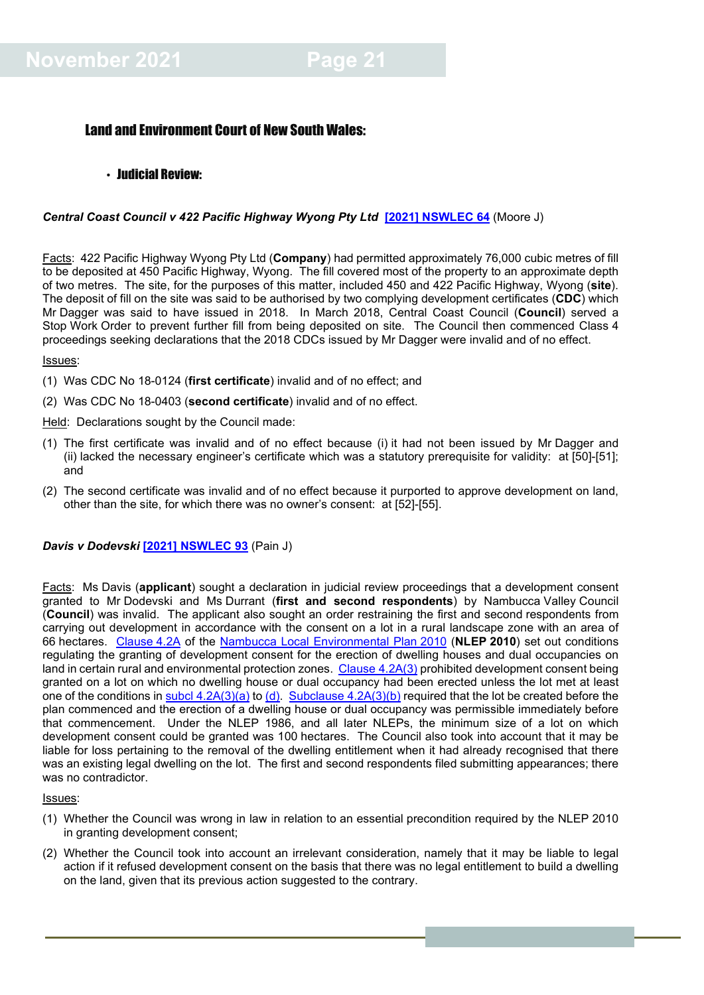#### <span id="page-20-0"></span>Land and Environment Court of New South Wales:

#### <span id="page-20-1"></span>• Judicial Review:

#### *Central Coast Council v 422 Pacific Highway Wyong Pty Ltd* **[\[2021\] NSWLEC 64](https://www.caselaw.nsw.gov.au/decision/17a1ce56bf6e3740596ce71e)** (Moore J)

Facts: 422 Pacific Highway Wyong Pty Ltd (**Company**) had permitted approximately 76,000 cubic metres of fill to be deposited at 450 Pacific Highway, Wyong. The fill covered most of the property to an approximate depth of two metres. The site, for the purposes of this matter, included 450 and 422 Pacific Highway, Wyong (**site**). The deposit of fill on the site was said to be authorised by two complying development certificates (**CDC**) which Mr Dagger was said to have issued in 2018. In March 2018, Central Coast Council (**Council**) served a Stop Work Order to prevent further fill from being deposited on site. The Council then commenced Class 4 proceedings seeking declarations that the 2018 CDCs issued by Mr Dagger were invalid and of no effect.

#### Issues:

- (1) Was CDC No 18-0124 (**first certificate**) invalid and of no effect; and
- (2) Was CDC No 18-0403 (**second certificate**) invalid and of no effect.

Held: Declarations sought by the Council made:

- (1) The first certificate was invalid and of no effect because (i) it had not been issued by Mr Dagger and (ii) lacked the necessary engineer's certificate which was a statutory prerequisite for validity: at [50]-[51]; and
- (2) The second certificate was invalid and of no effect because it purported to approve development on land, other than the site, for which there was no owner's consent: at [52]-[55].

#### *Davis v Dodevski* **[\[2021\] NSWLEC 93](https://www.caselaw.nsw.gov.au/decision/17b7fe7f514ac5eedf659acd)** (Pain J)

Facts: Ms Davis (**applicant**) sought a declaration in judicial review proceedings that a development consent granted to Mr Dodevski and Ms Durrant (**first and second respondents**) by Nambucca Valley Council (**Council**) was invalid. The applicant also sought an order restraining the first and second respondents from carrying out development in accordance with the consent on a lot in a rural landscape zone with an area of 66 hectares. [Clause](https://legislation.nsw.gov.au/view/whole/html/2016-03-11/epi-2010-0401#sec.4.2A) 4.2A of the [Nambucca Local Environmental Plan](https://legislation.nsw.gov.au/view/whole/html/2016-03-11/epi-2010-0401) 2010 (**NLEP 2010**) set out conditions regulating the granting of development consent for the erection of dwelling houses and dual occupancies on land in certain rural and environmental protection zones. [Clause](https://legislation.nsw.gov.au/view/whole/html/2016-03-11/epi-2010-0401#sec.4.2A) 4.2A(3) prohibited development consent being granted on a lot on which no dwelling house or dual occupancy had been erected unless the lot met at least one of the conditions in subcl  $4.2A(3)(a)$  t[o \(d\). Subclause](https://legislation.nsw.gov.au/view/whole/html/2016-03-11/epi-2010-0401#sec.4.2A)  $4.2A(3)(b)$  required that the lot be created before the plan commenced and the erection of a dwelling house or dual occupancy was permissible immediately before that commencement. Under the NLEP 1986, and all later NLEPs, the minimum size of a lot on which development consent could be granted was 100 hectares. The Council also took into account that it may be liable for loss pertaining to the removal of the dwelling entitlement when it had already recognised that there was an existing legal dwelling on the lot. The first and second respondents filed submitting appearances; there was no contradictor.

- (1) Whether the Council was wrong in law in relation to an essential precondition required by the NLEP 2010 in granting development consent;
- (2) Whether the Council took into account an irrelevant consideration, namely that it may be liable to legal action if it refused development consent on the basis that there was no legal entitlement to build a dwelling on the land, given that its previous action suggested to the contrary.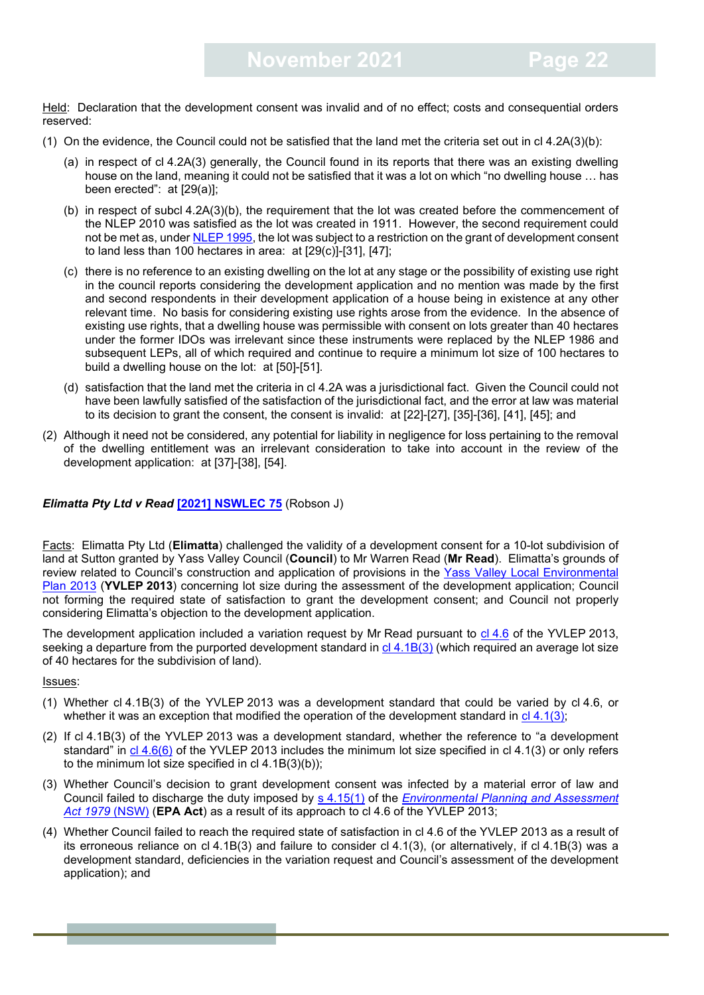Held: Declaration that the development consent was invalid and of no effect; costs and consequential orders reserved:

- (1) On the evidence, the Council could not be satisfied that the land met the criteria set out in cl 4.2A(3)(b):
	- (a) in respect of cl 4.2A(3) generally, the Council found in its reports that there was an existing dwelling house on the land, meaning it could not be satisfied that it was a lot on which "no dwelling house … has been erected": at [29(a)];
	- (b) in respect of subcl 4.2A(3)(b), the requirement that the lot was created before the commencement of the NLEP 2010 was satisfied as the lot was created in 1911. However, the second requirement could not be met as, under [NLEP 1995,](https://legislation.nsw.gov.au/view/html/repealed/current/epi-1995-0001) the lot was subject to a restriction on the grant of development consent to land less than 100 hectares in area: at [29(c)]-[31], [47];
	- (c) there is no reference to an existing dwelling on the lot at any stage or the possibility of existing use right in the council reports considering the development application and no mention was made by the first and second respondents in their development application of a house being in existence at any other relevant time. No basis for considering existing use rights arose from the evidence. In the absence of existing use rights, that a dwelling house was permissible with consent on lots greater than 40 hectares under the former IDOs was irrelevant since these instruments were replaced by the NLEP 1986 and subsequent LEPs, all of which required and continue to require a minimum lot size of 100 hectares to build a dwelling house on the lot: at [50]-[51].
	- (d) satisfaction that the land met the criteria in cl 4.2A was a jurisdictional fact. Given the Council could not have been lawfully satisfied of the satisfaction of the jurisdictional fact, and the error at law was material to its decision to grant the consent, the consent is invalid: at [22]-[27], [35]-[36], [41], [45]; and
- (2) Although it need not be considered, any potential for liability in negligence for loss pertaining to the removal of the dwelling entitlement was an irrelevant consideration to take into account in the review of the development application: at [37]-[38], [54].

#### *Elimatta Pty Ltd v Read* **[\[2021\] NSWLEC 75](https://www.caselaw.nsw.gov.au/decision/17a99687308148b43c7b9670)** (Robson J)

Facts: Elimatta Pty Ltd (**Elimatta**) challenged the validity of a development consent for a 10-lot subdivision of land at Sutton granted by Yass Valley Council (**Council**) to Mr Warren Read (**Mr Read**). Elimatta's grounds of review related to Council's construction and application of provisions in the Yass Valley Local Environmental [Plan 2013](https://legislation.nsw.gov.au/view/html/inforce/current/epi-2013-0391#statusinformation) (**YVLEP 2013**) concerning lot size during the assessment of the development application; Council not forming the required state of satisfaction to grant the development consent; and Council not properly considering Elimatta's objection to the development application.

The development application included a variation request by Mr Read pursuant to cl [4.6](https://legislation.nsw.gov.au/view/html/inforce/current/epi-2013-0391#sec.4.6) of the YVLEP 2013, seeking a departure from the purported development standard in cl [4.1B\(3\)](https://legislation.nsw.gov.au/view/html/inforce/current/epi-2013-0391#sec.4.1B) (which required an average lot size of 40 hectares for the subdivision of land).

- (1) Whether cl 4.1B(3) of the YVLEP 2013 was a development standard that could be varied by cl 4.6, or whether it was an exception that modified the operation of the development standard in cl [4.1\(3\);](https://legislation.nsw.gov.au/view/html/inforce/current/epi-2013-0391#sec.4.1)
- (2) If cl 4.1B(3) of the YVLEP 2013 was a development standard, whether the reference to "a development standard" in cl [4.6\(6\)](https://legislation.nsw.gov.au/view/html/inforce/current/epi-2013-0391#sec.4.6) of the YVLEP 2013 includes the minimum lot size specified in cl 4.1(3) or only refers to the minimum lot size specified in  $cl$  4.1B(3)(b));
- (3) Whether Council's decision to grant development consent was infected by a material error of law and Council failed to discharge the duty imposed by s [4.15\(1\)](https://legislation.nsw.gov.au/view/html/inforce/current/act-1979-203#sec.4.15) of the *[Environmental Planning and Assessment](https://legislation.nsw.gov.au/view/html/inforce/current/act-1979-203#statusinformation)  [Act 1979](https://legislation.nsw.gov.au/view/html/inforce/current/act-1979-203#statusinformation)* (NSW) (**EPA Act**) as a result of its approach to cl 4.6 of the YVLEP 2013;
- (4) Whether Council failed to reach the required state of satisfaction in cl 4.6 of the YVLEP 2013 as a result of its erroneous reliance on cl 4.1B(3) and failure to consider cl 4.1(3), (or alternatively, if cl 4.1B(3) was a development standard, deficiencies in the variation request and Council's assessment of the development application); and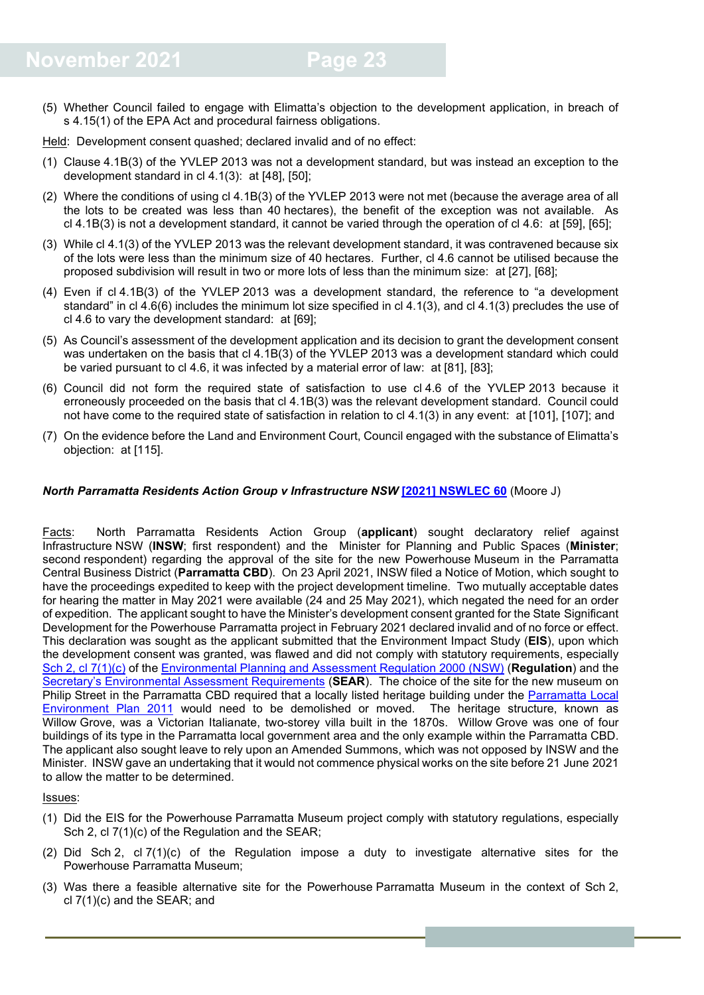(5) Whether Council failed to engage with Elimatta's objection to the development application, in breach of s 4.15(1) of the EPA Act and procedural fairness obligations.

Held: Development consent quashed; declared invalid and of no effect:

- (1) Clause 4.1B(3) of the YVLEP 2013 was not a development standard, but was instead an exception to the development standard in cl 4.1(3): at [48], [50];
- (2) Where the conditions of using cl 4.1B(3) of the YVLEP 2013 were not met (because the average area of all the lots to be created was less than 40 hectares), the benefit of the exception was not available. As cl 4.1B(3) is not a development standard, it cannot be varied through the operation of cl 4.6: at [59], [65];
- (3) While cl 4.1(3) of the YVLEP 2013 was the relevant development standard, it was contravened because six of the lots were less than the minimum size of 40 hectares. Further, cl 4.6 cannot be utilised because the proposed subdivision will result in two or more lots of less than the minimum size: at [27], [68];
- (4) Even if cl 4.1B(3) of the YVLEP 2013 was a development standard, the reference to "a development standard" in cl 4.6(6) includes the minimum lot size specified in cl 4.1(3), and cl 4.1(3) precludes the use of cl 4.6 to vary the development standard: at [69];
- (5) As Council's assessment of the development application and its decision to grant the development consent was undertaken on the basis that cl 4.1B(3) of the YVLEP 2013 was a development standard which could be varied pursuant to cl 4.6, it was infected by a material error of law: at [81], [83];
- (6) Council did not form the required state of satisfaction to use cl 4.6 of the YVLEP 2013 because it erroneously proceeded on the basis that cl 4.1B(3) was the relevant development standard. Council could not have come to the required state of satisfaction in relation to cl 4.1(3) in any event: at [101], [107]; and
- (7) On the evidence before the Land and Environment Court, Council engaged with the substance of Elimatta's objection: at [115].

#### *North Parramatta Residents Action Group v Infrastructure NSW* **[\[2021\] NSWLEC 60](https://www.caselaw.nsw.gov.au/decision/179ea257054d280af7a19196)** (Moore J)

Facts: North Parramatta Residents Action Group (**applicant**) sought declaratory relief against Infrastructure NSW (**INSW**; first respondent) and the Minister for Planning and Public Spaces (**Minister**; second respondent) regarding the approval of the site for the new Powerhouse Museum in the Parramatta Central Business District (**Parramatta CBD**). On 23 April 2021, INSW filed a Notice of Motion, which sought to have the proceedings expedited to keep with the project development timeline. Two mutually acceptable dates for hearing the matter in May 2021 were available (24 and 25 May 2021), which negated the need for an order of expedition. The applicant sought to have the Minister's development consent granted for the State Significant Development for the Powerhouse Parramatta project in February 2021 declared invalid and of no force or effect. This declaration was sought as the applicant submitted that the Environment Impact Study (**EIS**), upon which the development consent was granted, was flawed and did not comply with statutory requirements, especially Sch 2, cl [7\(1\)\(c\)](https://legislation.nsw.gov.au/view/html/inforce/current/sl-2000-0557#sch.2-sec.7) of the [Environmental Planning and Assessment Regulation 2000 \(NSW\)](https://legislation.nsw.gov.au/view/html/inforce/current/sl-2000-0557) (**Regulation**) and the [Secretary's Environmental Assessment Requirements](https://majorprojects.planningportal.nsw.gov.au/prweb/PRRestService/mp/01/getContent?AttachRef=SSD-10416%2120200210T041251.723%20GMT) (**SEAR**). The choice of the site for the new museum on Philip Street in the Parramatta CBD required that a locally listed heritage building under the Parramatta Local [Environment Plan 2011](https://legislation.nsw.gov.au/view/html/inforce/current/epi-2011-0540#sch.5-pt.1) would need to be demolished or moved. The heritage structure, known as Willow Grove, was a Victorian Italianate, two-storey villa built in the 1870s. Willow Grove was one of four buildings of its type in the Parramatta local government area and the only example within the Parramatta CBD. The applicant also sought leave to rely upon an Amended Summons, which was not opposed by INSW and the Minister. INSW gave an undertaking that it would not commence physical works on the site before 21 June 2021 to allow the matter to be determined.

- (1) Did the EIS for the Powerhouse Parramatta Museum project comply with statutory regulations, especially Sch 2, cl 7(1)(c) of the Regulation and the SEAR;
- (2) Did Sch 2, cl 7(1)(c) of the Regulation impose a duty to investigate alternative sites for the Powerhouse Parramatta Museum;
- (3) Was there a feasible alternative site for the Powerhouse Parramatta Museum in the context of Sch 2, cl 7(1)(c) and the SEAR; and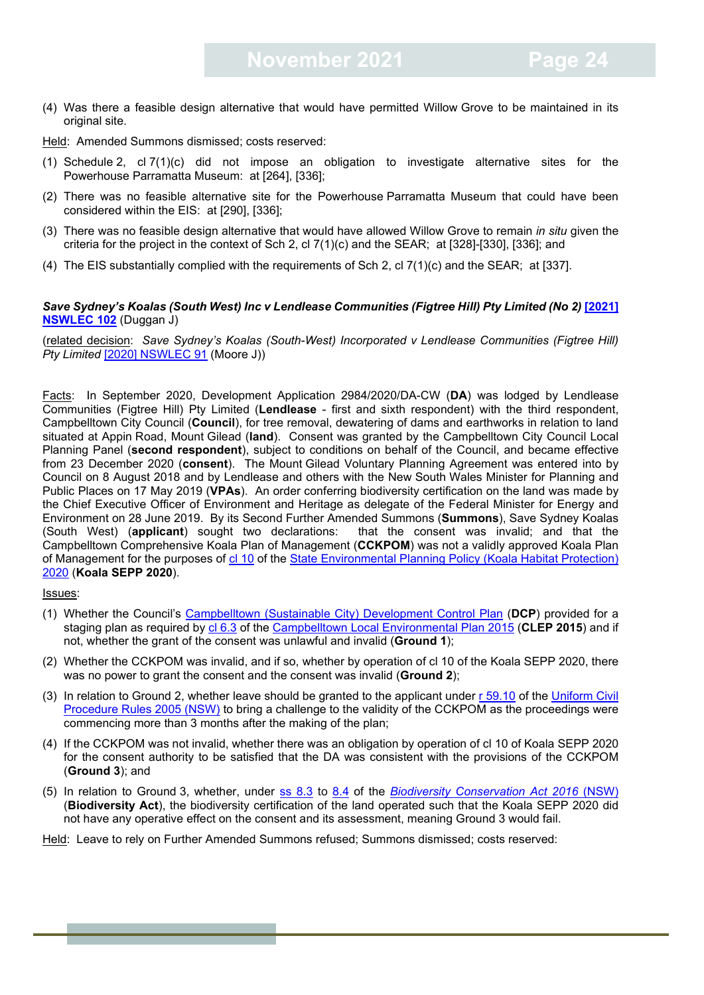(4) Was there a feasible design alternative that would have permitted Willow Grove to be maintained in its original site.

Held: Amended Summons dismissed; costs reserved:

- (1) Schedule 2, cl 7(1)(c) did not impose an obligation to investigate alternative sites for the Powerhouse Parramatta Museum: at [264], [336];
- (2) There was no feasible alternative site for the Powerhouse Parramatta Museum that could have been considered within the EIS: at [290], [336];
- (3) There was no feasible design alternative that would have allowed Willow Grove to remain *in situ* given the criteria for the project in the context of Sch 2, cl 7(1)(c) and the SEAR; at [328]-[330], [336]; and
- (4) The EIS substantially complied with the requirements of Sch 2, cl 7(1)(c) and the SEAR; at [337].

#### *Save Sydney's Koalas (South West) Inc v Lendlease Communities (Figtree Hill) Pty Limited (No 2)* **[\[2021\]](https://www.caselaw.nsw.gov.au/decision/17c0ad841eb62c87a811bafb)  [NSWLEC 102](https://www.caselaw.nsw.gov.au/decision/17c0ad841eb62c87a811bafb)** (Duggan J)

(related decision: *Save Sydney's Koalas (South-West) Incorporated v Lendlease Communities (Figtree Hill) Pty Limited* [\[2020\] NSWLEC 91](https://www.caselaw.nsw.gov.au/decision/17355d7268db8773ddda8ca7) (Moore J))

Facts: In September 2020, Development Application 2984/2020/DA-CW (**DA**) was lodged by Lendlease Communities (Figtree Hill) Pty Limited (**Lendlease** - first and sixth respondent) with the third respondent, Campbelltown City Council (**Council**), for tree removal, dewatering of dams and earthworks in relation to land situated at Appin Road, Mount Gilead (**land**). Consent was granted by the Campbelltown City Council Local Planning Panel (**second respondent**), subject to conditions on behalf of the Council, and became effective from 23 December 2020 (**consent**). The Mount Gilead Voluntary Planning Agreement was entered into by Council on 8 August 2018 and by Lendlease and others with the New South Wales Minister for Planning and Public Places on 17 May 2019 (**VPAs**). An order conferring biodiversity certification on the land was made by the Chief Executive Officer of Environment and Heritage as delegate of the Federal Minister for Energy and Environment on 28 June 2019. By its Second Further Amended Summons (**Summons**), Save Sydney Koalas (South West) (**applicant**) sought two declarations: that the consent was invalid; and that the Campbelltown Comprehensive Koala Plan of Management (**CCKPOM**) was not a validly approved Koala Plan of Management for the purposes of cl [10](https://legislation.nsw.gov.au/view/html/inforce/current/epi-2020-0698#sec.10) of the [State Environmental Planning Policy \(Koala Habitat Protection\)](https://legislation.nsw.gov.au/view/html/inforce/current/epi-2020-0698)  [2020](https://legislation.nsw.gov.au/view/html/inforce/current/epi-2020-0698) (**Koala SEPP 2020**).

Issues:

- (1) Whether the Council's [Campbelltown \(Sustainable City\) Development Control Plan](https://www.campbelltown.nsw.gov.au/BuildAndDevelop/PlanningPoliciesandControls/DevelopmentControlPlans/CampbelltownSustainableCityDevelopmentControlPlan2015) (**DCP**) provided for a staging plan as required by [cl 6.3](https://legislation.nsw.gov.au/view/html/inforce/current/epi-2015-0754#sec.6.3) of the [Campbelltown Local Environmental Plan 2015](https://legislation.nsw.gov.au/view/html/inforce/current/epi-2015-0754) (**CLEP 2015**) and if not, whether the grant of the consent was unlawful and invalid (**Ground 1**);
- (2) Whether the CCKPOM was invalid, and if so, whether by operation of cl 10 of the Koala SEPP 2020, there was no power to grant the consent and the consent was invalid (**Ground 2**);
- (3) In relation to Ground 2, whether leave should be granted to the applicant under [r 59.10](https://legislation.nsw.gov.au/view/html/inforce/current/sl-2005-0418#sec.59.10) of the [Uniform Civil](https://legislation.nsw.gov.au/view/html/inforce/current/sl-2005-0418)  [Procedure Rules 2005](https://legislation.nsw.gov.au/view/html/inforce/current/sl-2005-0418) (NSW) to bring a challenge to the validity of the CCKPOM as the proceedings were commencing more than 3 months after the making of the plan;
- (4) If the CCKPOM was not invalid, whether there was an obligation by operation of cl 10 of Koala SEPP 2020 for the consent authority to be satisfied that the DA was consistent with the provisions of the CCKPOM (**Ground 3**); and
- (5) In relation to Ground 3, whether, under [ss 8.3](https://legislation.nsw.gov.au/view/html/inforce/current/act-2016-063#sec.8.3) to [8.4](https://legislation.nsw.gov.au/view/html/inforce/current/act-2016-063#sec.8.4) of the *[Biodiversity Conservation Act 2016](https://legislation.nsw.gov.au/view/html/inforce/current/act-2016-063)* (NSW) (**Biodiversity Act**), the biodiversity certification of the land operated such that the Koala SEPP 2020 did not have any operative effect on the consent and its assessment, meaning Ground 3 would fail.

Held: Leave to rely on Further Amended Summons refused; Summons dismissed; costs reserved: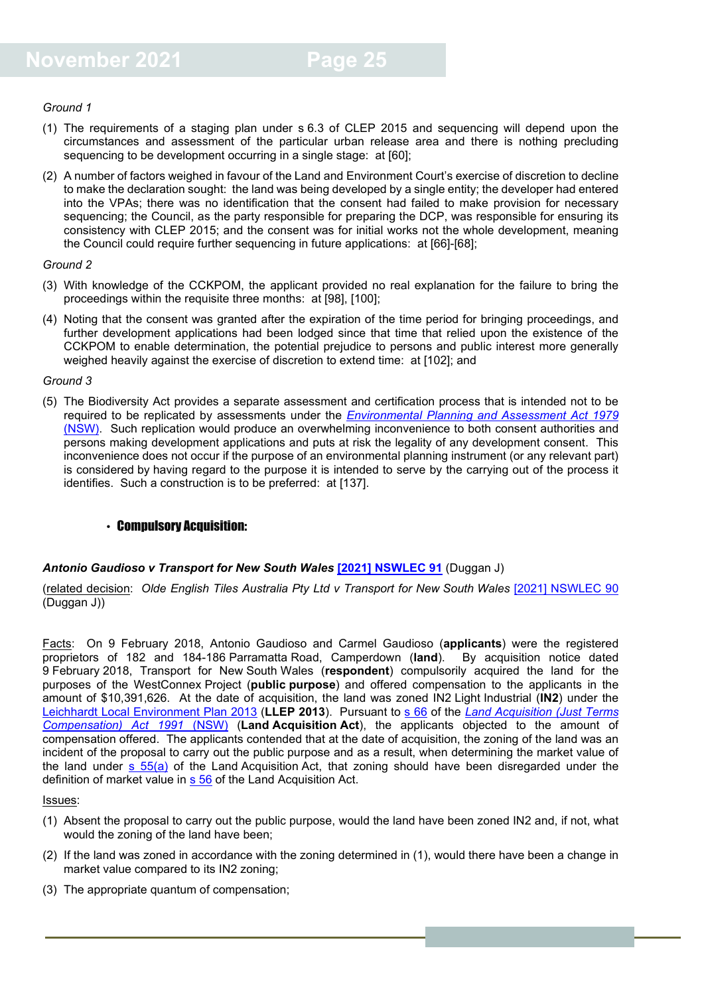#### *Ground 1*

- (1) The requirements of a staging plan under s 6.3 of CLEP 2015 and sequencing will depend upon the circumstances and assessment of the particular urban release area and there is nothing precluding sequencing to be development occurring in a single stage: at [60];
- (2) A number of factors weighed in favour of the Land and Environment Court's exercise of discretion to decline to make the declaration sought: the land was being developed by a single entity; the developer had entered into the VPAs; there was no identification that the consent had failed to make provision for necessary sequencing; the Council, as the party responsible for preparing the DCP, was responsible for ensuring its consistency with CLEP 2015; and the consent was for initial works not the whole development, meaning the Council could require further sequencing in future applications: at [66]-[68];

#### *Ground 2*

- (3) With knowledge of the CCKPOM, the applicant provided no real explanation for the failure to bring the proceedings within the requisite three months: at [98], [100];
- (4) Noting that the consent was granted after the expiration of the time period for bringing proceedings, and further development applications had been lodged since that time that relied upon the existence of the CCKPOM to enable determination, the potential prejudice to persons and public interest more generally weighed heavily against the exercise of discretion to extend time: at [102]; and

#### *Ground 3*

(5) The Biodiversity Act provides a separate assessment and certification process that is intended not to be required to be replicated by assessments under the *[Environmental Planning and Assessment Act 1979](https://legislation.nsw.gov.au/view/html/inforce/current/act-1979-203)* (NSW). Such replication would produce an overwhelming inconvenience to both consent authorities and persons making development applications and puts at risk the legality of any development consent. This inconvenience does not occur if the purpose of an environmental planning instrument (or any relevant part) is considered by having regard to the purpose it is intended to serve by the carrying out of the process it identifies. Such a construction is to be preferred: at [137].

#### <span id="page-24-0"></span>• Compulsory Acquisition:

#### *Antonio Gaudioso v Transport for New South Wales* **[\[2021\] NSWLEC 91](https://www.caselaw.nsw.gov.au/decision/17b7ad9c3a0cc179ae82eff4)** (Duggan J)

(related decision: *Olde English Tiles Australia Pty Ltd v Transport for New South Wales* [\[2021\] NSWLEC 9](https://www.caselaw.nsw.gov.au/search/advanced)0 (Duggan J))

Facts: On 9 February 2018, Antonio Gaudioso and Carmel Gaudioso (**applicants**) were the registered proprietors of 182 and 184-186 Parramatta Road, Camperdown (**land**). By acquisition notice dated 9 February 2018, Transport for New South Wales (**respondent**) compulsorily acquired the land for the purposes of the WestConnex Project (**public purpose**) and offered compensation to the applicants in the amount of \$10,391,626. At the date of acquisition, the land was zoned IN2 Light Industrial (**IN2**) under the [Leichhardt Local Environment Plan 2013](https://legislation.nsw.gov.au/view/html/inforce/current/epi-2013-0758) (**LLEP 2013**). Pursuant to [s 66](https://legislation.nsw.gov.au/view/whole/html/inforce/current/act-1991-022#sec.66) of the *[Land Acquisition \(Just Terms](https://legislation.nsw.gov.au/view/whole/html/inforce/current/act-1991-022#statusinformation)  [Compensation\) Act 1991](https://legislation.nsw.gov.au/view/whole/html/inforce/current/act-1991-022#statusinformation)* (NSW) (**Land Acquisition Act**), the applicants objected to the amount of compensation offered. The applicants contended that at the date of acquisition, the zoning of the land was an incident of the proposal to carry out the public purpose and as a result, when determining the market value of the land under  $s$  55(a) of the Land Acquisition Act, that zoning should have been disregarded under the definition of market value in [s 56](https://legislation.nsw.gov.au/view/whole/html/inforce/current/act-1991-022#sec.56) of the Land Acquisition Act.

- (1) Absent the proposal to carry out the public purpose, would the land have been zoned IN2 and, if not, what would the zoning of the land have been;
- (2) If the land was zoned in accordance with the zoning determined in (1), would there have been a change in market value compared to its IN2 zoning;
- (3) The appropriate quantum of compensation;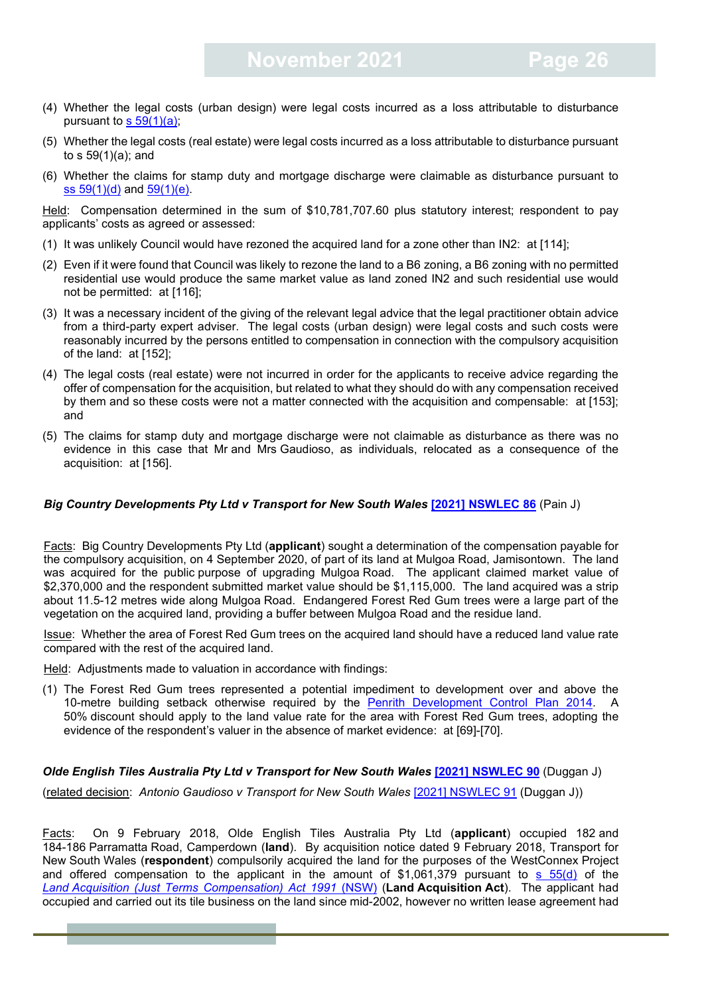- (4) Whether the legal costs (urban design) were legal costs incurred as a loss attributable to disturbance pursuant to  $s$  59(1)(a);
- (5) Whether the legal costs (real estate) were legal costs incurred as a loss attributable to disturbance pursuant to s 59(1)(a); and
- (6) Whether the claims for stamp duty and mortgage discharge were claimable as disturbance pursuant to ss [59\(1\)\(d\)](https://legislation.nsw.gov.au/view/whole/html/inforce/current/act-1991-022#sec.59) and [59\(1\)\(e\).](https://legislation.nsw.gov.au/view/whole/html/inforce/current/act-1991-022#sec.59)

Held: Compensation determined in the sum of \$10,781,707.60 plus statutory interest; respondent to pay applicants' costs as agreed or assessed:

- (1) It was unlikely Council would have rezoned the acquired land for a zone other than IN2: at [114];
- (2) Even if it were found that Council was likely to rezone the land to a B6 zoning, a B6 zoning with no permitted residential use would produce the same market value as land zoned IN2 and such residential use would not be permitted: at [116];
- (3) It was a necessary incident of the giving of the relevant legal advice that the legal practitioner obtain advice from a third-party expert adviser. The legal costs (urban design) were legal costs and such costs were reasonably incurred by the persons entitled to compensation in connection with the compulsory acquisition of the land: at [152];
- (4) The legal costs (real estate) were not incurred in order for the applicants to receive advice regarding the offer of compensation for the acquisition, but related to what they should do with any compensation received by them and so these costs were not a matter connected with the acquisition and compensable: at [153]; and
- (5) The claims for stamp duty and mortgage discharge were not claimable as disturbance as there was no evidence in this case that Mr and Mrs Gaudioso, as individuals, relocated as a consequence of the acquisition: at [156].

#### *Big Country Developments Pty Ltd v Transport for New South Wales* **[\[2021\] NSWLEC 86](https://www.caselaw.nsw.gov.au/decision/17b09f3122de9f5d6249ac89)** (Pain J)

Facts: Big Country Developments Pty Ltd (**applicant**) sought a determination of the compensation payable for the compulsory acquisition, on 4 September 2020, of part of its land at Mulgoa Road, Jamisontown. The land was acquired for the public purpose of upgrading Mulgoa Road. The applicant claimed market value of \$2,370,000 and the respondent submitted market value should be \$1,115,000. The land acquired was a strip about 11.5-12 metres wide along Mulgoa Road. Endangered Forest Red Gum trees were a large part of the vegetation on the acquired land, providing a buffer between Mulgoa Road and the residue land.

Issue: Whether the area of Forest Red Gum trees on the acquired land should have a reduced land value rate compared with the rest of the acquired land.

Held: Adjustments made to valuation in accordance with findings:

(1) The Forest Red Gum trees represented a potential impediment to development over and above the 10-metre building setback otherwise required by the [Penrith Development Control Plan 2014.](https://www.penrithcity.nsw.gov.au/images/documents/building-development/planning-zoning/planning-controls/Penrith_DCP_2014_Volume_1.pdf) A 50% discount should apply to the land value rate for the area with Forest Red Gum trees, adopting the evidence of the respondent's valuer in the absence of market evidence: at [69]-[70].

#### *Olde English Tiles Australia Pty Ltd v Transport for New South Wales* **[\[2021\] NSWLEC 90](https://www.caselaw.nsw.gov.au/decision/17b7acc1414626c8dcb90676)** (Duggan J)

(related decision: *Antonio Gaudioso v Transport for New South Wales* [\[2021\] NSWLEC 9](https://www.caselaw.nsw.gov.au/search/advanced)1 (Duggan J))

Facts: On 9 February 2018, Olde English Tiles Australia Pty Ltd (**applicant**) occupied 182 and 184-186 Parramatta Road, Camperdown (**land**). By acquisition notice dated 9 February 2018, Transport for New South Wales (**respondent**) compulsorily acquired the land for the purposes of the WestConnex Project and offered compensation to the applicant in the amount of \$1,061,379 pursuant to [s 55\(d\)](https://legislation.nsw.gov.au/view/whole/html/inforce/current/act-1991-022#sec.55) of the *Land [Acquisition \(Just Terms Compensation\) Act 1991](https://legislation.nsw.gov.au/view/whole/html/inforce/current/act-1991-022)* (NSW) (**Land Acquisition Act**). The applicant had occupied and carried out its tile business on the land since mid-2002, however no written lease agreement had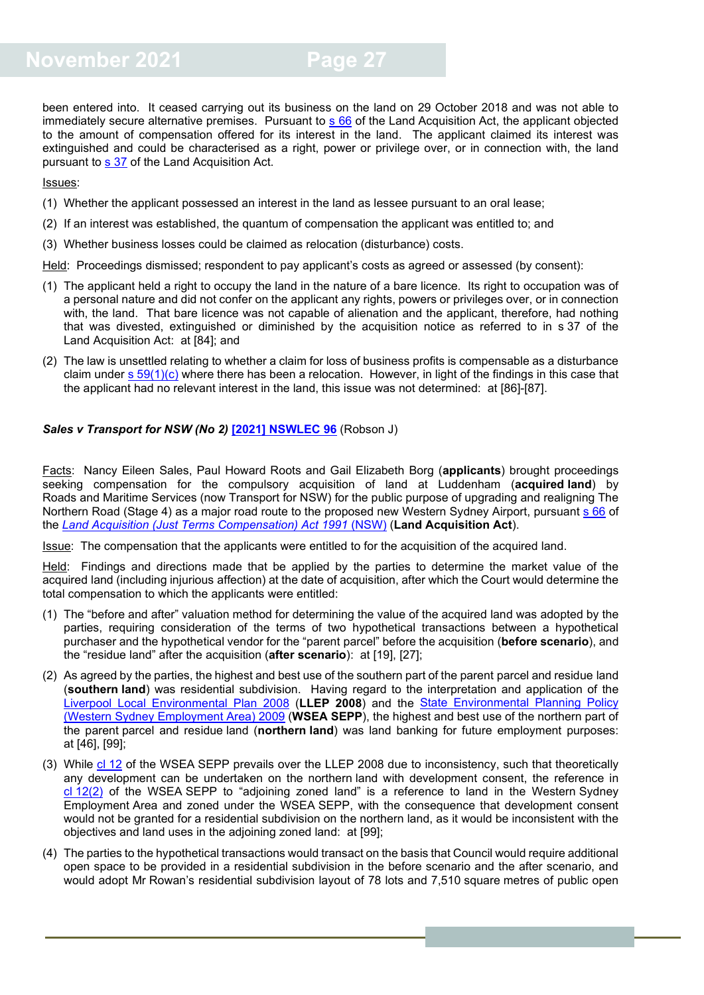been entered into. It ceased carrying out its business on the land on 29 October 2018 and was not able to immediately secure alternative premises. Pursuant to  $s$  66 of the Land Acquisition Act, the applicant objected to the amount of compensation offered for its interest in the land. The applicant claimed its interest was extinguished and could be characterised as a right, power or privilege over, or in connection with, the land pursuant to [s 37](https://legislation.nsw.gov.au/view/whole/html/inforce/current/act-1991-022#sec.37) of the Land Acquisition Act.

Issues:

- (1) Whether the applicant possessed an interest in the land as lessee pursuant to an oral lease;
- (2) If an interest was established, the quantum of compensation the applicant was entitled to; and
- (3) Whether business losses could be claimed as relocation (disturbance) costs.
- Held: Proceedings dismissed; respondent to pay applicant's costs as agreed or assessed (by consent):
- (1) The applicant held a right to occupy the land in the nature of a bare licence. Its right to occupation was of a personal nature and did not confer on the applicant any rights, powers or privileges over, or in connection with, the land. That bare licence was not capable of alienation and the applicant, therefore, had nothing that was divested, extinguished or diminished by the acquisition notice as referred to in s 37 of the Land Acquisition Act: at [84]; and
- (2) The law is unsettled relating to whether a claim for loss of business profits is compensable as a disturbance claim under s  $59(1)(c)$  where there has been a relocation. However, in light of the findings in this case that the applicant had no relevant interest in the land, this issue was not determined: at [86]-[87].

*Sales v Transport for NSW (No 2)* **[\[2021\] NSWLEC 96](https://www.caselaw.nsw.gov.au/decision/17ba3e99c7b11e44dbdc944c)** (Robson J)

Facts: Nancy Eileen Sales, Paul Howard Roots and Gail Elizabeth Borg (**applicants**) brought proceedings seeking compensation for the compulsory acquisition of land at Luddenham (**acquired land**) by Roads and Maritime Services (now Transport for NSW) for the public purpose of upgrading and realigning The Northern Road (Stage 4) as a major road route to the proposed new Western Sydney Airport, pursuant s [66](https://legislation.nsw.gov.au/view/html/inforce/current/act-1991-022#sec.66) of the *Land [Acquisition \(Just Terms Compensation\) Act 1991](https://legislation.nsw.gov.au/view/html/inforce/current/act-1991-022#statusinformation)* (NSW) (**Land Acquisition Act**).

Issue: The compensation that the applicants were entitled to for the acquisition of the acquired land.

Held: Findings and directions made that be applied by the parties to determine the market value of the acquired land (including injurious affection) at the date of acquisition, after which the Court would determine the total compensation to which the applicants were entitled:

- (1) The "before and after" valuation method for determining the value of the acquired land was adopted by the parties, requiring consideration of the terms of two hypothetical transactions between a hypothetical purchaser and the hypothetical vendor for the "parent parcel" before the acquisition (**before scenario**), and the "residue land" after the acquisition (**after scenario**): at [19], [27];
- (2) As agreed by the parties, the highest and best use of the southern part of the parent parcel and residue land (**southern land**) was residential subdivision. Having regard to the interpretation and application of the [Liverpool Local Environmental Plan 2008](https://legislation.nsw.gov.au/view/html/inforce/current/epi-2008-0403#statusinformation) (**LLEP 2008**) and the [State Environmental Planning Policy](https://legislation.nsw.gov.au/view/html/inforce/2018-02-22/epi-2009-0413#statusinformation)  [\(Western Sydney Employment Area\) 2009](https://legislation.nsw.gov.au/view/html/inforce/2018-02-22/epi-2009-0413#statusinformation) (**WSEA SEPP**), the highest and best use of the northern part of the parent parcel and residue land (**northern land**) was land banking for future employment purposes: at [46], [99];
- (3) While cl [12](https://legislation.nsw.gov.au/view/html/inforce/2018-02-22/epi-2009-0413#sec.12) of the WSEA SEPP prevails over the LLEP 2008 due to inconsistency, such that theoretically any development can be undertaken on the northern land with development consent, the reference in cl [12\(2\)](https://legislation.nsw.gov.au/view/html/inforce/2018-02-22/epi-2009-0413#sec.12) of the WSEA SEPP to "adjoining zoned land" is a reference to land in the Western Sydney Employment Area and zoned under the WSEA SEPP, with the consequence that development consent would not be granted for a residential subdivision on the northern land, as it would be inconsistent with the objectives and land uses in the adjoining zoned land: at [99];
- (4) The parties to the hypothetical transactions would transact on the basis that Council would require additional open space to be provided in a residential subdivision in the before scenario and the after scenario, and would adopt Mr Rowan's residential subdivision layout of 78 lots and 7,510 square metres of public open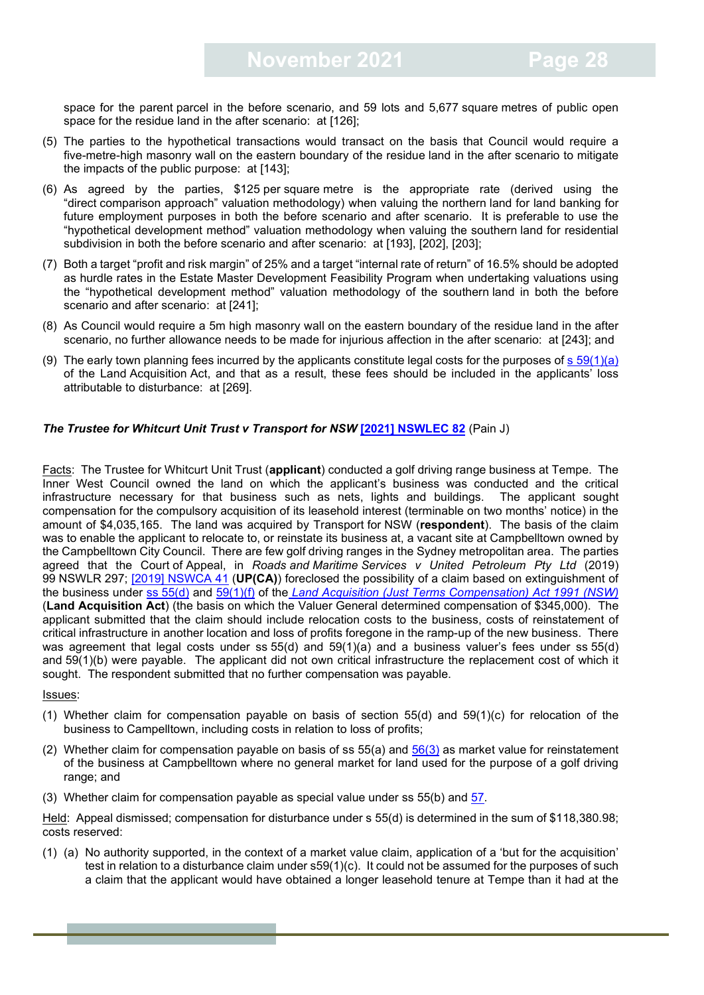space for the parent parcel in the before scenario, and 59 lots and 5,677 square metres of public open space for the residue land in the after scenario: at [126];

- (5) The parties to the hypothetical transactions would transact on the basis that Council would require a five-metre-high masonry wall on the eastern boundary of the residue land in the after scenario to mitigate the impacts of the public purpose: at [143];
- (6) As agreed by the parties, \$125 per square metre is the appropriate rate (derived using the "direct comparison approach" valuation methodology) when valuing the northern land for land banking for future employment purposes in both the before scenario and after scenario. It is preferable to use the "hypothetical development method" valuation methodology when valuing the southern land for residential subdivision in both the before scenario and after scenario: at [193], [202], [203];
- (7) Both a target "profit and risk margin" of 25% and a target "internal rate of return" of 16.5% should be adopted as hurdle rates in the Estate Master Development Feasibility Program when undertaking valuations using the "hypothetical development method" valuation methodology of the southern land in both the before scenario and after scenario: at [241];
- (8) As Council would require a 5m high masonry wall on the eastern boundary of the residue land in the after scenario, no further allowance needs to be made for injurious affection in the after scenario: at [243]; and
- (9) The early town planning fees incurred by the applicants constitute legal costs for the purposes of  $s$  [59\(1\)\(a\)](https://legislation.nsw.gov.au/view/html/inforce/current/act-1991-022#sec.59) of the Land Acquisition Act, and that as a result, these fees should be included in the applicants' loss attributable to disturbance: at [269].

#### *The Trustee for Whitcurt Unit Trust v Transport for NSW* **[\[2021\] NSWLEC 82](https://www.caselaw.nsw.gov.au/decision/17aebde5b70aa79dbab42448)** (Pain J)

Facts: The Trustee for Whitcurt Unit Trust (**applicant**) conducted a golf driving range business at Tempe. The Inner West Council owned the land on which the applicant's business was conducted and the critical infrastructure necessary for that business such as nets, lights and buildings. The applicant sought compensation for the compulsory acquisition of its leasehold interest (terminable on two months' notice) in the amount of \$4,035,165. The land was acquired by Transport for NSW (**respondent**). The basis of the claim was to enable the applicant to relocate to, or reinstate its business at, a vacant site at Campbelltown owned by the Campbelltown City Council. There are few golf driving ranges in the Sydney metropolitan area. The parties agreed that the Court of Appeal, in *Roads and Maritime Services v United Petroleum Pty Ltd* (2019) 99 NSWLR 297; [\[2019\] NSWCA 41](https://www.caselaw.nsw.gov.au/decision/5c7d9c75e4b02a5a800bf062) (**UP(CA)**) foreclosed the possibility of a claim based on extinguishment of the business under ss [55\(d\)](https://legislation.nsw.gov.au/view/html/inforce/current/act-1991-022#sec.55) and [59\(1\)\(f\)](https://legislation.nsw.gov.au/view/html/inforce/current/act-1991-022#sec.59) of the *[Land Acquisition \(Just Terms Compensation\) Act 1991 \(NSW\)](https://legislation.nsw.gov.au/view/whole/html/inforce/current/act-1991-022#statusinformation)* (**Land Acquisition Act**) (the basis on which the Valuer General determined compensation of \$345,000). The applicant submitted that the claim should include relocation costs to the business, costs of reinstatement of critical infrastructure in another location and loss of profits foregone in the ramp-up of the new business. There was agreement that legal costs under ss 55(d) and 59(1)(a) and a business valuer's fees under ss 55(d) and 59(1)(b) were payable. The applicant did not own critical infrastructure the replacement cost of which it sought. The respondent submitted that no further compensation was payable.

#### Issues:

- (1) Whether claim for compensation payable on basis of section 55(d) and 59(1)(c) for relocation of the business to Campelltown, including costs in relation to loss of profits;
- (2) Whether claim for compensation payable on basis of ss  $55(a)$  and  $56(3)$  as market value for reinstatement of the business at Campbelltown where no general market for land used for the purpose of a golf driving range; and
- (3) Whether claim for compensation payable as special value under ss 55(b) and [57.](https://legislation.nsw.gov.au/view/html/inforce/current/act-1991-022#sec.57)

Held: Appeal dismissed; compensation for disturbance under s 55(d) is determined in the sum of \$118,380.98; costs reserved:

(1) (a) No authority supported, in the context of a market value claim, application of a 'but for the acquisition' test in relation to a disturbance claim under s59(1)(c). It could not be assumed for the purposes of such a claim that the applicant would have obtained a longer leasehold tenure at Tempe than it had at the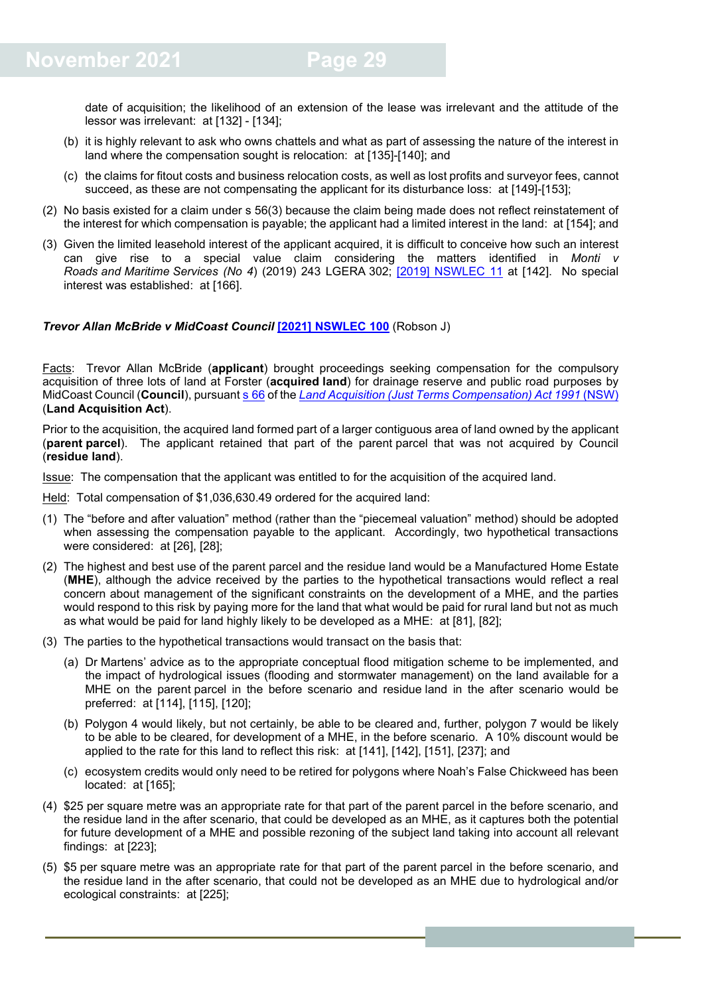date of acquisition; the likelihood of an extension of the lease was irrelevant and the attitude of the lessor was irrelevant: at [132] - [134];

- (b) it is highly relevant to ask who owns chattels and what as part of assessing the nature of the interest in land where the compensation sought is relocation: at [135]-[140]; and
- (c) the claims for fitout costs and business relocation costs, as well as lost profits and surveyor fees, cannot succeed, as these are not compensating the applicant for its disturbance loss: at [149]-[153];
- (2) No basis existed for a claim under s 56(3) because the claim being made does not reflect reinstatement of the interest for which compensation is payable; the applicant had a limited interest in the land: at [154]; and
- (3) Given the limited leasehold interest of the applicant acquired, it is difficult to conceive how such an interest can give rise to a special value claim considering the matters identified in *Monti v Roads and Maritime Services (No 4*) (2019) 243 LGERA 302; [\[2019\] NSWLEC 11](https://www.caselaw.nsw.gov.au/decision/5c620f44e4b0196eea404335) at [142]. No special interest was established: at [166].

#### *Trevor Allan McBride v MidCoast Council* **[\[2021\] NSWLEC 100](https://www.caselaw.nsw.gov.au/decision/17c00625d9c7a36caabb4dfc)** (Robson J)

Facts: Trevor Allan McBride (**applicant**) brought proceedings seeking compensation for the compulsory acquisition of three lots of land at Forster (**acquired land**) for drainage reserve and public road purposes by MidCoast Council (**Council**), pursuant s [66](https://legislation.nsw.gov.au/view/html/inforce/current/act-1991-022#sec.66) of the *[Land Acquisition \(Just Terms Compensation\) Act 1991](https://legislation.nsw.gov.au/view/html/inforce/current/act-1991-022#statusinformation)* (NSW) (**Land Acquisition Act**).

Prior to the acquisition, the acquired land formed part of a larger contiguous area of land owned by the applicant (**parent parcel**). The applicant retained that part of the parent parcel that was not acquired by Council (**residue land**).

Issue: The compensation that the applicant was entitled to for the acquisition of the acquired land.

Held: Total compensation of \$1,036,630.49 ordered for the acquired land:

- (1) The "before and after valuation" method (rather than the "piecemeal valuation" method) should be adopted when assessing the compensation payable to the applicant. Accordingly, two hypothetical transactions were considered: at [26], [28];
- (2) The highest and best use of the parent parcel and the residue land would be a Manufactured Home Estate (**MHE**), although the advice received by the parties to the hypothetical transactions would reflect a real concern about management of the significant constraints on the development of a MHE, and the parties would respond to this risk by paying more for the land that what would be paid for rural land but not as much as what would be paid for land highly likely to be developed as a MHE: at [81], [82];
- (3) The parties to the hypothetical transactions would transact on the basis that:
	- (a) Dr Martens' advice as to the appropriate conceptual flood mitigation scheme to be implemented, and the impact of hydrological issues (flooding and stormwater management) on the land available for a MHE on the parent parcel in the before scenario and residue land in the after scenario would be preferred: at [114], [115], [120];
	- (b) Polygon 4 would likely, but not certainly, be able to be cleared and, further, polygon 7 would be likely to be able to be cleared, for development of a MHE, in the before scenario. A 10% discount would be applied to the rate for this land to reflect this risk: at [141], [142], [151], [237]; and
	- (c) ecosystem credits would only need to be retired for polygons where Noah's False Chickweed has been located: at [165];
- (4) \$25 per square metre was an appropriate rate for that part of the parent parcel in the before scenario, and the residue land in the after scenario, that could be developed as an MHE, as it captures both the potential for future development of a MHE and possible rezoning of the subject land taking into account all relevant findings: at [223];
- (5) \$5 per square metre was an appropriate rate for that part of the parent parcel in the before scenario, and the residue land in the after scenario, that could not be developed as an MHE due to hydrological and/or ecological constraints: at [225];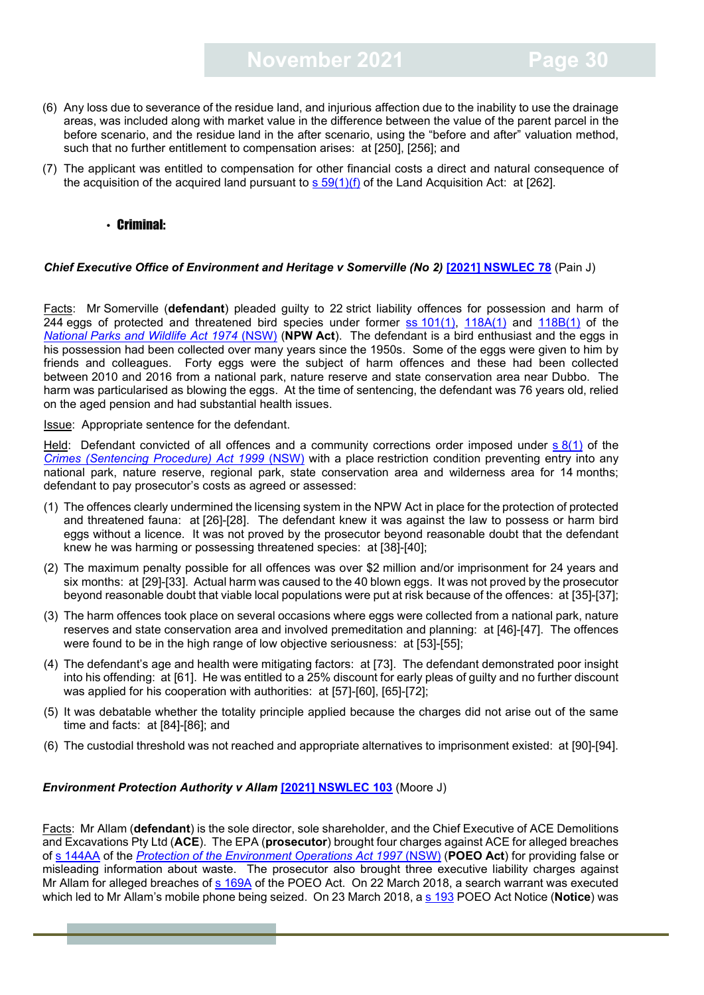- (6) Any loss due to severance of the residue land, and injurious affection due to the inability to use the drainage areas, was included along with market value in the difference between the value of the parent parcel in the before scenario, and the residue land in the after scenario, using the "before and after" valuation method, such that no further entitlement to compensation arises: at [250], [256]; and
- (7) The applicant was entitled to compensation for other financial costs a direct and natural consequence of the acquisition of the acquired land pursuant to  $s$  [59\(1\)\(f\)](https://legislation.nsw.gov.au/view/html/inforce/current/act-1991-022#sec.59) of the Land Acquisition Act: at [262].

#### <span id="page-29-0"></span>• Criminal:

#### *Chief Executive Office of Environment and Heritage v Somerville (No 2)* **[\[2021\] NSWLEC 78](https://www.caselaw.nsw.gov.au/decision/17ac2ec1fbd6c27974657909)** (Pain J)

Facts: Mr Somerville (**defendant**) pleaded guilty to 22 strict liability offences for possession and harm of 244 eggs of protected and threatened bird species under former ss [101\(1\),](https://legislation.nsw.gov.au/view/html/2016-06-07/act-1974-080#sec.101) [118A\(1\)](https://legislation.nsw.gov.au/view/html/2016-06-07/act-1974-080#sec.118A) and [118B\(1\)](https://legislation.nsw.gov.au/view/html/2016-06-07/act-1974-080#sec.118B) of the *National [Parks and Wildlife Act 1974](https://legislation.nsw.gov.au/view/html/2016-06-07/act-1974-080#statusinformation)* (NSW) (**NPW Act**). The defendant is a bird enthusiast and the eggs in his possession had been collected over many years since the 1950s. Some of the eggs were given to him by friends and colleagues. Forty eggs were the subject of harm offences and these had been collected between 2010 and 2016 from a national park, nature reserve and state conservation area near Dubbo. The harm was particularised as blowing the eggs. At the time of sentencing, the defendant was 76 years old, relied on the aged pension and had substantial health issues.

Issue: Appropriate sentence for the defendant.

Held: Defendant convicted of all offences and a community corrections order imposed under s [8\(1\)](https://legislation.nsw.gov.au/view/html/inforce/current/act-1999-092#sec.8) of the *[Crimes \(Sentencing Procedure\) Act 1999](https://legislation.nsw.gov.au/view/html/inforce/current/act-1999-092)* (NSW) with a place restriction condition preventing entry into any national park, nature reserve, regional park, state conservation area and wilderness area for 14 months; defendant to pay prosecutor's costs as agreed or assessed:

- (1) The offences clearly undermined the licensing system in the NPW Act in place for the protection of protected and threatened fauna: at [26]-[28]. The defendant knew it was against the law to possess or harm bird eggs without a licence. It was not proved by the prosecutor beyond reasonable doubt that the defendant knew he was harming or possessing threatened species: at [38]-[40];
- (2) The maximum penalty possible for all offences was over \$2 million and/or imprisonment for 24 years and six months: at [29]-[33]. Actual harm was caused to the 40 blown eggs. It was not proved by the prosecutor beyond reasonable doubt that viable local populations were put at risk because of the offences: at [35]-[37];
- (3) The harm offences took place on several occasions where eggs were collected from a national park, nature reserves and state conservation area and involved premeditation and planning: at [46]-[47]. The offences were found to be in the high range of low objective seriousness: at [53]-[55];
- (4) The defendant's age and health were mitigating factors: at [73]. The defendant demonstrated poor insight into his offending: at [61]. He was entitled to a 25% discount for early pleas of guilty and no further discount was applied for his cooperation with authorities: at [57]-[60], [65]-[72];
- (5) It was debatable whether the totality principle applied because the charges did not arise out of the same time and facts: at [84]-[86]; and
- (6) The custodial threshold was not reached and appropriate alternatives to imprisonment existed: at [90]-[94].

#### *Environment Protection Authority v Allam* **[\[2021\] NSWLEC 103](https://www.caselaw.nsw.gov.au/decision/17c0b37a09018c346f55c88f)** (Moore J)

Facts: Mr Allam (**defendant**) is the sole director, sole shareholder, and the Chief Executive of ACE Demolitions and Excavations Pty Ltd (**ACE**). The EPA (**prosecutor**) brought four charges against ACE for alleged breaches of s [144AA](https://legislation.nsw.gov.au/view/html/inforce/current/act-1997-156#sec.144AA) of the *[Protection of the Environment Operations Act 1997](https://legislation.nsw.gov.au/view/html/inforce/current/act-1997-156)* (NSW) (**POEO Act**) for providing false or misleading information about waste. The prosecutor also brought three executive liability charges against Mr Allam for alleged breaches of [s 169A](https://legislation.nsw.gov.au/view/html/inforce/current/act-1997-156#sec.169A) of the POEO Act. On 22 March 2018, a search warrant was executed which led to Mr Allam's mobile phone being seized. On 23 March 2018, a [s 193](https://legislation.nsw.gov.au/view/html/inforce/current/act-1997-156#sec.193) POEO Act Notice (**Notice**) was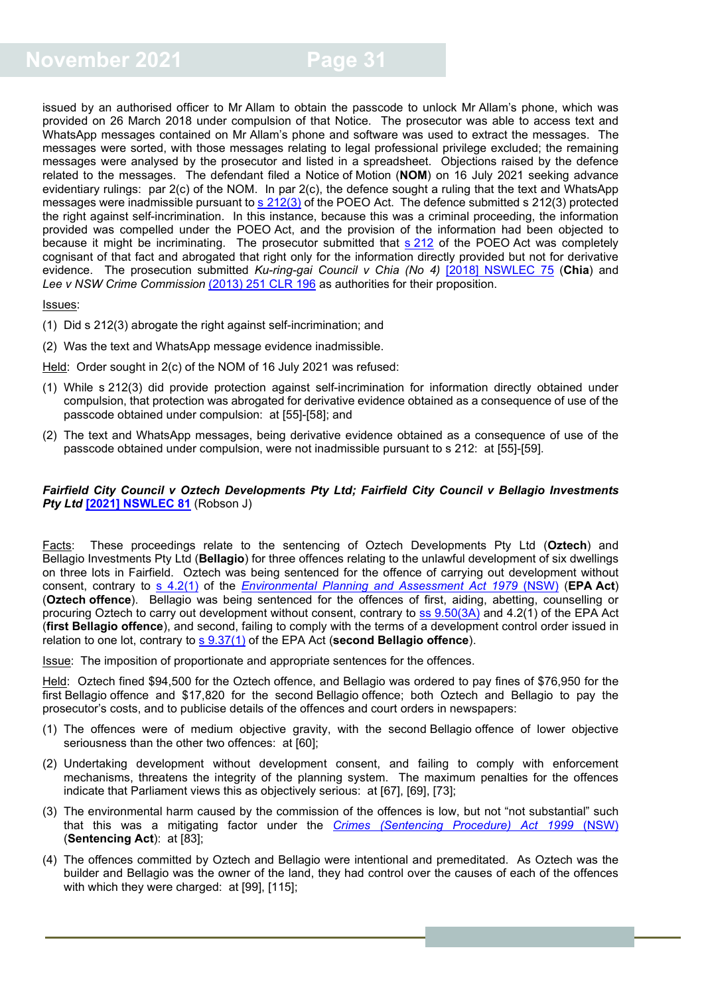issued by an authorised officer to Mr Allam to obtain the passcode to unlock Mr Allam's phone, which was provided on 26 March 2018 under compulsion of that Notice. The prosecutor was able to access text and WhatsApp messages contained on Mr Allam's phone and software was used to extract the messages. The messages were sorted, with those messages relating to legal professional privilege excluded; the remaining messages were analysed by the prosecutor and listed in a spreadsheet. Objections raised by the defence related to the messages. The defendant filed a Notice of Motion (**NOM**) on 16 July 2021 seeking advance evidentiary rulings: par 2(c) of the NOM. In par 2(c), the defence sought a ruling that the text and WhatsApp messages were inadmissible pursuant to s [212\(3\)](https://legislation.nsw.gov.au/view/html/inforce/current/act-1997-156#sec.212) of the POEO Act. The defence submitted s 212(3) protected the right against self-incrimination. In this instance, because this was a criminal proceeding, the information provided was compelled under the POEO Act, and the provision of the information had been objected to because it might be incriminating. The prosecutor submitted that s [212](https://legislation.nsw.gov.au/view/html/inforce/current/act-1997-156#sec.212) of the POEO Act was completely cognisant of that fact and abrogated that right only for the information directly provided but not for derivative evidence. The prosecution submitted *Ku-ring-gai Council v Chia (No 4)* [\[2018\] NSWLEC 75](https://www.caselaw.nsw.gov.au/decision/5b0214b6e4b087b8baa89257) (**Chia**) and *Lee v NSW Crime Commission* [\(2013\) 251 CLR 196](https://www.westlaw.com.au/maf/wlau/app/blob?blobguid=I81fffa80695911e49109f68a450e3a1e&file=251_CLR_196.pdf) as authorities for their proposition.

#### Issues:

- (1) Did s 212(3) abrogate the right against self-incrimination; and
- (2) Was the text and WhatsApp message evidence inadmissible.

Held: Order sought in 2(c) of the NOM of 16 July 2021 was refused:

- (1) While s 212(3) did provide protection against self-incrimination for information directly obtained under compulsion, that protection was abrogated for derivative evidence obtained as a consequence of use of the passcode obtained under compulsion: at [55]-[58]; and
- (2) The text and WhatsApp messages, being derivative evidence obtained as a consequence of use of the passcode obtained under compulsion, were not inadmissible pursuant to s 212: at [55]-[59].

#### *Fairfield City Council v Oztech Developments Pty Ltd; Fairfield City Council v Bellagio Investments Pty Ltd* **[\[2021\] NSWLEC 81](https://www.caselaw.nsw.gov.au/decision/17aef100d9a7c319a454d4a1)** (Robson J)

Facts: These proceedings relate to the sentencing of Oztech Developments Pty Ltd (**Oztech**) and Bellagio Investments Pty Ltd (**Bellagio**) for three offences relating to the unlawful development of six dwellings on three lots in Fairfield. Oztech was being sentenced for the offence of carrying out development without consent, contrary to [s 4.2\(1\)](https://legislation.nsw.gov.au/view/html/inforce/current/act-1979-203#sec.4.2) of the *[Environmental Planning and Assessment Act 1979](https://legislation.nsw.gov.au/view/html/inforce/current/act-1979-203)* (NSW) (**EPA Act**) (**Oztech offence**). Bellagio was being sentenced for the offences of first, aiding, abetting, counselling or procuring Oztech to carry out development without consent, contrary to ss [9.50\(3A\)](https://legislation.nsw.gov.au/view/html/inforce/current/act-1979-203#sec.9.50) and 4.2(1) of the EPA Act (**first Bellagio offence**), and second, failing to comply with the terms of a development control order issued in relation to one lot, contrary to [s 9.37\(1\)](https://legislation.nsw.gov.au/view/html/inforce/current/act-1979-203#sec.9.37) of the EPA Act (**second Bellagio offence**).

Issue: The imposition of proportionate and appropriate sentences for the offences.

Held: Oztech fined \$94,500 for the Oztech offence, and Bellagio was ordered to pay fines of \$76,950 for the first Bellagio offence and \$17,820 for the second Bellagio offence; both Oztech and Bellagio to pay the prosecutor's costs, and to publicise details of the offences and court orders in newspapers:

- (1) The offences were of medium objective gravity, with the second Bellagio offence of lower objective seriousness than the other two offences: at [60];
- (2) Undertaking development without development consent, and failing to comply with enforcement mechanisms, threatens the integrity of the planning system. The maximum penalties for the offences indicate that Parliament views this as objectively serious: at [67], [69], [73];
- (3) The environmental harm caused by the commission of the offences is low, but not "not substantial" such that this was a mitigating factor under the *[Crimes \(Sentencing Procedure\) Act 1999](https://legislation.nsw.gov.au/view/html/inforce/current/act-1999-092)* (NSW) (**Sentencing Act**): at [83];
- (4) The offences committed by Oztech and Bellagio were intentional and premeditated. As Oztech was the builder and Bellagio was the owner of the land, they had control over the causes of each of the offences with which they were charged: at [99], [115];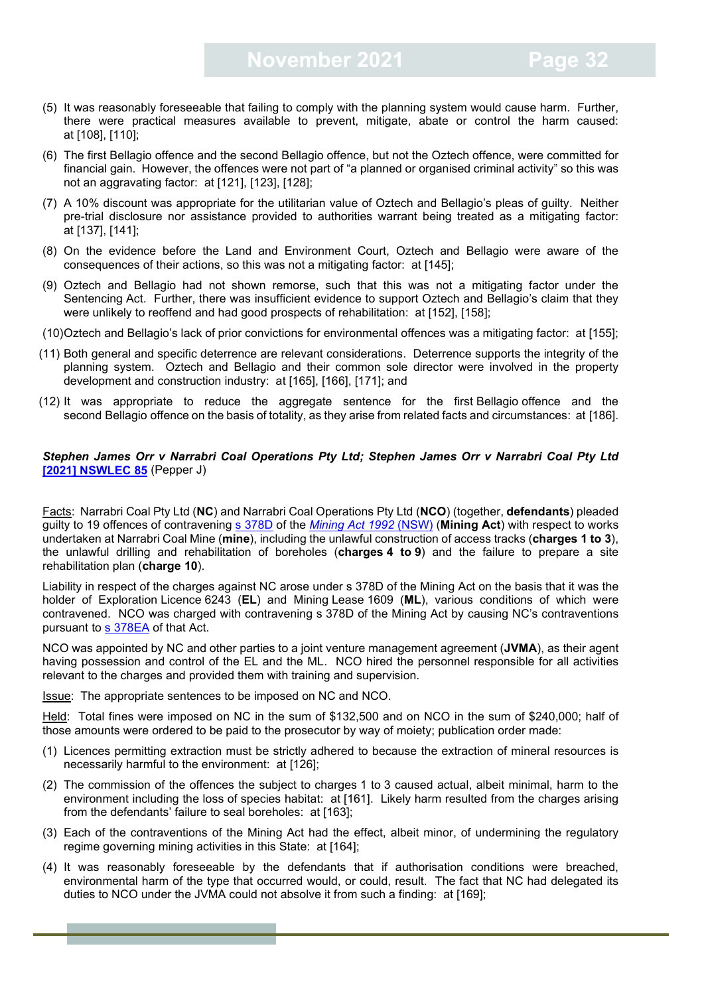- (5) It was reasonably foreseeable that failing to comply with the planning system would cause harm. Further, there were practical measures available to prevent, mitigate, abate or control the harm caused: at [108], [110];
- (6) The first Bellagio offence and the second Bellagio offence, but not the Oztech offence, were committed for financial gain. However, the offences were not part of "a planned or organised criminal activity" so this was not an aggravating factor: at [121], [123], [128];
- (7) A 10% discount was appropriate for the utilitarian value of Oztech and Bellagio's pleas of guilty. Neither pre-trial disclosure nor assistance provided to authorities warrant being treated as a mitigating factor: at [137], [141];
- (8) On the evidence before the Land and Environment Court, Oztech and Bellagio were aware of the consequences of their actions, so this was not a mitigating factor: at [145];
- (9) Oztech and Bellagio had not shown remorse, such that this was not a mitigating factor under the Sentencing Act. Further, there was insufficient evidence to support Oztech and Bellagio's claim that they were unlikely to reoffend and had good prospects of rehabilitation: at [152], [158];
- (10)Oztech and Bellagio's lack of prior convictions for environmental offences was a mitigating factor: at [155];
- (11) Both general and specific deterrence are relevant considerations. Deterrence supports the integrity of the planning system. Oztech and Bellagio and their common sole director were involved in the property development and construction industry: at [165], [166], [171]; and
- (12) It was appropriate to reduce the aggregate sentence for the first Bellagio offence and the second Bellagio offence on the basis of totality, as they arise from related facts and circumstances: at [186].

#### *Stephen James Orr v Narrabri Coal Operations Pty Ltd; Stephen James Orr v Narrabri Coal Pty Ltd* **[\[2021\] NSWLEC 85](https://www.caselaw.nsw.gov.au/decision/17b3da00088127572371aee5)** (Pepper J)

Facts: Narrabri Coal Pty Ltd (**NC**) and Narrabri Coal Operations Pty Ltd (**NCO**) (together, **defendants**) pleaded guilty to 19 offences of contravening [s 378D](https://legislation.nsw.gov.au/view/html/inforce/current/act-1992-029#sec.378D) of the *[Mining Act 1992](https://legislation.nsw.gov.au/view/html/inforce/current/act-1992-029)* (NSW) (**Mining Act**) with respect to works undertaken at Narrabri Coal Mine (**mine**), including the unlawful construction of access tracks (**charges 1 to 3**), the unlawful drilling and rehabilitation of boreholes (**charges 4 to 9**) and the failure to prepare a site rehabilitation plan (**charge 10**).

Liability in respect of the charges against NC arose under s 378D of the Mining Act on the basis that it was the holder of Exploration Licence 6243 (**EL**) and Mining Lease 1609 (**ML**), various conditions of which were contravened. NCO was charged with contravening s 378D of the Mining Act by causing NC's contraventions pursuant to [s 378EA](https://legislation.nsw.gov.au/view/html/inforce/current/act-1992-029#sec.378EA) of that Act.

NCO was appointed by NC and other parties to a joint venture management agreement (**JVMA**), as their agent having possession and control of the EL and the ML. NCO hired the personnel responsible for all activities relevant to the charges and provided them with training and supervision.

Issue: The appropriate sentences to be imposed on NC and NCO.

Held: Total fines were imposed on NC in the sum of \$132,500 and on NCO in the sum of \$240,000; half of those amounts were ordered to be paid to the prosecutor by way of moiety; publication order made:

- (1) Licences permitting extraction must be strictly adhered to because the extraction of mineral resources is necessarily harmful to the environment: at [126];
- (2) The commission of the offences the subject to charges 1 to 3 caused actual, albeit minimal, harm to the environment including the loss of species habitat: at [161]. Likely harm resulted from the charges arising from the defendants' failure to seal boreholes: at [163];
- (3) Each of the contraventions of the Mining Act had the effect, albeit minor, of undermining the regulatory regime governing mining activities in this State: at [164];
- (4) It was reasonably foreseeable by the defendants that if authorisation conditions were breached, environmental harm of the type that occurred would, or could, result. The fact that NC had delegated its duties to NCO under the JVMA could not absolve it from such a finding: at [169];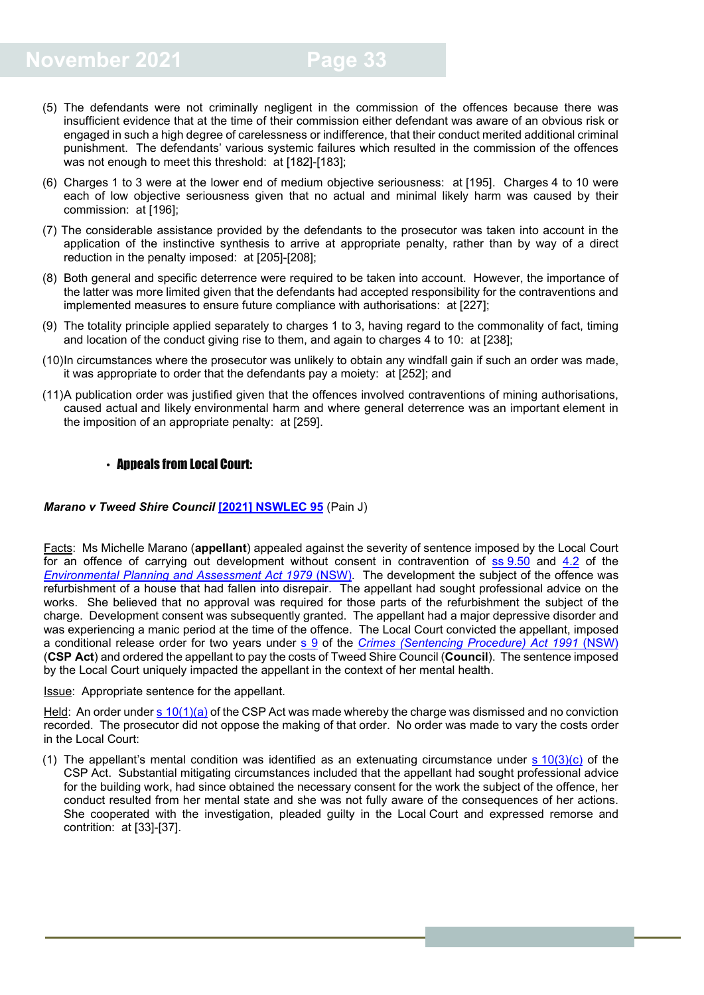- (5) The defendants were not criminally negligent in the commission of the offences because there was insufficient evidence that at the time of their commission either defendant was aware of an obvious risk or engaged in such a high degree of carelessness or indifference, that their conduct merited additional criminal punishment. The defendants' various systemic failures which resulted in the commission of the offences was not enough to meet this threshold: at [182]-[183];
- (6) Charges 1 to 3 were at the lower end of medium objective seriousness: at [195]. Charges 4 to 10 were each of low objective seriousness given that no actual and minimal likely harm was caused by their commission: at [196];
- (7) The considerable assistance provided by the defendants to the prosecutor was taken into account in the application of the instinctive synthesis to arrive at appropriate penalty, rather than by way of a direct reduction in the penalty imposed: at [205]-[208];
- (8) Both general and specific deterrence were required to be taken into account. However, the importance of the latter was more limited given that the defendants had accepted responsibility for the contraventions and implemented measures to ensure future compliance with authorisations: at [227];
- (9) The totality principle applied separately to charges 1 to 3, having regard to the commonality of fact, timing and location of the conduct giving rise to them, and again to charges 4 to 10: at [238];
- (10)In circumstances where the prosecutor was unlikely to obtain any windfall gain if such an order was made, it was appropriate to order that the defendants pay a moiety: at [252]; and
- (11)A publication order was justified given that the offences involved contraventions of mining authorisations, caused actual and likely environmental harm and where general deterrence was an important element in the imposition of an appropriate penalty: at [259].

#### <span id="page-32-0"></span>• Appeals from Local Court:

#### *Marano v Tweed Shire Council* **[\[2021\] NSWLEC 95](https://www.caselaw.nsw.gov.au/decision/17b9a93400fd05d14cc67d60)** (Pain J)

Facts: Ms Michelle Marano (**appellant**) appealed against the severity of sentence imposed by the Local Court for an offence of carrying out development without consent in contravention of ss [9.50](https://legislation.nsw.gov.au/view/html/inforce/current/act-1979-203#sec.9.50) and [4.2](https://legislation.nsw.gov.au/view/html/inforce/current/act-1979-203#sec.4.2) of the *[Environmental Planning and Assessment Act 1979](https://legislation.nsw.gov.au/view/html/inforce/current/act-1979-203)* (NSW). The development the subject of the offence was refurbishment of a house that had fallen into disrepair. The appellant had sought professional advice on the works. She believed that no approval was required for those parts of the refurbishment the subject of the charge. Development consent was subsequently granted. The appellant had a major depressive disorder and was experiencing a manic period at the time of the offence. The Local Court convicted the appellant, imposed a conditional release order for two years under [s 9](https://legislation.nsw.gov.au/view/html/inforce/current/act-1999-092#sec.9) of the *[Crimes \(Sentencing Procedure\) Act 1991](https://legislation.nsw.gov.au/view/html/inforce/current/act-1999-092)* (NSW) (**CSP Act**) and ordered the appellant to pay the costs of Tweed Shire Council (**Council**). The sentence imposed by the Local Court uniquely impacted the appellant in the context of her mental health.

Issue: Appropriate sentence for the appellant.

Held: An order under s  $10(1)(a)$  of the CSP Act was made whereby the charge was dismissed and no conviction recorded. The prosecutor did not oppose the making of that order. No order was made to vary the costs order in the Local Court:

(1) The appellant's mental condition was identified as an extenuating circumstance under s  $10(3)(c)$  of the CSP Act. Substantial mitigating circumstances included that the appellant had sought professional advice for the building work, had since obtained the necessary consent for the work the subject of the offence, her conduct resulted from her mental state and she was not fully aware of the consequences of her actions. She cooperated with the investigation, pleaded guilty in the Local Court and expressed remorse and contrition: at [33]-[37].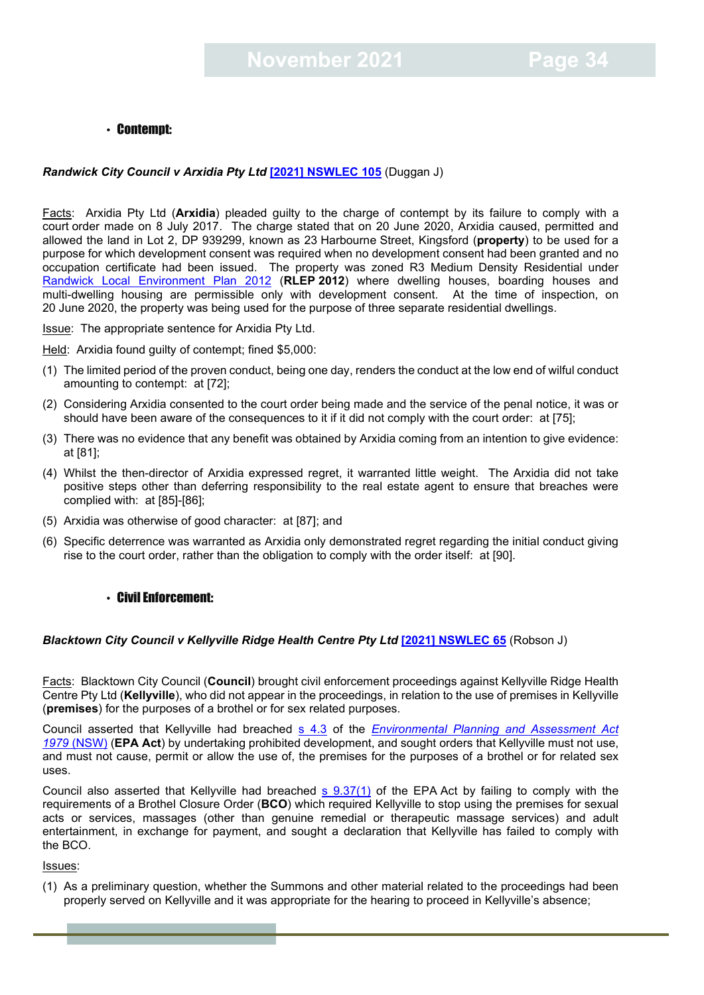#### <span id="page-33-0"></span>• Contempt:

#### *Randwick City Council v Arxidia Pty Ltd* **[\[2021\] NSWLEC 105](https://www.caselaw.nsw.gov.au/decision/17c2f7a02b956f9bf444a97f)** (Duggan J)

Facts: Arxidia Pty Ltd (**Arxidia**) pleaded guilty to the charge of contempt by its failure to comply with a court order made on 8 July 2017. The charge stated that on 20 June 2020, Arxidia caused, permitted and allowed the land in Lot 2, DP 939299, known as 23 Harbourne Street, Kingsford (**property**) to be used for a purpose for which development consent was required when no development consent had been granted and no occupation certificate had been issued. The property was zoned R3 Medium Density Residential under [Randwick Local Environment Plan 2012](https://legislation.nsw.gov.au/view/html/inforce/current/epi-2013-0036) (**RLEP 2012**) where dwelling houses, boarding houses and multi-dwelling housing are permissible only with development consent. At the time of inspection, on 20 June 2020, the property was being used for the purpose of three separate residential dwellings.

**Issue:** The appropriate sentence for Arxidia Pty Ltd.

Held: Arxidia found guilty of contempt; fined \$5,000:

- (1) The limited period of the proven conduct, being one day, renders the conduct at the low end of wilful conduct amounting to contempt: at [72];
- (2) Considering Arxidia consented to the court order being made and the service of the penal notice, it was or should have been aware of the consequences to it if it did not comply with the court order: at [75];
- (3) There was no evidence that any benefit was obtained by Arxidia coming from an intention to give evidence: at [81];
- (4) Whilst the then-director of Arxidia expressed regret, it warranted little weight. The Arxidia did not take positive steps other than deferring responsibility to the real estate agent to ensure that breaches were complied with: at [85]-[86];
- (5) Arxidia was otherwise of good character: at [87]; and
- (6) Specific deterrence was warranted as Arxidia only demonstrated regret regarding the initial conduct giving rise to the court order, rather than the obligation to comply with the order itself: at [90].

#### <span id="page-33-1"></span>• Civil Enforcement:

#### *Blacktown City Council v Kellyville Ridge Health Centre Pty Ltd* **[\[2021\] NSWLEC 65](https://www.caselaw.nsw.gov.au/decision/17a1d7e59bb34b7dc04f415b)** (Robson J)

Facts: Blacktown City Council (**Council**) brought civil enforcement proceedings against Kellyville Ridge Health Centre Pty Ltd (**Kellyville**), who did not appear in the proceedings, in relation to the use of premises in Kellyville (**premises**) for the purposes of a brothel or for sex related purposes.

Council asserted that Kellyville had breached [s 4.3](https://legislation.nsw.gov.au/view/html/inforce/current/act-1979-203#sec.4.3) of the *Environmental Planning and Assessment Act 1979* [\(NSW\)](https://legislation.nsw.gov.au/view/html/inforce/current/act-1979-203#statusinformation) (**EPA Act**) by undertaking prohibited development, and sought orders that Kellyville must not use, and must not cause, permit or allow the use of, the premises for the purposes of a brothel or for related sex uses.

Council also asserted that Kellyville had breached [s 9.37\(1\)](https://legislation.nsw.gov.au/view/html/inforce/current/act-1979-203#sec.9.37) of the EPA Act by failing to comply with the requirements of a Brothel Closure Order (**BCO**) which required Kellyville to stop using the premises for sexual acts or services, massages (other than genuine remedial or therapeutic massage services) and adult entertainment, in exchange for payment, and sought a declaration that Kellyville has failed to comply with the BCO.

Issues:

(1) As a preliminary question, whether the Summons and other material related to the proceedings had been properly served on Kellyville and it was appropriate for the hearing to proceed in Kellyville's absence;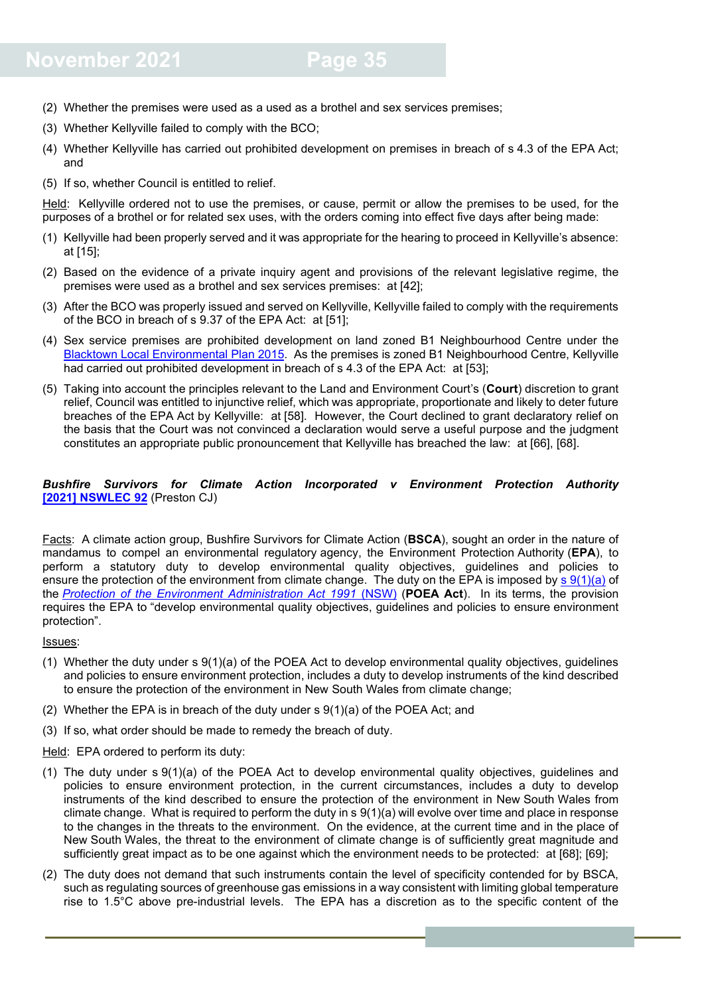## **November 2021 Page 35**

- (2) Whether the premises were used as a used as a brothel and sex services premises;
- (3) Whether Kellyville failed to comply with the BCO;
- (4) Whether Kellyville has carried out prohibited development on premises in breach of s 4.3 of the EPA Act; and
- (5) If so, whether Council is entitled to relief.

Held: Kellyville ordered not to use the premises, or cause, permit or allow the premises to be used, for the purposes of a brothel or for related sex uses, with the orders coming into effect five days after being made:

- (1) Kellyville had been properly served and it was appropriate for the hearing to proceed in Kellyville's absence: at [15];
- (2) Based on the evidence of a private inquiry agent and provisions of the relevant legislative regime, the premises were used as a brothel and sex services premises: at [42];
- (3) After the BCO was properly issued and served on Kellyville, Kellyville failed to comply with the requirements of the BCO in breach of s 9.37 of the EPA Act: at [51];
- (4) Sex service premises are prohibited development on land zoned B1 Neighbourhood Centre under the [Blacktown Local Environmental Plan 2015.](https://legislation.nsw.gov.au/view/html/inforce/current/epi-2015-0239) As the premises is zoned B1 Neighbourhood Centre, Kellyville had carried out prohibited development in breach of s 4.3 of the EPA Act: at [53];
- (5) Taking into account the principles relevant to the Land and Environment Court's (**Court**) discretion to grant relief, Council was entitled to injunctive relief, which was appropriate, proportionate and likely to deter future breaches of the EPA Act by Kellyville: at [58]. However, the Court declined to grant declaratory relief on the basis that the Court was not convinced a declaration would serve a useful purpose and the judgment constitutes an appropriate public pronouncement that Kellyville has breached the law: at [66], [68].

#### *Bushfire Survivors for Climate Action Incorporated v Environment Protection Authority*  **[2021] [NSWLEC](https://www.caselaw.nsw.gov.au/decision/17b7569b9b3625518b58fd99) 92** (Preston CJ)

Facts: A climate action group, Bushfire Survivors for Climate Action (**BSCA**), sought an order in the nature of mandamus to compel an environmental regulatory agency, the Environment Protection Authority (**EPA**), to perform a statutory duty to develop environmental quality objectives, guidelines and policies to ensure the protection of the environment from climate change. The duty on the EPA is imposed by s [9\(1\)\(a\)](https://legislation.nsw.gov.au/view/html/inforce/current/act-1991-060#sec.9) of the *[Protection of the Environment Administration Act 1991](https://legislation.nsw.gov.au/view/html/inforce/current/act-1991-060)* (NSW) (**POEA Act**). In its terms, the provision requires the EPA to "develop environmental quality objectives, guidelines and policies to ensure environment protection".

#### Issues:

- (1) Whether the duty under s 9(1)(a) of the POEA Act to develop environmental quality objectives, guidelines and policies to ensure environment protection, includes a duty to develop instruments of the kind described to ensure the protection of the environment in New South Wales from climate change;
- (2) Whether the EPA is in breach of the duty under s 9(1)(a) of the POEA Act; and
- (3) If so, what order should be made to remedy the breach of duty.

Held: EPA ordered to perform its duty:

- (1) The duty under s 9(1)(a) of the POEA Act to develop environmental quality objectives, guidelines and policies to ensure environment protection, in the current circumstances, includes a duty to develop instruments of the kind described to ensure the protection of the environment in New South Wales from climate change. What is required to perform the duty in s 9(1)(a) will evolve over time and place in response to the changes in the threats to the environment. On the evidence, at the current time and in the place of New South Wales, the threat to the environment of climate change is of sufficiently great magnitude and sufficiently great impact as to be one against which the environment needs to be protected: at [68]; [69];
- (2) The duty does not demand that such instruments contain the level of specificity contended for by BSCA, such as regulating sources of greenhouse gas emissions in a way consistent with limiting global temperature rise to 1.5°C above pre-industrial levels. The EPA has a discretion as to the specific content of the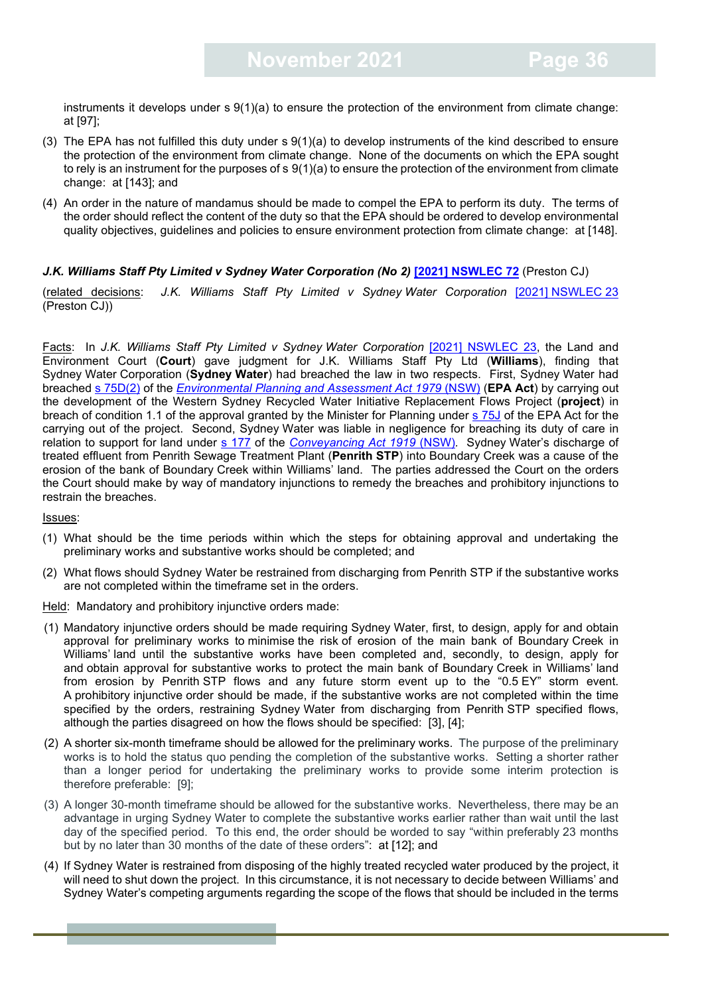instruments it develops under s 9(1)(a) to ensure the protection of the environment from climate change: at [97];

- (3) The EPA has not fulfilled this duty under s 9(1)(a) to develop instruments of the kind described to ensure the protection of the environment from climate change. None of the documents on which the EPA sought to rely is an instrument for the purposes of s 9(1)(a) to ensure the protection of the environment from climate change: at [143]; and
- (4) An order in the nature of mandamus should be made to compel the EPA to perform its duty. The terms of the order should reflect the content of the duty so that the EPA should be ordered to develop environmental quality objectives, guidelines and policies to ensure environment protection from climate change: at [148].

#### *J.K. Williams Staff Pty Limited v Sydney Water Corporation (No 2)* **[\[2021\] NSWLEC 72](https://www.caselaw.nsw.gov.au/decision/17a7f18b63cf23249175ca5d)** (Preston CJ)

(related decisions: *J.K. Williams Staff Pty Limited v Sydney Water Corporation* [2021] [NSWLEC](https://www.caselaw.nsw.gov.au/decision/1783ec46ea876f212233b3d1) 23 (Preston CJ))

Facts: In *J.K. Williams Staff Pty Limited v Sydney Water Corporation* [\[2021\] NSWLEC 23,](https://www.caselaw.nsw.gov.au/decision/1783ec46ea876f212233b3d1) the Land and Environment Court (**Court**) gave judgment for J.K. Williams Staff Pty Ltd (**Williams**), finding that Sydney Water Corporation (**Sydney Water**) had breached the law in two respects. First, Sydney Water had breached [s 75D\(2\)](https://legislation.nsw.gov.au/view/html/inforce/2011-09-16/act-1979-203) of the *[Environmental Planning and Assessment Act 1979](https://legislation.nsw.gov.au/view/html/inforce/2011-09-16/act-1979-203)* (NSW) (**EPA Act**) by carrying out the development of the Western Sydney Recycled Water Initiative Replacement Flows Project (**project**) in breach of condition 1.1 of the approval granted by the Minister for Planning under [s 75J](https://legislation.nsw.gov.au/view/html/inforce/2011-09-16/act-1979-203) of the EPA Act for the carrying out of the project. Second, Sydney Water was liable in negligence for breaching its duty of care in relation to support for land under [s 177](https://legislation.nsw.gov.au/view/html/inforce/current/act-1919-006#sec.177) of the *[Conveyancing Act 1919](https://legislation.nsw.gov.au/view/html/inforce/current/act-1919-006)* (NSW)*.* Sydney Water's discharge of treated effluent from Penrith Sewage Treatment Plant (**Penrith STP**) into Boundary Creek was a cause of the erosion of the bank of Boundary Creek within Williams' land. The parties addressed the Court on the orders the Court should make by way of mandatory injunctions to remedy the breaches and prohibitory injunctions to restrain the breaches.

Issues:

- (1) What should be the time periods within which the steps for obtaining approval and undertaking the preliminary works and substantive works should be completed; and
- (2) What flows should Sydney Water be restrained from discharging from Penrith STP if the substantive works are not completed within the timeframe set in the orders.

Held: Mandatory and prohibitory injunctive orders made:

- (1) Mandatory injunctive orders should be made requiring Sydney Water, first, to design, apply for and obtain approval for preliminary works to minimise the risk of erosion of the main bank of Boundary Creek in Williams' land until the substantive works have been completed and, secondly, to design, apply for and obtain approval for substantive works to protect the main bank of Boundary Creek in Williams' land from erosion by Penrith STP flows and any future storm event up to the "0.5 EY" storm event. A prohibitory injunctive order should be made, if the substantive works are not completed within the time specified by the orders, restraining Sydney Water from discharging from Penrith STP specified flows, although the parties disagreed on how the flows should be specified: [3], [4];
- (2) A shorter six-month timeframe should be allowed for the preliminary works. The purpose of the preliminary works is to hold the status quo pending the completion of the substantive works. Setting a shorter rather than a longer period for undertaking the preliminary works to provide some interim protection is therefore preferable: [9];
- (3) A longer 30-month timeframe should be allowed for the substantive works. Nevertheless, there may be an advantage in urging Sydney Water to complete the substantive works earlier rather than wait until the last day of the specified period. To this end, the order should be worded to say "within preferably 23 months but by no later than 30 months of the date of these orders": at [12]; and
- (4) If Sydney Water is restrained from disposing of the highly treated recycled water produced by the project, it will need to shut down the project. In this circumstance, it is not necessary to decide between Williams' and Sydney Water's competing arguments regarding the scope of the flows that should be included in the terms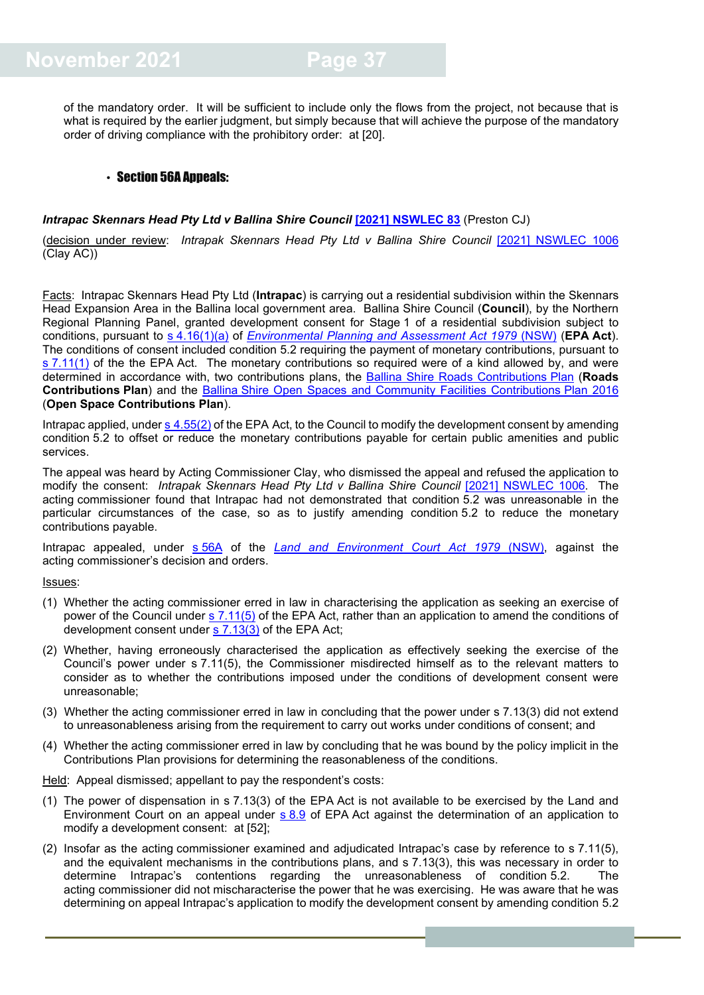of the mandatory order. It will be sufficient to include only the flows from the project, not because that is what is required by the earlier judgment, but simply because that will achieve the purpose of the mandatory order of driving compliance with the prohibitory order: at [20].

#### <span id="page-36-0"></span>• Section 56A Appeals:

#### **Intrapac Skennars Head Pty Ltd v Ballina Shire Council [\[2021\] NSWLEC 83](https://www.caselaw.nsw.gov.au/decision/17b290a7c3d2beb6fc9b4805) (Preston CJ)**

(decision under review: *Intrapak Skennars Head Pty Ltd v Ballina Shire Council* [\[2021\] NSWLEC 1006](https://www.caselaw.nsw.gov.au/decision/17673ff93ac160d5f1d84a64) (Clay AC))

Facts: Intrapac Skennars Head Pty Ltd (**Intrapac**) is carrying out a residential subdivision within the Skennars Head Expansion Area in the Ballina local government area. Ballina Shire Council (**Council**), by the Northern Regional Planning Panel, granted development consent for Stage 1 of a residential subdivision subject to conditions, pursuant to s [4.16\(1\)\(a\)](https://legislation.nsw.gov.au/view/html/inforce/current/act-1979-203#sec.4.16) of *[Environmental Planning and Assessment Act 1979](https://legislation.nsw.gov.au/view/html/inforce/current/act-1979-203)* (NSW) (**EPA Act**). The conditions of consent included condition 5.2 requiring the payment of monetary contributions, pursuant to  $s$  [7.11\(1\)](https://legislation.nsw.gov.au/view/html/inforce/current/act-1979-203#sec.7.11) of the the EPA Act. The monetary contributions so required were of a kind allowed by, and were determined in accordance with, two contributions plans, the [Ballina Shire Roads Contributions](https://ballina.nsw.gov.au/files/ballina-shire-roads-contribution-plan-version-4-2.pdf) Plan (**Roads Contributions Plan**) and the Ballina [Shire Open Spaces and Community Facilities Contributions](https://ballina.nsw.gov.au/files/250816_Item_9_1_Open_Space_and_Community_Facilities_Contributions_Plan_Draft.pdf) Plan 2016 (**Open Space Contributions Plan**).

Intrapac applied, under s [4.55\(2\)](https://legislation.nsw.gov.au/view/html/inforce/current/act-1979-203#sec.4.55) of the EPA Act, to the Council to modify the development consent by amending condition 5.2 to offset or reduce the monetary contributions payable for certain public amenities and public services.

The appeal was heard by Acting Commissioner Clay, who dismissed the appeal and refused the application to modify the consent: *Intrapak Skennars Head Pty Ltd v Ballina Shire Council* [\[2021\] NSWLEC 1006.](https://www.caselaw.nsw.gov.au/decision/17673ff93ac160d5f1d84a64) The acting commissioner found that Intrapac had not demonstrated that condition 5.2 was unreasonable in the particular circumstances of the case, so as to justify amending condition 5.2 to reduce the monetary contributions payable.

Intrapac appealed, under s [56A](https://legislation.nsw.gov.au/view/html/inforce/current/act-1979-204#sec.56A) of the *[Land and Environment Court Act 1979](https://legislation.nsw.gov.au/view/html/inforce/current/act-1979-204)* (NSW), against the acting commissioner's decision and orders.

Issues:

- (1) Whether the acting commissioner erred in law in characterising the application as seeking an exercise of power of the Council under s [7.11\(5\)](https://legislation.nsw.gov.au/view/html/inforce/current/act-1979-203#sec.7.11) of the EPA Act, rather than an application to amend the conditions of development consent under s [7.13\(3\)](https://legislation.nsw.gov.au/view/html/inforce/current/act-1979-203#sec.7.11) of the EPA Act;
- (2) Whether, having erroneously characterised the application as effectively seeking the exercise of the Council's power under s 7.11(5), the Commissioner misdirected himself as to the relevant matters to consider as to whether the contributions imposed under the conditions of development consent were unreasonable;
- (3) Whether the acting commissioner erred in law in concluding that the power under s 7.13(3) did not extend to unreasonableness arising from the requirement to carry out works under conditions of consent; and
- (4) Whether the acting commissioner erred in law by concluding that he was bound by the policy implicit in the Contributions Plan provisions for determining the reasonableness of the conditions.

Held: Appeal dismissed; appellant to pay the respondent's costs:

- (1) The power of dispensation in s 7.13(3) of the EPA Act is not available to be exercised by the Land and Environment Court on an appeal under s [8.9](https://legislation.nsw.gov.au/view/html/inforce/current/act-1979-203#sec.8.9) of EPA Act against the determination of an application to modify a development consent: at [52];
- (2) Insofar as the acting commissioner examined and adjudicated Intrapac's case by reference to s 7.11(5), and the equivalent mechanisms in the contributions plans, and s 7.13(3), this was necessary in order to determine Intrapac's contentions regarding the unreasonableness of condition 5.2. The acting commissioner did not mischaracterise the power that he was exercising. He was aware that he was determining on appeal Intrapac's application to modify the development consent by amending condition 5.2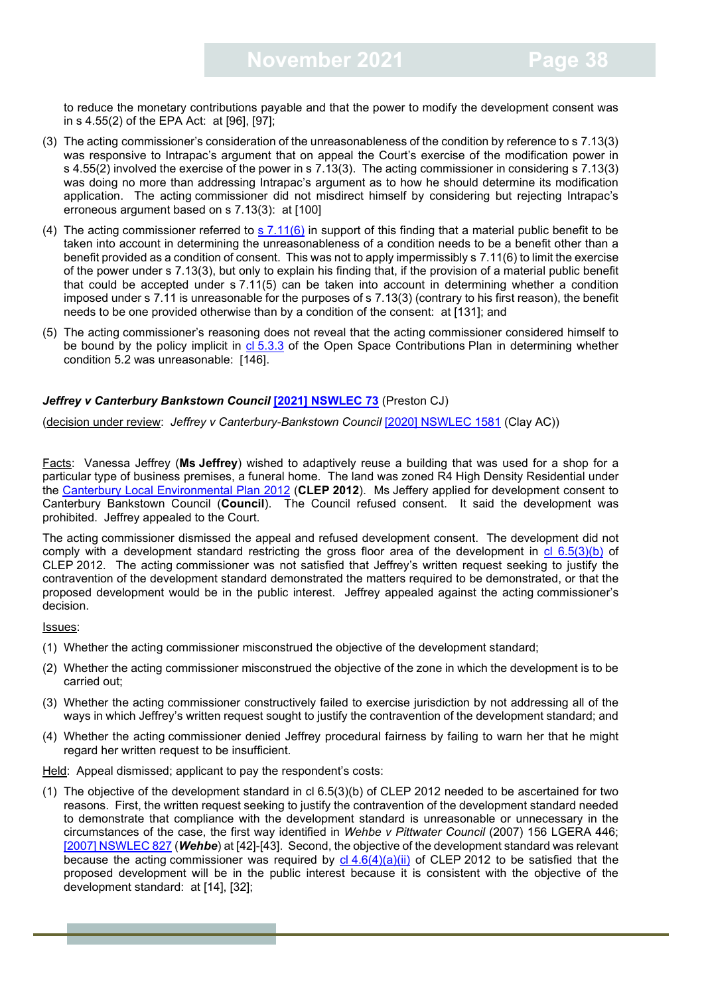to reduce the monetary contributions payable and that the power to modify the development consent was in s 4.55(2) of the EPA Act: at [96], [97];

- (3) The acting commissioner's consideration of the unreasonableness of the condition by reference to s 7.13(3) was responsive to Intrapac's argument that on appeal the Court's exercise of the modification power in s 4.55(2) involved the exercise of the power in s 7.13(3). The acting commissioner in considering s 7.13(3) was doing no more than addressing Intrapac's argument as to how he should determine its modification application. The acting commissioner did not misdirect himself by considering but rejecting Intrapac's erroneous argument based on s 7.13(3): at [100]
- (4) The acting commissioner referred to s  $7.11(6)$  in support of this finding that a material public benefit to be taken into account in determining the unreasonableness of a condition needs to be a benefit other than a benefit provided as a condition of consent. This was not to apply impermissibly s 7.11(6) to limit the exercise of the power under s 7.13(3), but only to explain his finding that, if the provision of a material public benefit that could be accepted under s 7.11(5) can be taken into account in determining whether a condition imposed under s 7.11 is unreasonable for the purposes of s 7.13(3) (contrary to his first reason), the benefit needs to be one provided otherwise than by a condition of the consent: at [131]; and
- (5) The acting commissioner's reasoning does not reveal that the acting commissioner considered himself to be bound by the policy implicit in  $c1\overline{5.3.3}$  $c1\overline{5.3.3}$  $c1\overline{5.3.3}$  of the Open Space Contributions Plan in determining whether condition 5.2 was unreasonable: [146].

#### *Jeffrey v Canterbury Bankstown Council* **[\[2021\] NSWLEC 73](https://www.caselaw.nsw.gov.au/decision/17a835d7e929abe8d72d0bc1)** (Preston CJ)

(decision under review: *Jeffrey v Canterbury-Bankstown Council* [\[2020\] NSWLEC 1581](https://www.caselaw.nsw.gov.au/decision/175f3074fa5c8c91a7c524b8) (Clay AC))

Facts: Vanessa Jeffrey (**Ms Jeffrey**) wished to adaptively reuse a building that was used for a shop for a particular type of business premises, a funeral home. The land was zoned R4 High Density Residential under the [Canterbury Local Environmental Plan 2012](https://legislation.nsw.gov.au/view/html/inforce/current/epi-2012-0673) (**CLEP 2012**). Ms Jeffery applied for development consent to Canterbury Bankstown Council (**Council**). The Council refused consent. It said the development was prohibited. Jeffrey appealed to the Court.

The acting commissioner dismissed the appeal and refused development consent. The development did not comply with a development standard restricting the gross floor area of the development in [cl 6.5\(3\)\(b\)](https://legislation.nsw.gov.au/view/html/inforce/current/epi-2012-0673) of CLEP 2012. The acting commissioner was not satisfied that Jeffrey's written request seeking to justify the contravention of the development standard demonstrated the matters required to be demonstrated, or that the proposed development would be in the public interest. Jeffrey appealed against the acting commissioner's decision.

#### Issues:

- (1) Whether the acting commissioner misconstrued the objective of the development standard;
- (2) Whether the acting commissioner misconstrued the objective of the zone in which the development is to be carried out;
- (3) Whether the acting commissioner constructively failed to exercise jurisdiction by not addressing all of the ways in which Jeffrey's written request sought to justify the contravention of the development standard; and
- (4) Whether the acting commissioner denied Jeffrey procedural fairness by failing to warn her that he might regard her written request to be insufficient.

Held: Appeal dismissed; applicant to pay the respondent's costs:

(1) The objective of the development standard in cl 6.5(3)(b) of CLEP 2012 needed to be ascertained for two reasons. First, the written request seeking to justify the contravention of the development standard needed to demonstrate that compliance with the development standard is unreasonable or unnecessary in the circumstances of the case, the first way identified in *Wehbe v Pittwater Council* (2007) 156 LGERA 446; [\[2007\] NSWLEC 827](https://www.caselaw.nsw.gov.au/decision/549f911d3004262463aef2da) (*Wehbe*) at [42]-[43]. Second, the objective of the development standard was relevant because the acting commissioner was required by  $\frac{c| 4.6(4)(a)(ii)}{2}$  $\frac{c| 4.6(4)(a)(ii)}{2}$  $\frac{c| 4.6(4)(a)(ii)}{2}$  of CLEP 2012 to be satisfied that the proposed development will be in the public interest because it is consistent with the objective of the development standard: at [14], [32];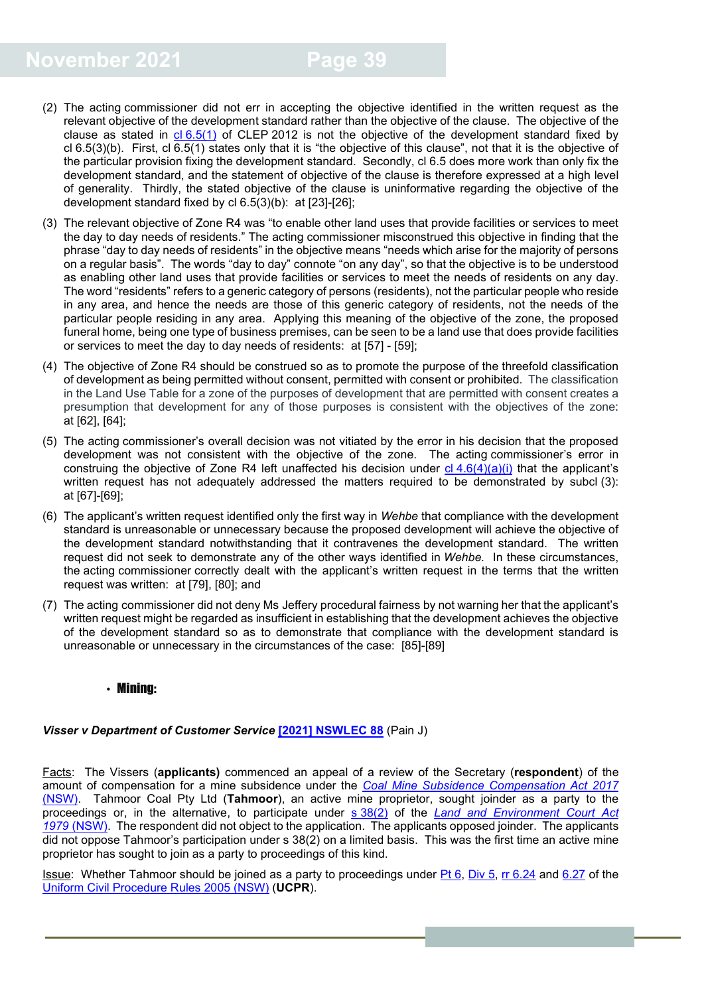- (2) The acting commissioner did not err in accepting the objective identified in the written request as the relevant objective of the development standard rather than the objective of the clause. The objective of the clause as stated in  $cl 6.5(1)$  $cl 6.5(1)$  of CLEP 2012 is not the objective of the development standard fixed by cl 6.5(3)(b). First, cl  $\overline{6.5(1)}$  states only that it is "the objective of this clause", not that it is the objective of the particular provision fixing the development standard. Secondly, cl 6.5 does more work than only fix the development standard, and the statement of objective of the clause is therefore expressed at a high level of generality. Thirdly, the stated objective of the clause is uninformative regarding the objective of the development standard fixed by cl 6.5(3)(b): at [23]-[26];
- (3) The relevant objective of Zone R4 was "to enable other land uses that provide facilities or services to meet the day to day needs of residents." The acting commissioner misconstrued this objective in finding that the phrase "day to day needs of residents" in the objective means "needs which arise for the majority of persons on a regular basis". The words "day to day" connote "on any day", so that the objective is to be understood as enabling other land uses that provide facilities or services to meet the needs of residents on any day. The word "residents" refers to a generic category of persons (residents), not the particular people who reside in any area, and hence the needs are those of this generic category of residents, not the needs of the particular people residing in any area. Applying this meaning of the objective of the zone, the proposed funeral home, being one type of business premises, can be seen to be a land use that does provide facilities or services to meet the day to day needs of residents: at [57] - [59];
- (4) The objective of Zone R4 should be construed so as to promote the purpose of the threefold classification of development as being permitted without consent, permitted with consent or prohibited. The classification in the Land Use Table for a zone of the purposes of development that are permitted with consent creates a presumption that development for any of those purposes is consistent with the objectives of the zone: at [62], [64];
- (5) The acting commissioner's overall decision was not vitiated by the error in his decision that the proposed development was not consistent with the objective of the zone. The acting commissioner's error in construing the objective of Zone R4 left unaffected his decision under  $cl 4.6(4)(a)(i)$  $cl 4.6(4)(a)(i)$  that the applicant's written request has not adequately addressed the matters required to be demonstrated by subcl (3): at [67]-[69];
- (6) The applicant's written request identified only the first way in *Wehbe* that compliance with the development standard is unreasonable or unnecessary because the proposed development will achieve the objective of the development standard notwithstanding that it contravenes the development standard. The written request did not seek to demonstrate any of the other ways identified in *Wehbe.* In these circumstances, the acting commissioner correctly dealt with the applicant's written request in the terms that the written request was written: at [79], [80]; and
- (7) The acting commissioner did not deny Ms Jeffery procedural fairness by not warning her that the applicant's written request might be regarded as insufficient in establishing that the development achieves the objective of the development standard so as to demonstrate that compliance with the development standard is unreasonable or unnecessary in the circumstances of the case: [85]-[89]

#### <span id="page-38-0"></span>• Mining:

#### *Visser v Department of Customer Service* **[\[2021\] NSWLEC 88](https://www.caselaw.nsw.gov.au/decision/17b76661084f07454f664476)** (Pain J)

Facts: The Vissers (**applicants)** commenced an appeal of a review of the Secretary (**respondent**) of the amount of compensation for a mine subsidence under the *[Coal Mine Subsidence Compensation Act 2017](https://legislation.nsw.gov.au/view/whole/html/inforce/current/act-2017-037#statusinformation)* [\(NSW\).](https://legislation.nsw.gov.au/view/whole/html/inforce/current/act-2017-037#statusinformation) Tahmoor Coal Pty Ltd (**Tahmoor**), an active mine proprietor, sought joinder as a party to the proceedings or, in the alternative, to participate under s [38\(2\)](https://legislation.nsw.gov.au/view/html/inforce/current/act-1979-204#sec.38) of the *[Land and Environment Court Act](https://legislation.nsw.gov.au/view/html/inforce/current/act-1979-204)  1979* [\(NSW\).](https://legislation.nsw.gov.au/view/html/inforce/current/act-1979-204) The respondent did not object to the application. The applicants opposed joinder. The applicants did not oppose Tahmoor's participation under s 38(2) on a limited basis. This was the first time an active mine proprietor has sought to join as a party to proceedings of this kind.

Issue: Whether Tahmoor should be joined as a party to proceedings under [Pt](https://legislation.nsw.gov.au/view/html/inforce/current/sl-2005-0418#pt.6) 6, [Div](https://legislation.nsw.gov.au/view/html/inforce/current/sl-2005-0418#pt.6-div.5) 5, rr [6.24](https://legislation.nsw.gov.au/view/html/inforce/current/sl-2005-0418#sec.6.24) and [6.27](https://legislation.nsw.gov.au/view/html/inforce/current/sl-2005-0418#sec.6.27) of the [Uniform Civil Procedure Rules 2005 \(NSW\)](https://legislation.nsw.gov.au/view/html/inforce/current/sl-2005-0418) (**UCPR**).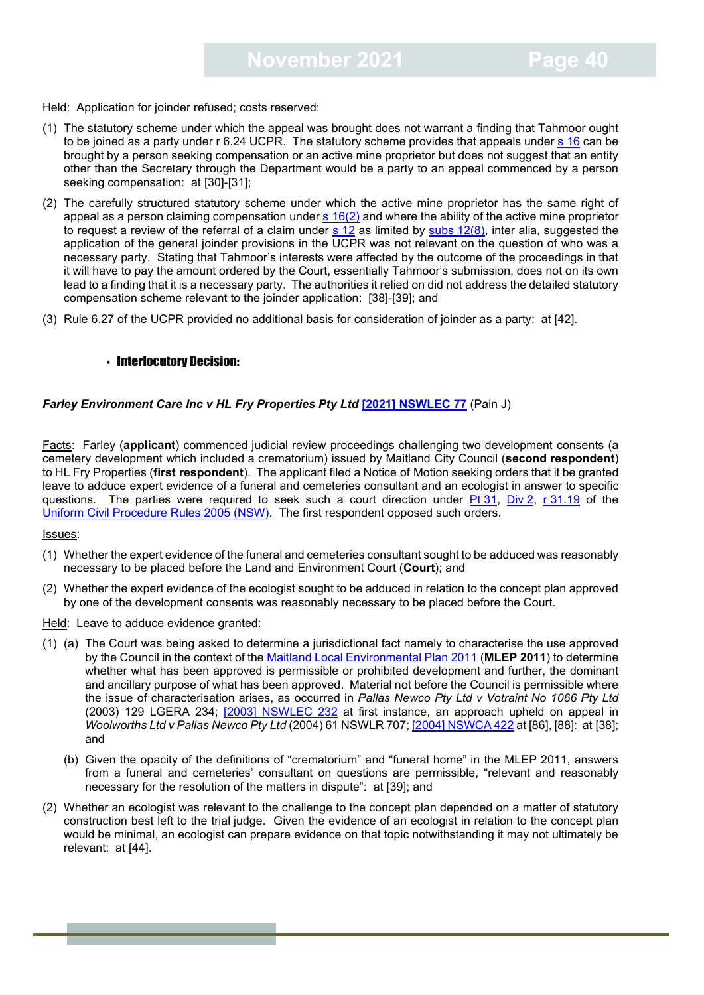Held: Application for joinder refused; costs reserved:

- (1) The statutory scheme under which the appeal was brought does not warrant a finding that Tahmoor ought to be joined as a party under r 6.24 UCPR. The statutory scheme provides that appeals under s [16](https://legislation.nsw.gov.au/view/whole/html/inforce/current/act-2017-037#sec.16) can be brought by a person seeking compensation or an active mine proprietor but does not suggest that an entity other than the Secretary through the Department would be a party to an appeal commenced by a person seeking compensation: at [30]-[31];
- (2) The carefully structured statutory scheme under which the active mine proprietor has the same right of appeal as a person claiming compensation under  $s$  [16\(2\)](https://legislation.nsw.gov.au/view/whole/html/inforce/current/act-2017-037#sec.16) and where the ability of the active mine proprietor to request a review of the referral of a claim under s [12](https://legislation.nsw.gov.au/view/whole/html/inforce/current/act-2017-037#sec.12) as limited by subs [12\(8\),](https://legislation.nsw.gov.au/view/whole/html/inforce/current/act-2017-037#sec.12) inter alia, suggested the application of the general joinder provisions in the UCPR was not relevant on the question of who was a necessary party. Stating that Tahmoor's interests were affected by the outcome of the proceedings in that it will have to pay the amount ordered by the Court, essentially Tahmoor's submission, does not on its own lead to a finding that it is a necessary party. The authorities it relied on did not address the detailed statutory compensation scheme relevant to the joinder application: [38]-[39]; and
- <span id="page-39-0"></span>(3) Rule 6.27 of the UCPR provided no additional basis for consideration of joinder as a party: at [42].

#### • Interlocutory Decision:

#### **Farley Environment Care Inc v HL Fry Properties Pty Ltd [\[2021\] NSWLEC 77](https://www.caselaw.nsw.gov.au/decision/17abd08ad86ce7720b01e2a6) (Pain J)**

Facts: Farley (**applicant**) commenced judicial review proceedings challenging two development consents (a cemetery development which included a crematorium) issued by Maitland City Council (**second respondent**) to HL Fry Properties (**first respondent**). The applicant filed a Notice of Motion seeking orders that it be granted leave to adduce expert evidence of a funeral and cemeteries consultant and an ecologist in answer to specific questions. The parties were required to seek such a court direction under Pt [31,](https://legislation.nsw.gov.au/view/html/inforce/current/sl-2005-0418#pt.31) [Div](https://legislation.nsw.gov.au/view/html/inforce/current/sl-2005-0418#pt.31-div.2) 2, r [31.19](https://legislation.nsw.gov.au/view/html/inforce/current/sl-2005-0418#sec.31.19) of the Uniform [Civil Procedure Rules 2005 \(NSW\).](https://legislation.nsw.gov.au/view/html/inforce/current/sl-2005-0418) The first respondent opposed such orders.

#### Issues:

- (1) Whether the expert evidence of the funeral and cemeteries consultant sought to be adduced was reasonably necessary to be placed before the Land and Environment Court (**Court**); and
- (2) Whether the expert evidence of the ecologist sought to be adduced in relation to the concept plan approved by one of the development consents was reasonably necessary to be placed before the Court.

Held: Leave to adduce evidence granted:

- (1) (a) The Court was being asked to determine a jurisdictional fact namely to characterise the use approved by the Council in the context of the [Maitland Local Environmental Plan 2011](https://legislation.nsw.gov.au/view/html/inforce/current/epi-2011-0681) (**MLEP 2011**) to determine whether what has been approved is permissible or prohibited development and further, the dominant and ancillary purpose of what has been approved. Material not before the Council is permissible where the issue of characterisation arises, as occurred in *Pallas Newco Pty Ltd v Votraint No 1066 Pty Ltd* (2003) 129 LGERA 234; [\[2003\] NSWLEC](https://www.caselaw.nsw.gov.au/decision/549f82013004262463ab6367) 232 at first instance, an approach upheld on appeal in *Woolworths Ltd v Pallas Newco Pty Ltd* (2004) 61 NSWLR 707[; \[2004\] NSWCA 422](https://www.caselaw.nsw.gov.au/decision/549fb0ab3004262463b7c859) at [86], [88]: at [38]; and
	- (b) Given the opacity of the definitions of "crematorium" and "funeral home" in the MLEP 2011, answers from a funeral and cemeteries' consultant on questions are permissible, "relevant and reasonably necessary for the resolution of the matters in dispute": at [39]; and
- (2) Whether an ecologist was relevant to the challenge to the concept plan depended on a matter of statutory construction best left to the trial judge. Given the evidence of an ecologist in relation to the concept plan would be minimal, an ecologist can prepare evidence on that topic notwithstanding it may not ultimately be relevant: at [44].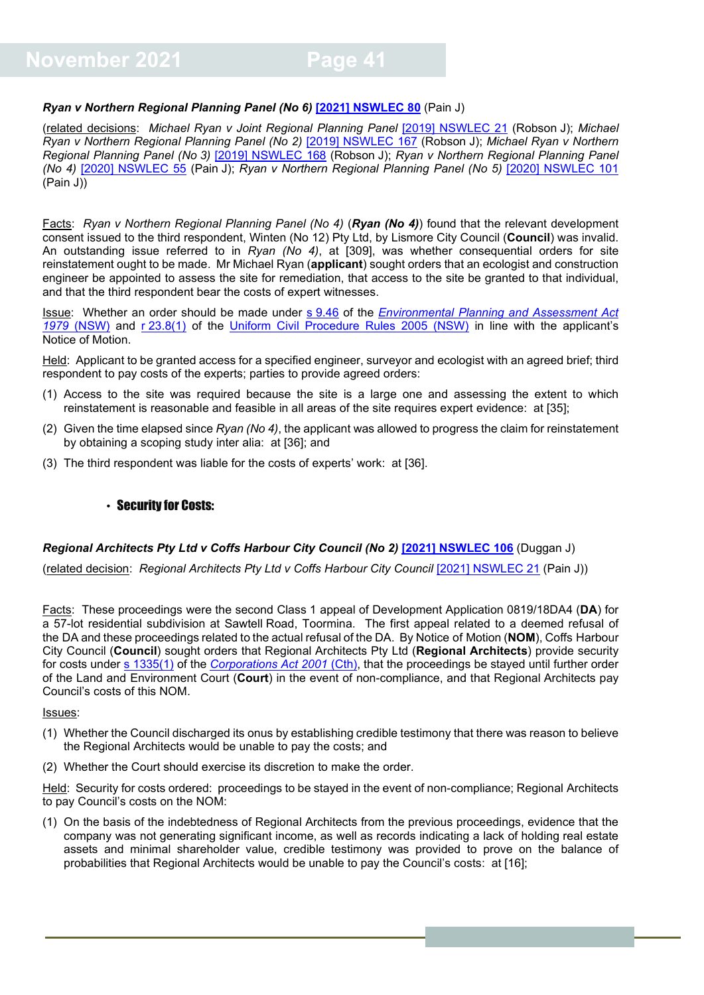#### *Ryan v Northern Regional Planning Panel (No 6)* **[\[2021\] NSWLEC 80](https://www.caselaw.nsw.gov.au/decision/17ac751aa3437635f205a66b)** (Pain J)

(related decisions: *Michael Ryan v Joint Regional Planning Panel* [\[2019\] NSWLEC 21](https://www.caselaw.nsw.gov.au/decision/5c7ef716e4b02a5a800bf0e8) (Robson J); *Michael Ryan v Northern Regional Planning Panel (No 2)* [\[2019\] NSWLEC 167](https://www.caselaw.nsw.gov.au/decision/5dbf669de4b0ab0bf6073875) (Robson J); *Michael Ryan v Northern Regional Planning Panel (No 3)* [\[2019\] NSWLEC 168](https://www.caselaw.nsw.gov.au/decision/5dbf671de4b0ab0bf6073877) (Robson J); *Ryan v Northern Regional Planning Panel (No 4)* [\[2020\] NSWLEC 55](https://www.caselaw.nsw.gov.au/decision/5ebb8039e4b0d927f74afd10) (Pain J); *Ryan v Northern Regional Planning Panel (No 5)* [\[2020\] NSWLEC 101](https://www.caselaw.nsw.gov.au/decision/1738edc08974c28b3f510273) (Pain J))

Facts: *Ryan v Northern Regional Planning Panel (No 4)* (*Ryan (No 4)*) found that the relevant development consent issued to the third respondent, Winten (No 12) Pty Ltd, by Lismore City Council (**Council**) was invalid. An outstanding issue referred to in *Ryan (No 4)*, at [309], was whether consequential orders for site reinstatement ought to be made. Mr Michael Ryan (**applicant**) sought orders that an ecologist and construction engineer be appointed to assess the site for remediation, that access to the site be granted to that individual, and that the third respondent bear the costs of expert witnesses.

Issue: Whether an order should be made under s [9.46](https://legislation.nsw.gov.au/view/html/inforce/current/act-1979-203#sec.9.46) of the *[Environmental Planning and Assessment Act](https://legislation.nsw.gov.au/view/html/inforce/current/act-1979-203)  1979* [\(NSW\)](https://legislation.nsw.gov.au/view/html/inforce/current/act-1979-203) and r [23.8\(1\)](https://legislation.nsw.gov.au/view/html/inforce/current/sl-2005-0418#sec.23.8) of the [Uniform Civil Procedure Rules 2005 \(NSW\)](https://legislation.nsw.gov.au/view/html/inforce/current/sl-2005-0418) in line with the applicant's Notice of Motion.

Held: Applicant to be granted access for a specified engineer, surveyor and ecologist with an agreed brief; third respondent to pay costs of the experts; parties to provide agreed orders:

- (1) Access to the site was required because the site is a large one and assessing the extent to which reinstatement is reasonable and feasible in all areas of the site requires expert evidence: at [35];
- (2) Given the time elapsed since *Ryan (No 4)*, the applicant was allowed to progress the claim for reinstatement by obtaining a scoping study inter alia: at [36]; and
- (3) The third respondent was liable for the costs of experts' work: at [36].

#### <span id="page-40-0"></span>• Security for Costs:

#### *Regional Architects Pty Ltd v Coffs Harbour City Council (No 2) [\[2021\] NSWLEC 106](https://www.caselaw.nsw.gov.au/decision/17c2f7d94bad8da82f7e0cb5) (Duggan J)*

(related decision: *Regional Architects Pty Ltd v Coffs Harbour City Council* [\[2021\] NSWLEC 21](https://www.caselaw.nsw.gov.au/search/advanced) (Pain J))

Facts: These proceedings were the second Class 1 appeal of Development Application 0819/18DA4 (**DA**) for a 57-lot residential subdivision at Sawtell Road, Toormina. The first appeal related to a deemed refusal of the DA and these proceedings related to the actual refusal of the DA. By Notice of Motion (**NOM**), Coffs Harbour City Council (**Council**) sought orders that Regional Architects Pty Ltd (**Regional Architects**) provide security for costs under [s 1335\(1\)](https://www.legislation.gov.au/Details/C2019C00216/Html/Volume_5#_Toc13835961) of the *[Corporations Act 2001](https://www.legislation.gov.au/Details/C2019C00216)* (Cth), that the proceedings be stayed until further order of the Land and Environment Court (**Court**) in the event of non-compliance, and that Regional Architects pay Council's costs of this NOM.

#### Issues:

- (1) Whether the Council discharged its onus by establishing credible testimony that there was reason to believe the Regional Architects would be unable to pay the costs; and
- (2) Whether the Court should exercise its discretion to make the order.

Held: Security for costs ordered: proceedings to be stayed in the event of non-compliance; Regional Architects to pay Council's costs on the NOM:

(1) On the basis of the indebtedness of Regional Architects from the previous proceedings, evidence that the company was not generating significant income, as well as records indicating a lack of holding real estate assets and minimal shareholder value, credible testimony was provided to prove on the balance of probabilities that Regional Architects would be unable to pay the Council's costs: at [16];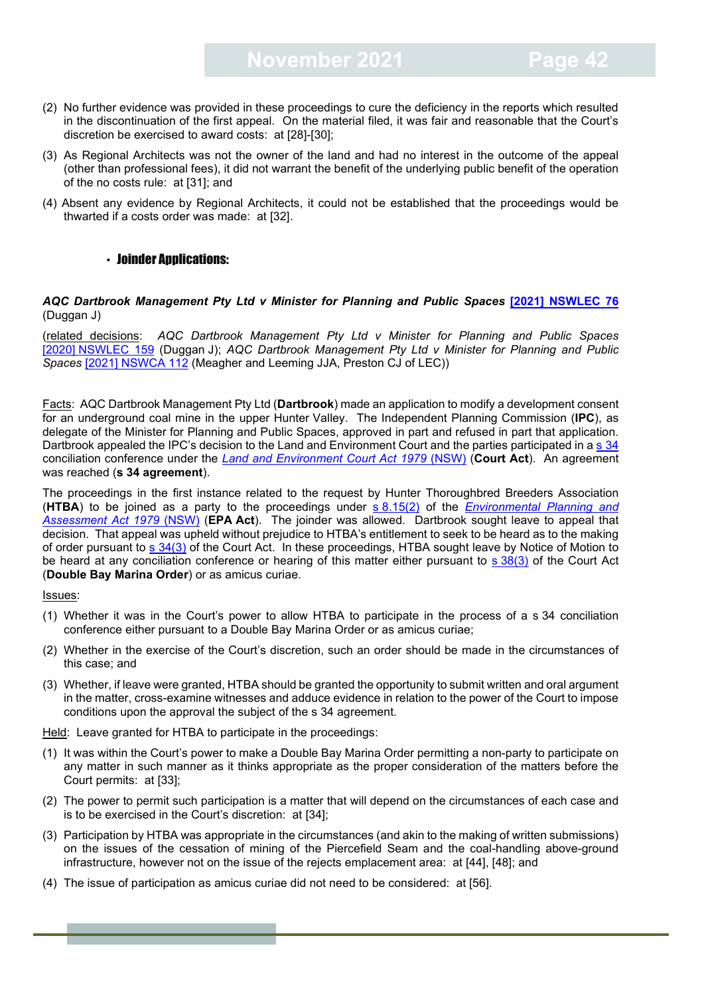- (2) No further evidence was provided in these proceedings to cure the deficiency in the reports which resulted in the discontinuation of the first appeal. On the material filed, it was fair and reasonable that the Court's discretion be exercised to award costs: at [28]-[30];
- (3) As Regional Architects was not the owner of the land and had no interest in the outcome of the appeal (other than professional fees), it did not warrant the benefit of the underlying public benefit of the operation of the no costs rule: at [31]; and
- (4) Absent any evidence by Regional Architects, it could not be established that the proceedings would be thwarted if a costs order was made: at [32].

#### <span id="page-41-0"></span>• Joinder Annlications:

#### *AQC Dartbrook Management Pty Ltd v Minister for Planning and Public Spaces* **[\[2021\] NSWLEC 76](https://www.caselaw.nsw.gov.au/decision/17aa88308811bb152a325b9f)** (Duggan J)

(related decisions: *AQC Dartbrook Management Pty Ltd v Minister for Planning and Public Spaces* [2020] [NSWLEC 159](https://www.caselaw.nsw.gov.au/decision/175defa60a1a793623353053) (Duggan J); *AQC Dartbrook Management Pty Ltd v Minister for Planning and Public Spaces* [\[2021\] NSWCA 112](https://www.caselaw.nsw.gov.au/decision/179b05c338541a18ac64911d) (Meagher and Leeming JJA, Preston CJ of LEC))

Facts: AQC Dartbrook Management Pty Ltd (**Dartbrook**) made an application to modify a development consent for an underground coal mine in the upper Hunter Valley. The Independent Planning Commission (**IPC**), as delegate of the Minister for Planning and Public Spaces, approved in part and refused in part that application. Dartbrook appealed the IPC's decision to the Land and Environment Court and the parties participated in a s [34](https://legislation.nsw.gov.au/view/html/inforce/current/act-1979-204#sec.34) conciliation conference under the *[Land and Environment Court Act 1979](https://legislation.nsw.gov.au/view/html/inforce/current/act-1979-204)* (NSW) (**Court Act**). An agreement was reached (**s 34 agreement**).

The proceedings in the first instance related to the request by Hunter Thoroughbred Breeders Association (**HTBA**) to be joined as a party to the proceedings under s [8.15\(2\)](https://legislation.nsw.gov.au/view/html/inforce/current/act-1979-203#sec.8.15) of the *[Environmental Planning and](https://legislation.nsw.gov.au/view/html/inforce/current/act-1979-203)  [Assessment Act 1979](https://legislation.nsw.gov.au/view/html/inforce/current/act-1979-203)* (NSW) (**EPA Act**). The joinder was allowed. Dartbrook sought leave to appeal that decision. That appeal was upheld without prejudice to HTBA's entitlement to seek to be heard as to the making of order pursuant to s [34\(3\)](https://legislation.nsw.gov.au/view/html/inforce/current/act-1979-204#sec.34) of the Court Act. In these proceedings, HTBA sought leave by Notice of Motion to be heard at any conciliation conference or hearing of this matter either pursuant to s [38\(3\)](https://legislation.nsw.gov.au/view/html/inforce/current/act-1979-204#sec.38) of the Court Act (**Double Bay Marina Order**) or as amicus curiae.

Issues:

- (1) Whether it was in the Court's power to allow HTBA to participate in the process of a s 34 conciliation conference either pursuant to a Double Bay Marina Order or as amicus curiae;
- (2) Whether in the exercise of the Court's discretion, such an order should be made in the circumstances of this case; and
- (3) Whether, if leave were granted, HTBA should be granted the opportunity to submit written and oral argument in the matter, cross-examine witnesses and adduce evidence in relation to the power of the Court to impose conditions upon the approval the subject of the s 34 agreement.

Held: Leave granted for HTBA to participate in the proceedings:

- (1) It was within the Court's power to make a Double Bay Marina Order permitting a non-party to participate on any matter in such manner as it thinks appropriate as the proper consideration of the matters before the Court permits: at [33];
- (2) The power to permit such participation is a matter that will depend on the circumstances of each case and is to be exercised in the Court's discretion: at [34];
- (3) Participation by HTBA was appropriate in the circumstances (and akin to the making of written submissions) on the issues of the cessation of mining of the Piercefield Seam and the coal-handling above-ground infrastructure, however not on the issue of the rejects emplacement area: at [44], [48]; and
- (4) The issue of participation as amicus curiae did not need to be considered: at [56].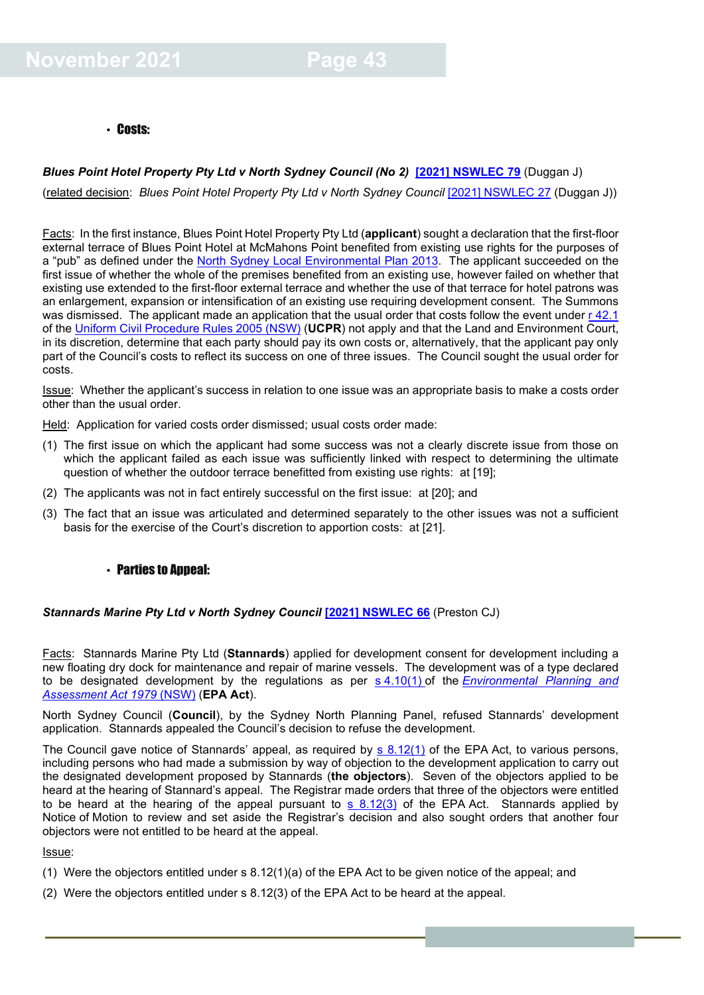#### <span id="page-42-0"></span>• Costs:

#### **Blues Point Hotel Property Pty Ltd v North Sydney Council (No 2) <sup>[2021]</sup> NSWLEC 79 (Duggan J)**

(related decision: *Blues Point Hotel Property Pty Ltd v North Sydney Council* [\[2021\] NSWLEC 27](https://www.caselaw.nsw.gov.au/decision/178812be03a4e1b1e1c7929f) (Duggan J))

Facts: In the first instance, Blues Point Hotel Property Pty Ltd (**applicant**) sought a declaration that the first-floor external terrace of Blues Point Hotel at McMahons Point benefited from existing use rights for the purposes of a "pub" as defined under the [North Sydney Local Environmental Plan 2013.](https://legislation.nsw.gov.au/view/html/inforce/current/epi-2013-0411) The applicant succeeded on the first issue of whether the whole of the premises benefited from an existing use, however failed on whether that existing use extended to the first-floor external terrace and whether the use of that terrace for hotel patrons was an enlargement, expansion or intensification of an existing use requiring development consent. The Summons was dismissed. The applicant made an application that the usual order that costs follow the event under r [42.1](https://legislation.nsw.gov.au/view/html/inforce/current/sl-2005-0418#sec.42.1) of the [Uniform Civil Procedure Rules 2005](https://legislation.nsw.gov.au/view/html/inforce/current/sl-2005-0418) (NSW) (**UCPR**) not apply and that the Land and Environment Court, in its discretion, determine that each party should pay its own costs or, alternatively, that the applicant pay only part of the Council's costs to reflect its success on one of three issues. The Council sought the usual order for costs.

Issue: Whether the applicant's success in relation to one issue was an appropriate basis to make a costs order other than the usual order.

Held: Application for varied costs order dismissed; usual costs order made:

- (1) The first issue on which the applicant had some success was not a clearly discrete issue from those on which the applicant failed as each issue was sufficiently linked with respect to determining the ultimate question of whether the outdoor terrace benefitted from existing use rights: at [19];
- (2) The applicants was not in fact entirely successful on the first issue: at [20]; and
- (3) The fact that an issue was articulated and determined separately to the other issues was not a sufficient basis for the exercise of the Court's discretion to apportion costs: at [21].

#### <span id="page-42-1"></span>• Parties to Appeal:

*Stannards Marine Pty Ltd v North Sydney Council* **[\[2021\] NSWLEC 66](https://www.caselaw.nsw.gov.au/decision/17a2dbbed8ea4ddcd1e888b0)** (Preston CJ)

Facts: Stannards Marine Pty Ltd (**Stannards**) applied for development consent for development including a new floating dry dock for maintenance and repair of marine vessels. The development was of a type declared to be designated development by the regulations as per s [4.10\(1\)](https://legislation.nsw.gov.au/view/html/inforce/current/act-1979-203#sec.4.10) of the *[Environmental Planning and](https://legislation.nsw.gov.au/view/html/inforce/current/act-1979-203#statusinformation)  [Assessment Act 1979](https://legislation.nsw.gov.au/view/html/inforce/current/act-1979-203#statusinformation)* (NSW) (**EPA Act**).

North Sydney Council (**Council**), by the Sydney North Planning Panel, refused Stannards' development application. Stannards appealed the Council's decision to refuse the development.

The Council gave notice of Stannards' appeal, as required by [s 8.12\(1\)](https://legislation.nsw.gov.au/view/html/inforce/current/act-1979-203#sec.8.12) of the EPA Act, to various persons, including persons who had made a submission by way of objection to the development application to carry out the designated development proposed by Stannards (**the objectors**). Seven of the objectors applied to be heard at the hearing of Stannard's appeal. The Registrar made orders that three of the objectors were entitled to be heard at the hearing of the appeal pursuant to  $s$  8.12(3) of the EPA Act. Stannards applied by Notice of Motion to review and set aside the Registrar's decision and also sought orders that another four objectors were not entitled to be heard at the appeal.

- (1) Were the objectors entitled under s 8.12(1)(a) of the EPA Act to be given notice of the appeal; and
- (2) Were the objectors entitled under s 8.12(3) of the EPA Act to be heard at the appeal.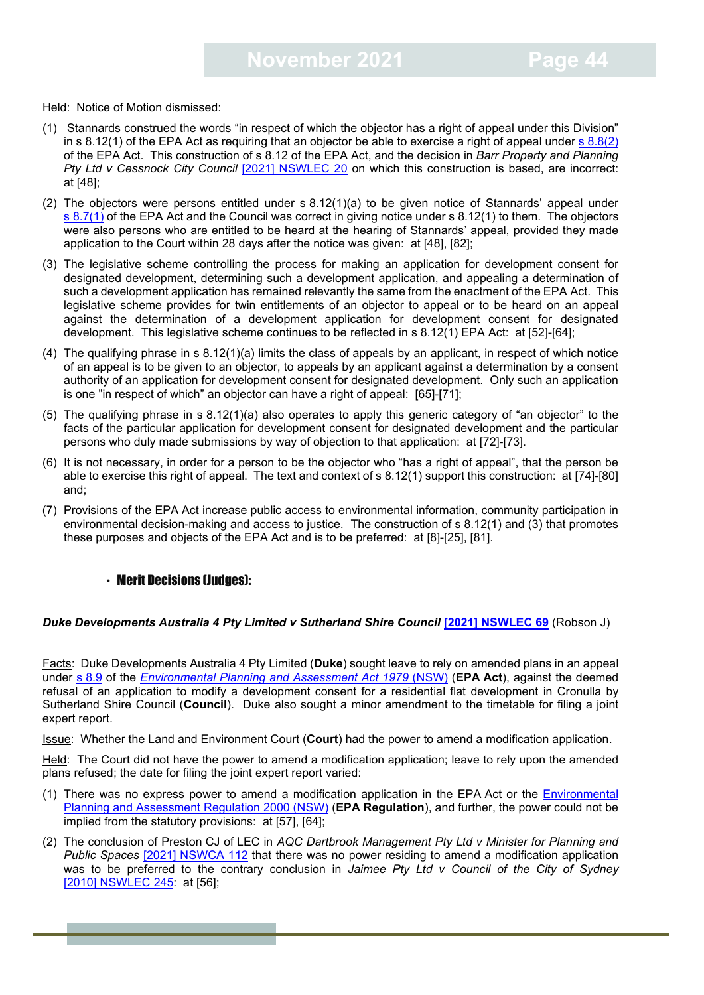Held: Notice of Motion dismissed:

- (1) Stannards construed the words "in respect of which the objector has a right of appeal under this Division" in s 8.12(1) of the EPA Act as requiring that an objector be able to exercise a right of appeal under  $s$  [8.8\(2\)](https://legislation.nsw.gov.au/view/html/inforce/current/act-1979-203#sec.8.8) of the EPA Act. This construction of s 8.12 of the EPA Act, and the decision in *Barr Property and Planning Pty Ltd v Cessnock City Council [\[2021\] NSWLEC 20](https://www.caselaw.nsw.gov.au/decision/1781f0e833de5c1d3a223663) on which this construction is based, are incorrect:* at [48];
- (2) The objectors were persons entitled under s 8.12(1)(a) to be given notice of Stannards' appeal under s [8.7\(1\)](https://legislation.nsw.gov.au/view/html/inforce/current/act-1979-203#sec.8.7) of the EPA Act and the Council was correct in giving notice under s 8.12(1) to them. The objectors were also persons who are entitled to be heard at the hearing of Stannards' appeal, provided they made application to the Court within 28 days after the notice was given: at [48], [82];
- (3) The legislative scheme controlling the process for making an application for development consent for designated development, determining such a development application, and appealing a determination of such a development application has remained relevantly the same from the enactment of the EPA Act. This legislative scheme provides for twin entitlements of an objector to appeal or to be heard on an appeal against the determination of a development application for development consent for designated development. This legislative scheme continues to be reflected in s 8.12(1) EPA Act: at [52]-[64];
- (4) The qualifying phrase in s 8.12(1)(a) limits the class of appeals by an applicant, in respect of which notice of an appeal is to be given to an objector, to appeals by an applicant against a determination by a consent authority of an application for development consent for designated development. Only such an application is one "in respect of which" an objector can have a right of appeal: [65]-[71];
- (5) The qualifying phrase in s 8.12(1)(a) also operates to apply this generic category of "an objector" to the facts of the particular application for development consent for designated development and the particular persons who duly made submissions by way of objection to that application: at [72]-[73].
- (6) It is not necessary, in order for a person to be the objector who "has a right of appeal", that the person be able to exercise this right of appeal. The text and context of s 8.12(1) support this construction: at [74]-[80] and;
- (7) Provisions of the EPA Act increase public access to environmental information, community participation in environmental decision-making and access to justice. The construction of s 8.12(1) and (3) that promotes these purposes and objects of the EPA Act and is to be preferred: at [8]-[25], [81].

#### <span id="page-43-0"></span>• Merit Decisions (Judges):

#### **Duke Developments Australia 4 Pty Limited v Sutherland Shire Council [\[2021\] NSWLEC 69](https://www.caselaw.nsw.gov.au/decision/17a64a998a130bb9699c7bf1) (Robson J)**

Facts: Duke Developments Australia 4 Pty Limited (**Duke**) sought leave to rely on amended plans in an appeal under s [8.9](https://legislation.nsw.gov.au/view/html/inforce/current/act-1979-203#sec.8.9) of the *[Environmental Planning and Assessment Act 1979](https://legislation.nsw.gov.au/view/html/inforce/current/act-1979-203#statusinformation)* (NSW) (**EPA Act**), against the deemed refusal of an application to modify a development consent for a residential flat development in Cronulla by Sutherland Shire Council (**Council**). Duke also sought a minor amendment to the timetable for filing a joint expert report.

Issue: Whether the Land and Environment Court (**Court**) had the power to amend a modification application.

Held: The Court did not have the power to amend a modification application; leave to rely upon the amended plans refused; the date for filing the joint expert report varied:

- (1) There was no express power to amend a modification application in the EPA Act or the [Environmental](https://legislation.nsw.gov.au/view/html/inforce/current/sl-2000-0557)  [Planning and Assessment Regulation 2000 \(NSW\)](https://legislation.nsw.gov.au/view/html/inforce/current/sl-2000-0557) (**EPA Regulation**), and further, the power could not be implied from the statutory provisions: at [57], [64];
- (2) The conclusion of Preston CJ of LEC in *AQC Dartbrook Management Pty Ltd v Minister for Planning and Public Spaces* [\[2021\] NSWCA 112](https://www.caselaw.nsw.gov.au/decision/179b05c338541a18ac64911d) that there was no power residing to amend a modification application was to be preferred to the contrary conclusion in *Jaimee Pty Ltd v Council of the City of Sydney* [2010] [NSWLEC 245:](https://www.caselaw.nsw.gov.au/decision/549f953f3004262463aff100) at [56];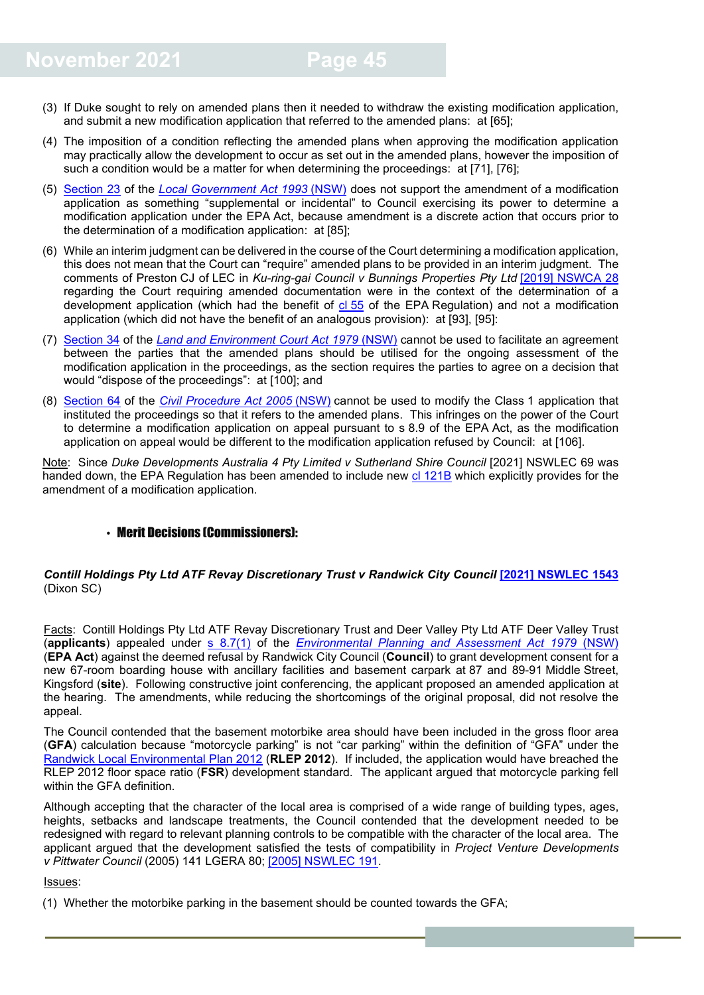- (3) If Duke sought to rely on amended plans then it needed to withdraw the existing modification application, and submit a new modification application that referred to the amended plans: at [65];
- (4) The imposition of a condition reflecting the amended plans when approving the modification application may practically allow the development to occur as set out in the amended plans, however the imposition of such a condition would be a matter for when determining the proceedings: at [71], [76];
- (5) [Section 23](https://legislation.nsw.gov.au/view/html/inforce/current/act-1993-030#sec.23) of the *[Local Government Act 1993](https://legislation.nsw.gov.au/view/html/inforce/current/act-1993-030#statusinformation)* (NSW) does not support the amendment of a modification application as something "supplemental or incidental" to Council exercising its power to determine a modification application under the EPA Act, because amendment is a discrete action that occurs prior to the determination of a modification application: at [85];
- (6) While an interim judgment can be delivered in the course of the Court determining a modification application, this does not mean that the Court can "require" amended plans to be provided in an interim judgment. The comments of Preston CJ of LEC in *Ku-ring-gai Council v Bunnings Properties Pty Ltd* [\[2019\] NSWCA 28](https://www.caselaw.nsw.gov.au/decision/5c6f3955e4b0196eea40496c) regarding the Court requiring amended documentation were in the context of the determination of a development application (which had the benefit of cl [55](https://legislation.nsw.gov.au/view/html/inforce/current/sl-2000-0557#sec.55) of the EPA Regulation) and not a modification application (which did not have the benefit of an analogous provision): at [93], [95]:
- (7) [Section 34](https://legislation.nsw.gov.au/view/html/inforce/current/act-1979-204#sec.34) of the *[Land and Environment Court Act 1979](https://legislation.nsw.gov.au/view/html/inforce/current/act-1979-204#sec.25B)* (NSW) cannot be used to facilitate an agreement between the parties that the amended plans should be utilised for the ongoing assessment of the modification application in the proceedings, as the section requires the parties to agree on a decision that would "dispose of the proceedings": at [100]; and
- (8) [Section 64](https://legislation.nsw.gov.au/view/html/inforce/current/act-2005-028#sec.64) of the *[Civil Procedure Act 2005](https://legislation.nsw.gov.au/view/html/inforce/current/act-2005-028#statusinformation)* (NSW) cannot be used to modify the Class 1 application that instituted the proceedings so that it refers to the amended plans. This infringes on the power of the Court to determine a modification application on appeal pursuant to s 8.9 of the EPA Act, as the modification application on appeal would be different to the modification application refused by Council: at [106].

Note: Since Duke Developments Australia 4 Pty Limited v Sutherland Shire Council [2021] NSWLEC 69 was handed down, the EPA Regulation has been amended to include new cl [121B](https://legislation.nsw.gov.au/view/html/inforce/current/sl-2000-0557#sec.121B) which explicitly provides for the amendment of a modification application.

#### <span id="page-44-0"></span>• Merit Decisions (Commissioners):

#### *Contill Holdings Pty Ltd ATF Revay Discretionary Trust v Randwick City Council* **[\[2021\] NSWLEC 1543](https://www.caselaw.nsw.gov.au/decision/17bf218df39903601df37091)** (Dixon SC)

Facts: Contill Holdings Pty Ltd ATF Revay Discretionary Trust and Deer Valley Pty Ltd ATF Deer Valley Trust (**applicants**) appealed under [s 8.7\(1\)](https://legislation.nsw.gov.au/view/html/inforce/current/act-1979-203#sec.8.7) of the *[Environmental Planning and Assessment Act 1979](https://legislation.nsw.gov.au/view/html/inforce/current/act-1979-203)* (NSW) (**EPA Act**) against the deemed refusal by Randwick City Council (**Council**) to grant development consent for a new 67-room boarding house with ancillary facilities and basement carpark at 87 and 89-91 Middle Street, Kingsford (**site**). Following constructive joint conferencing, the applicant proposed an amended application at the hearing. The amendments, while reducing the shortcomings of the original proposal, did not resolve the appeal.

The Council contended that the basement motorbike area should have been included in the gross floor area (**GFA**) calculation because "motorcycle parking" is not "car parking" within the definition of "GFA" under the [Randwick Local Environmental Plan 2012](https://legislation.nsw.gov.au/view/html/inforce/current/epi-2013-0036) (**RLEP 2012**). If included, the application would have breached the RLEP 2012 floor space ratio (**FSR**) development standard. The applicant argued that motorcycle parking fell within the GFA definition.

Although accepting that the character of the local area is comprised of a wide range of building types, ages, heights, setbacks and landscape treatments, the Council contended that the development needed to be redesigned with regard to relevant planning controls to be compatible with the character of the local area. The applicant argued that the development satisfied the tests of compatibility in *Project Venture Developments v Pittwater Council* (2005) 141 LGERA 80; [\[2005\] NSWLEC 191.](https://www.caselaw.nsw.gov.au/decision/549f88cd3004262463acf4e6)

#### Issues:

(1) Whether the motorbike parking in the basement should be counted towards the GFA;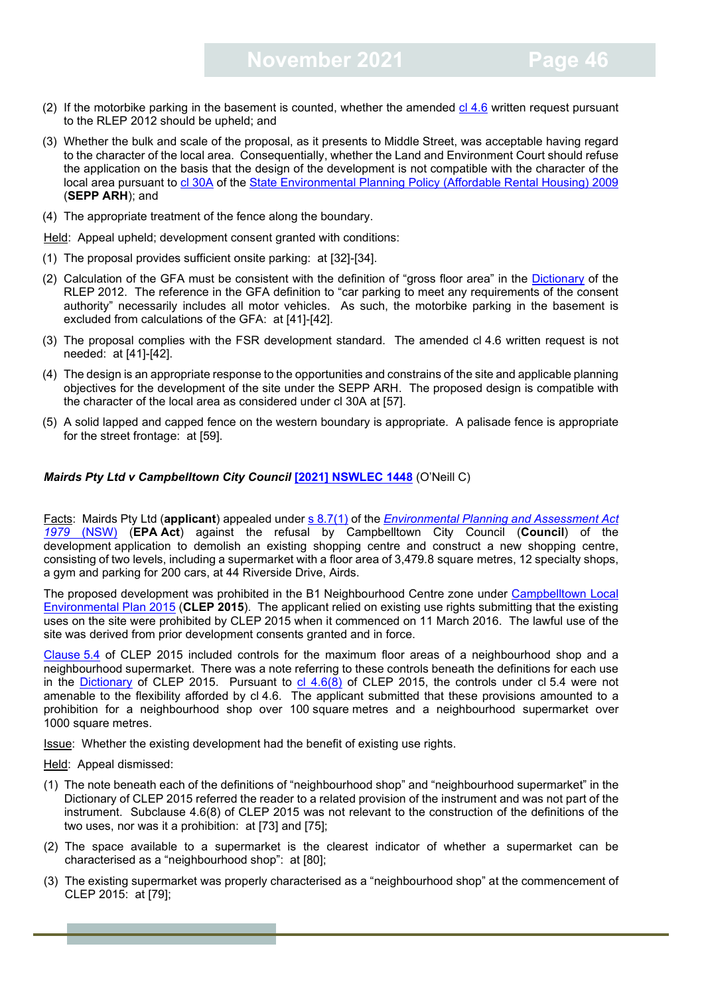- (2) If the motorbike parking in the basement is counted, whether the amended  $cl$  4.6 written request pursuant to the RLEP 2012 should be upheld; and
- (3) Whether the bulk and scale of the proposal, as it presents to Middle Street, was acceptable having regard to the character of the local area. Consequentially, whether the Land and Environment Court should refuse the application on the basis that the design of the development is not compatible with the character of the local area pursuant to cl [30A](https://legislation.nsw.gov.au/view/html/inforce/current/epi-2009-0364#sec.30A) of the [State Environmental Planning Policy \(Affordable Rental Housing\) 2009](https://legislation.nsw.gov.au/view/html/inforce/current/epi-2009-0364) (**SEPP ARH**); and
- (4) The appropriate treatment of the fence along the boundary.

Held: Appeal upheld; development consent granted with conditions:

- (1) The proposal provides sufficient onsite parking: at [32]-[34].
- (2) Calculation of the GFA must be consistent with the definition of "gross floor area" in the [Dictionary](https://legislation.nsw.gov.au/view/html/inforce/current/epi-2013-0036#dict) of the RLEP 2012. The reference in the GFA definition to "car parking to meet any requirements of the consent authority" necessarily includes all motor vehicles. As such, the motorbike parking in the basement is excluded from calculations of the GFA: at [41]-[42].
- (3) The proposal complies with the FSR development standard. The amended cl 4.6 written request is not needed: at [41]-[42].
- (4) The design is an appropriate response to the opportunities and constrains of the site and applicable planning objectives for the development of the site under the SEPP ARH. The proposed design is compatible with the character of the local area as considered under cl 30A at [57].
- (5) A solid lapped and capped fence on the western boundary is appropriate. A palisade fence is appropriate for the street frontage: at [59].

#### *Mairds Pty Ltd v Campbelltown City Council* **[\[2021\] NSWLEC 1448](https://www.caselaw.nsw.gov.au/decision/17b097ebb6e8d41c34d8d3a3)** (O'Neill C)

Facts: Mairds Pty Ltd (**applicant**) appealed under [s 8.7\(1\)](https://legislation.nsw.gov.au/view/html/inforce/current/act-1979-203#sec.8.7) of the *[Environmental Planning and Assessment Act](https://legislation.nsw.gov.au/view/html/inforce/current/act-1979-203) [1979](https://legislation.nsw.gov.au/view/html/inforce/current/act-1979-203)* (NSW) (**EPA Act**) against the refusal by Campbelltown City Council (**Council**) of the development application to demolish an existing shopping centre and construct a new shopping centre, consisting of two levels, including a supermarket with a floor area of 3,479.8 square metres, 12 specialty shops, a gym and parking for 200 cars, at 44 Riverside Drive, Airds.

The proposed development was prohibited in the B1 Neighbourhood Centre zone under [Campbelltown Local](https://legislation.nsw.gov.au/view/html/inforce/current/epi-2015-0754)  [Environmental Plan 2015](https://legislation.nsw.gov.au/view/html/inforce/current/epi-2015-0754) (**CLEP 2015**). The applicant relied on existing use rights submitting that the existing uses on the site were prohibited by CLEP 2015 when it commenced on 11 March 2016. The lawful use of the site was derived from prior development consents granted and in force.

[Clause](http://classic.austlii.edu.au/au/legis/nsw/consol_reg/clep2015350/s5.4.html) 5.4 of CLEP 2015 included controls for the maximum floor areas of a neighbourhood shop and a neighbourhood supermarket. There was a note referring to these controls beneath the definitions for each use in the [Dictionary](https://legislation.nsw.gov.au/view/html/inforce/current/epi-2015-0754#dict) of CLEP 2015. Pursuant to  $cl$  4.6(8) of CLEP 2015, the controls under cl 5.4 were not amenable to the flexibility afforded by cl 4.6. The applicant submitted that these provisions amounted to a prohibition for a neighbourhood shop over 100 square metres and a neighbourhood supermarket over 1000 square metres.

Issue: Whether the existing development had the benefit of existing use rights.

#### Held: Appeal dismissed:

- (1) The note beneath each of the definitions of "neighbourhood shop" and "neighbourhood supermarket" in the Dictionary of CLEP 2015 referred the reader to a related provision of the instrument and was not part of the instrument. Subclause 4.6(8) of CLEP 2015 was not relevant to the construction of the definitions of the two uses, nor was it a prohibition: at [73] and [75];
- (2) The space available to a supermarket is the clearest indicator of whether a supermarket can be characterised as a "neighbourhood shop": at [80];
- (3) The existing supermarket was properly characterised as a "neighbourhood shop" at the commencement of CLEP 2015: at [79];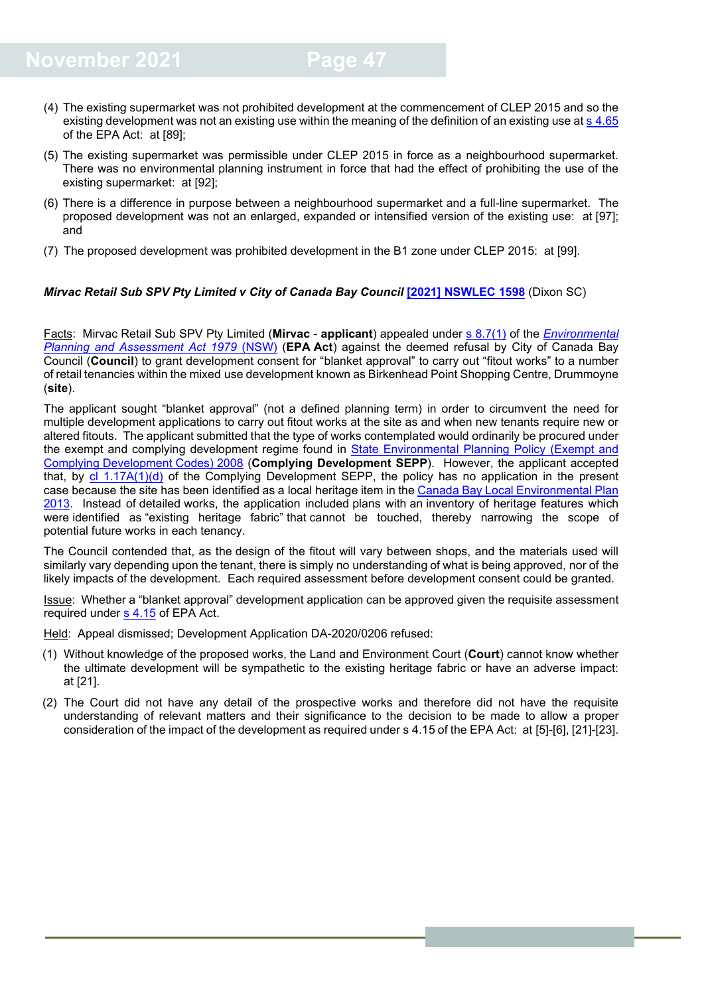- (4) The existing supermarket was not prohibited development at the commencement of CLEP 2015 and so the existing development was not an existing use within the meaning of the definition of an existing use at s [4.65](https://legislation.nsw.gov.au/view/html/inforce/current/act-1979-203#sec.4.65) of the EPA Act: at [89];
- (5) The existing supermarket was permissible under CLEP 2015 in force as a neighbourhood supermarket. There was no environmental planning instrument in force that had the effect of prohibiting the use of the existing supermarket: at [92];
- (6) There is a difference in purpose between a neighbourhood supermarket and a full-line supermarket. The proposed development was not an enlarged, expanded or intensified version of the existing use: at [97]; and
- (7) The proposed development was prohibited development in the B1 zone under CLEP 2015: at [99].

#### *Mirvac Retail Sub SPV Pty Limited v City of Canada Bay Council* **[\[2021\] NSWLEC 1598](https://www.caselaw.nsw.gov.au/decision/17c6d80bb6e77c075986292b)** (Dixon SC)

Facts: Mirvac Retail Sub SPV Pty Limited (**Mirvac** - **applicant**) appealed under [s 8.7\(1\)](https://legislation.nsw.gov.au/view/html/inforce/current/act-1979-203#sec.8.7) of the *[Environmental](https://legislation.nsw.gov.au/view/html/inforce/current/act-1979-203)  [Planning and Assessment Act 1979](https://legislation.nsw.gov.au/view/html/inforce/current/act-1979-203)* (NSW) (**EPA Act**) against the deemed refusal by City of Canada Bay Council (**Council**) to grant development consent for "blanket approval" to carry out "fitout works" to a number of retail tenancies within the mixed use development known as Birkenhead Point Shopping Centre, Drummoyne (**site**).

The applicant sought "blanket approval" (not a defined planning term) in order to circumvent the need for multiple development applications to carry out fitout works at the site as and when new tenants require new or altered fitouts. The applicant submitted that the type of works contemplated would ordinarily be procured under the exempt and complying development regime found in **State Environmental Planning Policy (Exempt and** Complying [Development](https://legislation.nsw.gov.au/view/html/inforce/current/epi-2008-0572) Codes) 2008 (**Complying Development SEPP**). However, the applicant accepted that, by [cl 1.17A\(1\)\(d\)](https://legislation.nsw.gov.au/view/html/inforce/current/epi-2008-0572#sec.1.17A) of the Complying Development SEPP, the policy has no application in the present case because the site has been identified as a local heritage item in the [Canada Bay Local Environmental Plan](https://legislation.nsw.gov.au/view/html/inforce/current/epi-2013-0389)  [2013.](https://legislation.nsw.gov.au/view/html/inforce/current/epi-2013-0389) Instead of detailed works, the application included plans with an inventory of heritage features which were identified as "existing heritage fabric" that cannot be touched, thereby narrowing the scope of potential future works in each tenancy.

The Council contended that, as the design of the fitout will vary between shops, and the materials used will similarly vary depending upon the tenant, there is simply no understanding of what is being approved, nor of the likely impacts of the development. Each required assessment before development consent could be granted.

Issue: Whether a "blanket approval" development application can be approved given the requisite assessment required under [s 4.15](https://legislation.nsw.gov.au/view/html/inforce/current/act-1979-203#sec.4.15) of EPA Act.

Held: Appeal dismissed; Development Application DA-2020/0206 refused:

- (1) Without knowledge of the proposed works, the Land and Environment Court (**Court**) cannot know whether the ultimate development will be sympathetic to the existing heritage fabric or have an adverse impact: at [21].
- (2) The Court did not have any detail of the prospective works and therefore did not have the requisite understanding of relevant matters and their significance to the decision to be made to allow a proper consideration of the impact of the development as required under s 4.15 of the EPA Act: at [5]-[6], [21]-[23].